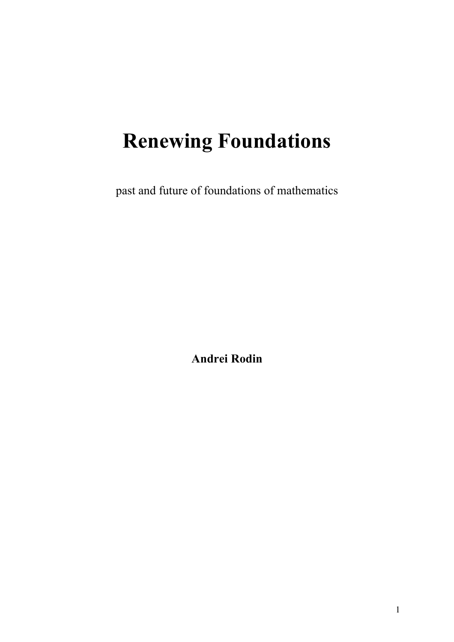# **Renewing Foundations**

past and future of foundations of mathematics

**Andrei Rodin**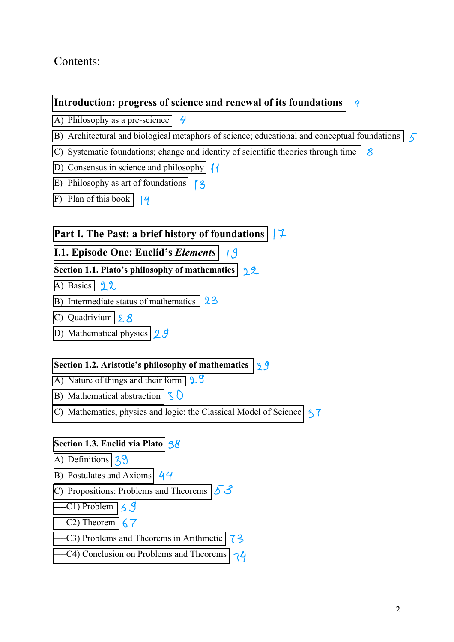### <span id="page-1-0"></span>Contents:

#### **[Introduction: progress of science and renewal of its foundations](#page-3-0)**  $\mathcal{G}$

- A) [Philosophy as a pre-science](#page-3-0)  $\overline{9}$
- B) [Architectural and biological metaphors of science; educational and conceptual foundations](#page-4-0)  $\sqrt{2}$
- C) [Systematic foundations; change and identity of scientific theories through time](#page-7-0)  $8$
- D) [Consensus in science and philosophy](#page-10-0)  $\{$
- E) [Philosophy as art of foundations](#page-12-0)  $\left[3\right]$
- F) [Plan of this book](#page-13-0)  $|4$

# **[Part I. The Past: a brief history of foundations](#page-16-0)**

### **[I.1. Episode One: Euclid's](#page-18-0)** *Elements*

### **[Section 1.1. Plato's philosophy of mathematics](#page-21-0)**

- A) [Basics](#page-21-0) 92
- B) [Intermediate status of mathematics](#page-22-0) 23
- C) [Quadrivium](#page-27-0) 28
- D) [Mathematical physics](#page-28-0)  $29$

### **[Section 1.2. Aristotle's philosophy of mathematics](#page-28-0)**

- A) [Nature of things and their form](#page-28-0)  $2<sup>9</sup>$
- B) [Mathematical abstraction](#page-29-0)  $\Diamond$
- C) [Mathematics, physics and logic: the Classical Model of Science](#page-36-0)  $\sqrt[3]{7}$

### **[Section 1.3. Euclid via Plato](#page-37-0)**

- A) [Definitions](#page-38-0)  $39$
- B) [Postulates and Axioms](#page-43-0)  $44$
- C) [Propositions: Problems and Theorems](#page-52-0)  $\overline{\mathcal{S}}$
- $--C1$ ) Problem  $\overline{59}$
- $---C2$ ) Theorem  $67$
- $---C3$ ) Problems and Theorems in Arithmetic  $73$
- [----C4\) Conclusion on Problems and Theorems](#page-73-0)  $\neg 4$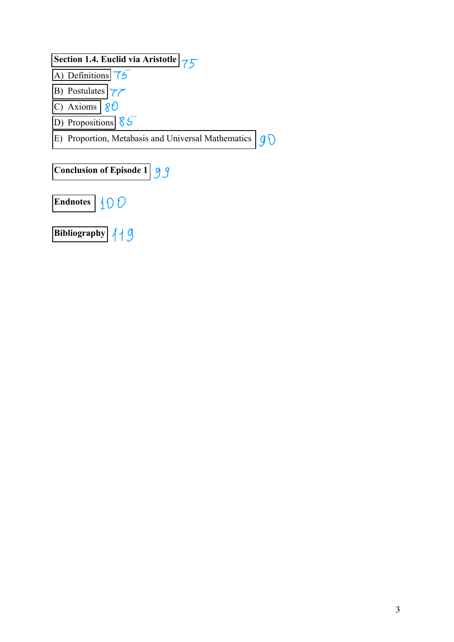# **[Section 1.4. Euclid via Aristotle](#page-74-0)**  $\overline{75}$

- A) [Definitions](#page-74-0)  $\overline{75}$
- B) [Postulates](#page-76-0)  $\overline{\zeta}$
- C) [Axioms](#page-79-0)  $80$
- D) [Propositions](#page-84-0)  $85$
- E) [Proportion, Metabasis and Universal Mathematics](#page-89-0)  $\mathcal{G}$

# **[Conclusion of Episode 1](#page-98-0)**

[Endnotes](#page-99-0) 100

**[Bibliography](#page-118-0)**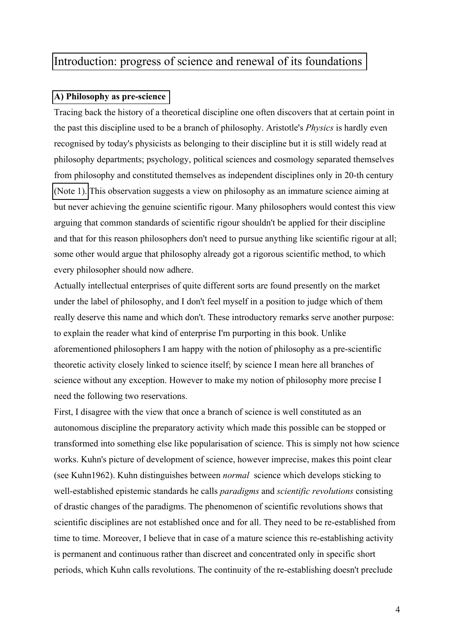# <span id="page-3-0"></span>[Introduction: progress of science and renewal of its foundations](#page-1-0)

### **[A\) Philosophy as pre-science](#page-1-0)**

Tracing back the history of a theoretical discipline one often discovers that at certain point in the past this discipline used to be a branch of philosophy. Aristotle's *Physics* is hardly even recognised by today's physicists as belonging to their discipline but it is still widely read at philosophy departments; psychology, political sciences and cosmology separated themselves from philosophy and constituted themselves as independent disciplines only in 20-th century [\(Note 1\).](#page-99-0) This observation suggests a view on philosophy as an immature science aiming at but never achieving the genuine scientific rigour. Many philosophers would contest this view arguing that common standards of scientific rigour shouldn't be applied for their discipline and that for this reason philosophers don't need to pursue anything like scientific rigour at all; some other would argue that philosophy already got a rigorous scientific method, to which every philosopher should now adhere.

Actually intellectual enterprises of quite different sorts are found presently on the market under the label of philosophy, and I don't feel myself in a position to judge which of them really deserve this name and which don't. These introductory remarks serve another purpose: to explain the reader what kind of enterprise I'm purporting in this book. Unlike aforementioned philosophers I am happy with the notion of philosophy as a pre-scientific theoretic activity closely linked to science itself; by science I mean here all branches of science without any exception. However to make my notion of philosophy more precise I need the following two reservations.

First, I disagree with the view that once a branch of science is well constituted as an autonomous discipline the preparatory activity which made this possible can be stopped or transformed into something else like popularisation of science. This is simply not how science works. Kuhn's picture of development of science, however imprecise, makes this point clear (see Kuhn1962). Kuhn distinguishes between *normal* science which develops sticking to well-established epistemic standards he calls *paradigms* and *scientific revolutions* consisting of drastic changes of the paradigms. The phenomenon of scientific revolutions shows that scientific disciplines are not established once and for all. They need to be re-established from time to time. Moreover, I believe that in case of a mature science this re-establishing activity is permanent and continuous rather than discreet and concentrated only in specific short periods, which Kuhn calls revolutions. The continuity of the re-establishing doesn't preclude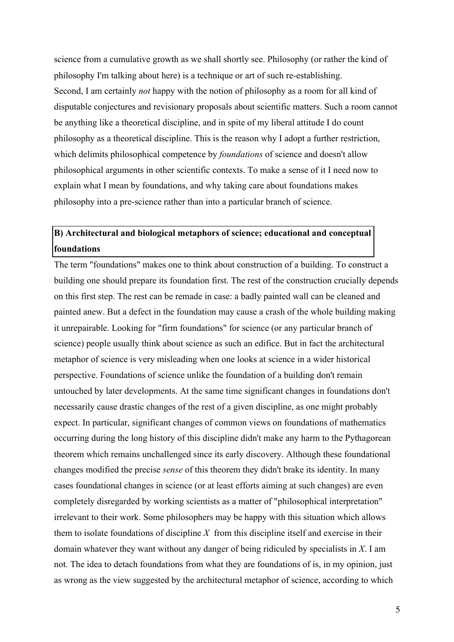<span id="page-4-0"></span>science from a cumulative growth as we shall shortly see. Philosophy (or rather the kind of philosophy I'm talking about here) is a technique or art of such re-establishing. Second, I am certainly *not* happy with the notion of philosophy as a room for all kind of disputable conjectures and revisionary proposals about scientific matters. Such a room cannot be anything like a theoretical discipline, and in spite of my liberal attitude I do count philosophy as a theoretical discipline. This is the reason why I adopt a further restriction, which delimits philosophical competence by *foundations* of science and doesn't allow philosophical arguments in other scientific contexts. To make a sense of it I need now to explain what I mean by foundations, and why taking care about foundations makes philosophy into a pre-science rather than into a particular branch of science.

## **[B\) Architectural and biological metaphors of science; educational and conceptual](#page-1-0) foundations**

The term "foundations" makes one to think about construction of a building. To construct a building one should prepare its foundation first. The rest of the construction crucially depends on this first step. The rest can be remade in case: a badly painted wall can be cleaned and painted anew. But a defect in the foundation may cause a crash of the whole building making it unrepairable. Looking for "firm foundations" for science (or any particular branch of science) people usually think about science as such an edifice. But in fact the architectural metaphor of science is very misleading when one looks at science in a wider historical perspective. Foundations of science unlike the foundation of a building don't remain untouched by later developments. At the same time significant changes in foundations don't necessarily cause drastic changes of the rest of a given discipline, as one might probably expect. In particular, significant changes of common views on foundations of mathematics occurring during the long history of this discipline didn't make any harm to the Pythagorean theorem which remains unchallenged since its early discovery. Although these foundational changes modified the precise *sense* of this theorem they didn't brake its identity. In many cases foundational changes in science (or at least efforts aiming at such changes) are even completely disregarded by working scientists as a matter of "philosophical interpretation" irrelevant to their work. Some philosophers may be happy with this situation which allows them to isolate foundations of discipline *X* from this discipline itself and exercise in their domain whatever they want without any danger of being ridiculed by specialists in *X*. I am not. The idea to detach foundations from what they are foundations of is, in my opinion, just as wrong as the view suggested by the architectural metaphor of science, according to which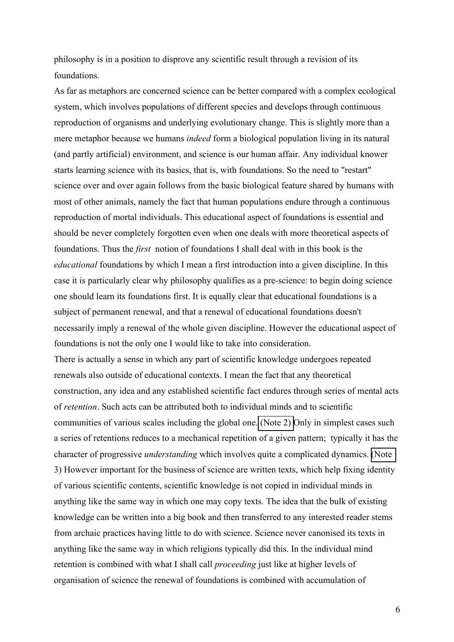philosophy is in a position to disprove any scientific result through a revision of its foundations.

As far as metaphors are concerned science can be better compared with a complex ecological system, which involves populations of different species and develops through continuous reproduction of organisms and underlying evolutionary change. This is slightly more than a mere metaphor because we humans *indeed* form a biological population living in its natural (and partly artificial) environment, and science is our human affair. Any individual knower starts learning science with its basics, that is, with foundations. So the need to "restart" science over and over again follows from the basic biological feature shared by humans with most of other animals, namely the fact that human populations endure through a continuous reproduction of mortal individuals. This educational aspect of foundations is essential and should be never completely forgotten even when one deals with more theoretical aspects of foundations. Thus the *first* notion of foundations I shall deal with in this book is the *educational* foundations by which I mean a first introduction into a given discipline. In this case it is particularly clear why philosophy qualifies as a pre-science: to begin doing science one should learn its foundations first. It is equally clear that educational foundations is a subject of permanent renewal, and that a renewal of educational foundations doesn't necessarily imply a renewal of the whole given discipline. However the educational aspect of foundations is not the only one I would like to take into consideration.

There is actually a sense in which any part of scientific knowledge undergoes repeated renewals also outside of educational contexts. I mean the fact that any theoretical construction, any idea and any established scientific fact endures through series of mental acts of *retention*. Such acts can be attributed both to individual minds and to scientific communities of various scales including the global one. [\(Note 2\)](#page-99-0) Only in simplest cases such a series of retentions reduces to a mechanical repetition of a given pattern; typically it has the character of progressive *understanding* which involves quite a complicated dynamics. [\(Note](#page-99-0) 3) However important for the business of science are written texts, which help fixing identity of various scientific contents, scientific knowledge is not copied in individual minds in anything like the same way in which one may copy texts. The idea that the bulk of existing knowledge can be written into a big book and then transferred to any interested reader stems from archaic practices having little to do with science. Science never canonised its texts in anything like the same way in which religions typically did this. In the individual mind retention is combined with what I shall call *proceeding* just like at higher levels of organisation of science the renewal of foundations is combined with accumulation of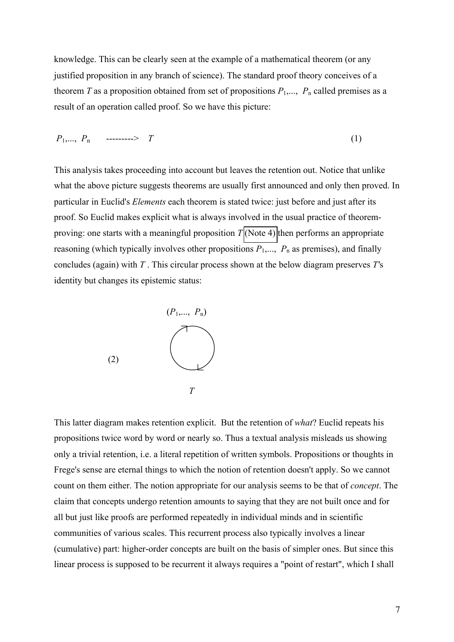knowledge. This can be clearly seen at the example of a mathematical theorem (or any justified proposition in any branch of science). The standard proof theory conceives of a theorem *T* as a proposition obtained from set of propositions  $P_1, \ldots, P_n$  called premises as a result of an operation called proof. So we have this picture:

$$
P_1, ..., P_n \qquad \qquad \text{---} \qquad \qquad T \tag{1}
$$

This analysis takes proceeding into account but leaves the retention out. Notice that unlike what the above picture suggests theorems are usually first announced and only then proved. In particular in Euclid's *Elements* each theorem is stated twice: just before and just after its proof. So Euclid makes explicit what is always involved in the usual practice of theoremproving: one starts with a meaningful proposition *T* [\(Note 4\)](#page-100-0) then performs an appropriate reasoning (which typically involves other propositions  $P_1$ ,...,  $P_n$  as premises), and finally concludes (again) with *T* . This circular process shown at the below diagram preserves *T'*s identity but changes its epistemic status:



This latter diagram makes retention explicit. But the retention of *what*? Euclid repeats his propositions twice word by word or nearly so. Thus a textual analysis misleads us showing only a trivial retention, i.e. a literal repetition of written symbols. Propositions or thoughts in Frege's sense are eternal things to which the notion of retention doesn't apply. So we cannot count on them either. The notion appropriate for our analysis seems to be that of *concept*. The claim that concepts undergo retention amounts to saying that they are not built once and for all but just like proofs are performed repeatedly in individual minds and in scientific communities of various scales. This recurrent process also typically involves a linear (cumulative) part: higher-order concepts are built on the basis of simpler ones. But since this linear process is supposed to be recurrent it always requires a "point of restart", which I shall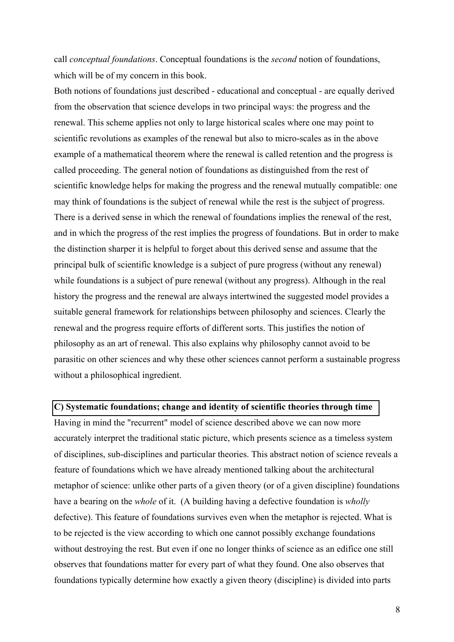<span id="page-7-0"></span>call *conceptual foundations*. Conceptual foundations is the *second* notion of foundations, which will be of my concern in this book.

Both notions of foundations just described - educational and conceptual - are equally derived from the observation that science develops in two principal ways: the progress and the renewal. This scheme applies not only to large historical scales where one may point to scientific revolutions as examples of the renewal but also to micro-scales as in the above example of a mathematical theorem where the renewal is called retention and the progress is called proceeding. The general notion of foundations as distinguished from the rest of scientific knowledge helps for making the progress and the renewal mutually compatible: one may think of foundations is the subject of renewal while the rest is the subject of progress. There is a derived sense in which the renewal of foundations implies the renewal of the rest, and in which the progress of the rest implies the progress of foundations. But in order to make the distinction sharper it is helpful to forget about this derived sense and assume that the principal bulk of scientific knowledge is a subject of pure progress (without any renewal) while foundations is a subject of pure renewal (without any progress). Although in the real history the progress and the renewal are always intertwined the suggested model provides a suitable general framework for relationships between philosophy and sciences. Clearly the renewal and the progress require efforts of different sorts. This justifies the notion of philosophy as an art of renewal. This also explains why philosophy cannot avoid to be parasitic on other sciences and why these other sciences cannot perform a sustainable progress without a philosophical ingredient.

### **[C\) Systematic foundations; change and identity of scientific theories through time](#page-1-0)**

Having in mind the "recurrent" model of science described above we can now more accurately interpret the traditional static picture, which presents science as a timeless system of disciplines, sub-disciplines and particular theories. This abstract notion of science reveals a feature of foundations which we have already mentioned talking about the architectural metaphor of science: unlike other parts of a given theory (or of a given discipline) foundations have a bearing on the *whole* of it. (A building having a defective foundation is *wholly* defective). This feature of foundations survives even when the metaphor is rejected. What is to be rejected is the view according to which one cannot possibly exchange foundations without destroying the rest. But even if one no longer thinks of science as an edifice one still observes that foundations matter for every part of what they found. One also observes that foundations typically determine how exactly a given theory (discipline) is divided into parts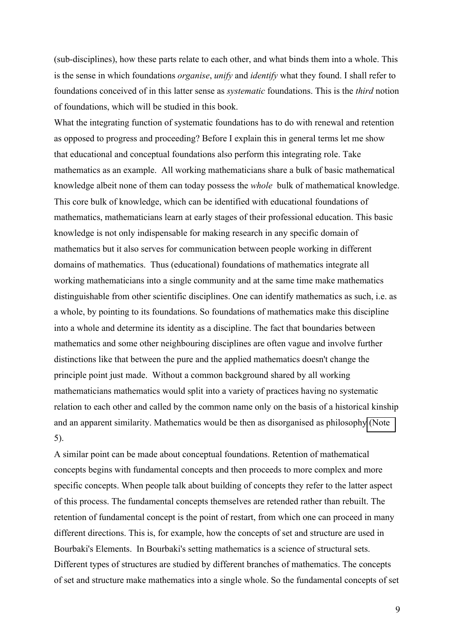(sub-disciplines), how these parts relate to each other, and what binds them into a whole. This is the sense in which foundations *organise*, *unify* and *identify* what they found. I shall refer to foundations conceived of in this latter sense as *systematic* foundations. This is the *third* notion of foundations, which will be studied in this book.

What the integrating function of systematic foundations has to do with renewal and retention as opposed to progress and proceeding? Before I explain this in general terms let me show that educational and conceptual foundations also perform this integrating role. Take mathematics as an example. All working mathematicians share a bulk of basic mathematical knowledge albeit none of them can today possess the *whole* bulk of mathematical knowledge. This core bulk of knowledge, which can be identified with educational foundations of mathematics, mathematicians learn at early stages of their professional education. This basic knowledge is not only indispensable for making research in any specific domain of mathematics but it also serves for communication between people working in different domains of mathematics. Thus (educational) foundations of mathematics integrate all working mathematicians into a single community and at the same time make mathematics distinguishable from other scientific disciplines. One can identify mathematics as such, i.e. as a whole, by pointing to its foundations. So foundations of mathematics make this discipline into a whole and determine its identity as a discipline. The fact that boundaries between mathematics and some other neighbouring disciplines are often vague and involve further distinctions like that between the pure and the applied mathematics doesn't change the principle point just made. Without a common background shared by all working mathematicians mathematics would split into a variety of practices having no systematic relation to each other and called by the common name only on the basis of a historical kinship and an apparent similarity. Mathematics would be then as disorganised as philosophy [\(Note](#page-100-0) 5).

A similar point can be made about conceptual foundations. Retention of mathematical concepts begins with fundamental concepts and then proceeds to more complex and more specific concepts. When people talk about building of concepts they refer to the latter aspect of this process. The fundamental concepts themselves are retended rather than rebuilt. The retention of fundamental concept is the point of restart, from which one can proceed in many different directions. This is, for example, how the concepts of set and structure are used in Bourbaki's Elements. In Bourbaki's setting mathematics is a science of structural sets. Different types of structures are studied by different branches of mathematics. The concepts of set and structure make mathematics into a single whole. So the fundamental concepts of set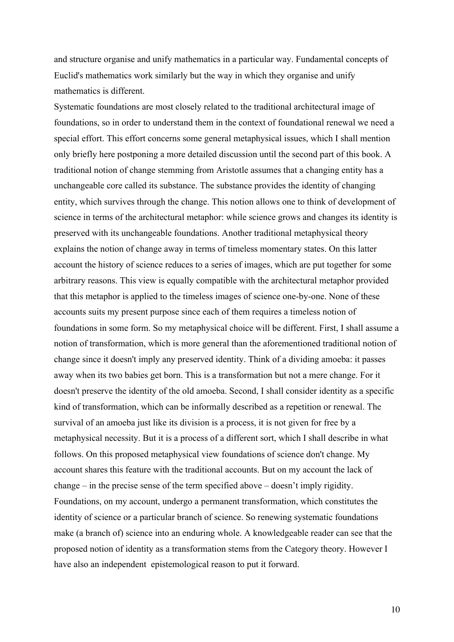and structure organise and unify mathematics in a particular way. Fundamental concepts of Euclid's mathematics work similarly but the way in which they organise and unify mathematics is different.

Systematic foundations are most closely related to the traditional architectural image of foundations, so in order to understand them in the context of foundational renewal we need a special effort. This effort concerns some general metaphysical issues, which I shall mention only briefly here postponing a more detailed discussion until the second part of this book. A traditional notion of change stemming from Aristotle assumes that a changing entity has a unchangeable core called its substance. The substance provides the identity of changing entity, which survives through the change. This notion allows one to think of development of science in terms of the architectural metaphor: while science grows and changes its identity is preserved with its unchangeable foundations. Another traditional metaphysical theory explains the notion of change away in terms of timeless momentary states. On this latter account the history of science reduces to a series of images, which are put together for some arbitrary reasons. This view is equally compatible with the architectural metaphor provided that this metaphor is applied to the timeless images of science one-by-one. None of these accounts suits my present purpose since each of them requires a timeless notion of foundations in some form. So my metaphysical choice will be different. First, I shall assume a notion of transformation, which is more general than the aforementioned traditional notion of change since it doesn't imply any preserved identity. Think of a dividing amoeba: it passes away when its two babies get born. This is a transformation but not a mere change. For it doesn't preserve the identity of the old amoeba. Second, I shall consider identity as a specific kind of transformation, which can be informally described as a repetition or renewal. The survival of an amoeba just like its division is a process, it is not given for free by a metaphysical necessity. But it is a process of a different sort, which I shall describe in what follows. On this proposed metaphysical view foundations of science don't change. My account shares this feature with the traditional accounts. But on my account the lack of change – in the precise sense of the term specified above – doesn't imply rigidity. Foundations, on my account, undergo a permanent transformation, which constitutes the identity of science or a particular branch of science. So renewing systematic foundations make (a branch of) science into an enduring whole. A knowledgeable reader can see that the proposed notion of identity as a transformation stems from the Category theory. However I have also an independent epistemological reason to put it forward.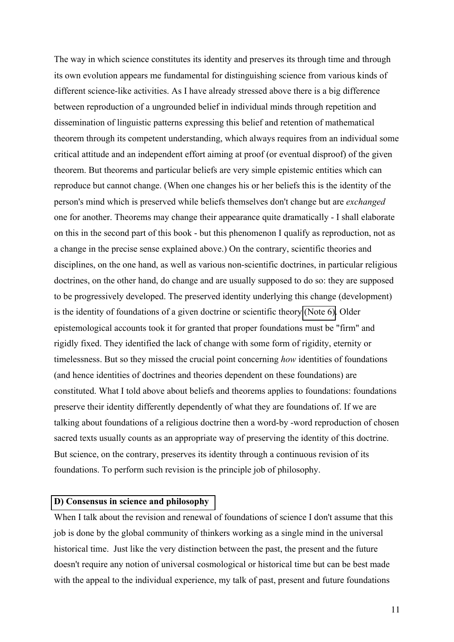<span id="page-10-0"></span>The way in which science constitutes its identity and preserves its through time and through its own evolution appears me fundamental for distinguishing science from various kinds of different science-like activities. As I have already stressed above there is a big difference between reproduction of a ungrounded belief in individual minds through repetition and dissemination of linguistic patterns expressing this belief and retention of mathematical theorem through its competent understanding, which always requires from an individual some critical attitude and an independent effort aiming at proof (or eventual disproof) of the given theorem. But theorems and particular beliefs are very simple epistemic entities which can reproduce but cannot change. (When one changes his or her beliefs this is the identity of the person's mind which is preserved while beliefs themselves don't change but are *exchanged* one for another. Theorems may change their appearance quite dramatically - I shall elaborate on this in the second part of this book - but this phenomenon I qualify as reproduction, not as a change in the precise sense explained above.) On the contrary, scientific theories and disciplines, on the one hand, as well as various non-scientific doctrines, in particular religious doctrines, on the other hand, do change and are usually supposed to do so: they are supposed to be progressively developed. The preserved identity underlying this change (development) is the identity of foundations of a given doctrine or scientific theory [\(Note 6\)](#page-100-0). Older epistemological accounts took it for granted that proper foundations must be "firm" and rigidly fixed. They identified the lack of change with some form of rigidity, eternity or timelessness. But so they missed the crucial point concerning *how* identities of foundations (and hence identities of doctrines and theories dependent on these foundations) are constituted. What I told above about beliefs and theorems applies to foundations: foundations preserve their identity differently dependently of what they are foundations of. If we are talking about foundations of a religious doctrine then a word-by -word reproduction of chosen sacred texts usually counts as an appropriate way of preserving the identity of this doctrine. But science, on the contrary, preserves its identity through a continuous revision of its foundations. To perform such revision is the principle job of philosophy.

### **[D\) Consensus in science and philosophy](#page-1-0)**

When I talk about the revision and renewal of foundations of science I don't assume that this job is done by the global community of thinkers working as a single mind in the universal historical time. Just like the very distinction between the past, the present and the future doesn't require any notion of universal cosmological or historical time but can be best made with the appeal to the individual experience, my talk of past, present and future foundations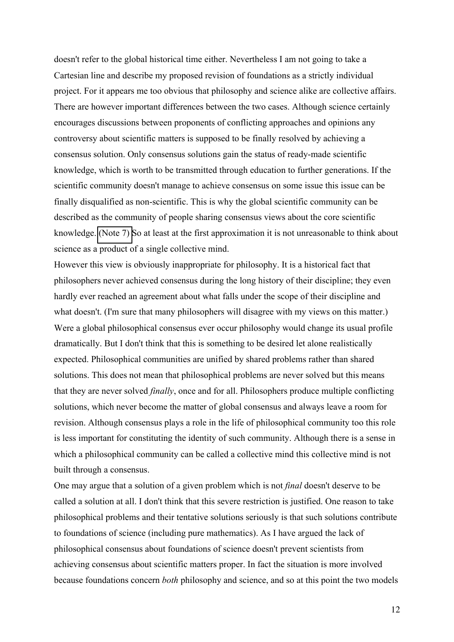doesn't refer to the global historical time either. Nevertheless I am not going to take a Cartesian line and describe my proposed revision of foundations as a strictly individual project. For it appears me too obvious that philosophy and science alike are collective affairs. There are however important differences between the two cases. Although science certainly encourages discussions between proponents of conflicting approaches and opinions any controversy about scientific matters is supposed to be finally resolved by achieving a consensus solution. Only consensus solutions gain the status of ready-made scientific knowledge, which is worth to be transmitted through education to further generations. If the scientific community doesn't manage to achieve consensus on some issue this issue can be finally disqualified as non-scientific. This is why the global scientific community can be described as the community of people sharing consensus views about the core scientific knowledge. [\(Note 7\) S](#page-100-0)o at least at the first approximation it is not unreasonable to think about science as a product of a single collective mind.

However this view is obviously inappropriate for philosophy. It is a historical fact that philosophers never achieved consensus during the long history of their discipline; they even hardly ever reached an agreement about what falls under the scope of their discipline and what doesn't. (I'm sure that many philosophers will disagree with my views on this matter.) Were a global philosophical consensus ever occur philosophy would change its usual profile dramatically. But I don't think that this is something to be desired let alone realistically expected. Philosophical communities are unified by shared problems rather than shared solutions. This does not mean that philosophical problems are never solved but this means that they are never solved *finally*, once and for all. Philosophers produce multiple conflicting solutions, which never become the matter of global consensus and always leave a room for revision. Although consensus plays a role in the life of philosophical community too this role is less important for constituting the identity of such community. Although there is a sense in which a philosophical community can be called a collective mind this collective mind is not built through a consensus.

One may argue that a solution of a given problem which is not *final* doesn't deserve to be called a solution at all. I don't think that this severe restriction is justified. One reason to take philosophical problems and their tentative solutions seriously is that such solutions contribute to foundations of science (including pure mathematics). As I have argued the lack of philosophical consensus about foundations of science doesn't prevent scientists from achieving consensus about scientific matters proper. In fact the situation is more involved because foundations concern *both* philosophy and science, and so at this point the two models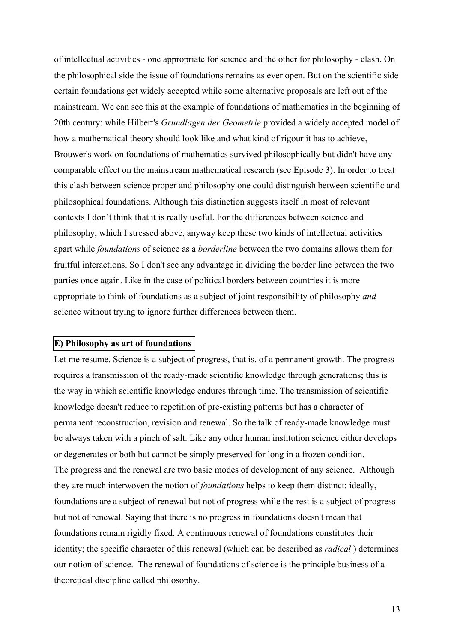<span id="page-12-0"></span>of intellectual activities - one appropriate for science and the other for philosophy - clash. On the philosophical side the issue of foundations remains as ever open. But on the scientific side certain foundations get widely accepted while some alternative proposals are left out of the mainstream. We can see this at the example of foundations of mathematics in the beginning of 20th century: while Hilbert's *Grundlagen der Geometrie* provided a widely accepted model of how a mathematical theory should look like and what kind of rigour it has to achieve, Brouwer's work on foundations of mathematics survived philosophically but didn't have any comparable effect on the mainstream mathematical research (see Episode 3). In order to treat this clash between science proper and philosophy one could distinguish between scientific and philosophical foundations. Although this distinction suggests itself in most of relevant contexts I don't think that it is really useful. For the differences between science and philosophy, which I stressed above, anyway keep these two kinds of intellectual activities apart while *foundations* of science as a *borderline* between the two domains allows them for fruitful interactions. So I don't see any advantage in dividing the border line between the two parties once again. Like in the case of political borders between countries it is more appropriate to think of foundations as a subject of joint responsibility of philosophy *and* science without trying to ignore further differences between them.

### **[E\) Philosophy as art of foundations](#page-1-0)**

Let me resume. Science is a subject of progress, that is, of a permanent growth. The progress requires a transmission of the ready-made scientific knowledge through generations; this is the way in which scientific knowledge endures through time. The transmission of scientific knowledge doesn't reduce to repetition of pre-existing patterns but has a character of permanent reconstruction, revision and renewal. So the talk of ready-made knowledge must be always taken with a pinch of salt. Like any other human institution science either develops or degenerates or both but cannot be simply preserved for long in a frozen condition. The progress and the renewal are two basic modes of development of any science. Although they are much interwoven the notion of *foundations* helps to keep them distinct: ideally, foundations are a subject of renewal but not of progress while the rest is a subject of progress but not of renewal. Saying that there is no progress in foundations doesn't mean that foundations remain rigidly fixed. A continuous renewal of foundations constitutes their identity; the specific character of this renewal (which can be described as *radical* ) determines our notion of science. The renewal of foundations of science is the principle business of a theoretical discipline called philosophy.

13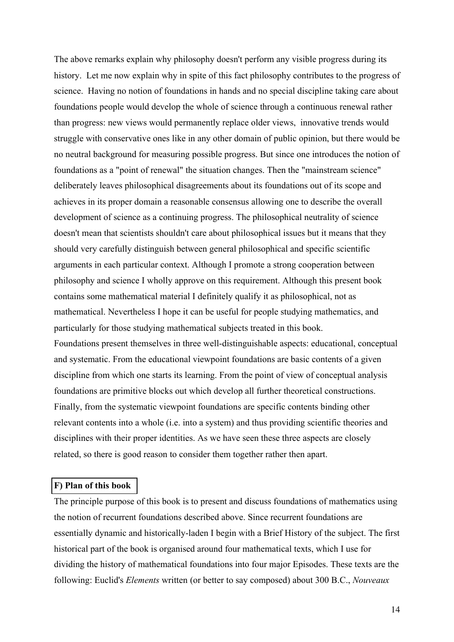<span id="page-13-0"></span>The above remarks explain why philosophy doesn't perform any visible progress during its history. Let me now explain why in spite of this fact philosophy contributes to the progress of science. Having no notion of foundations in hands and no special discipline taking care about foundations people would develop the whole of science through a continuous renewal rather than progress: new views would permanently replace older views, innovative trends would struggle with conservative ones like in any other domain of public opinion, but there would be no neutral background for measuring possible progress. But since one introduces the notion of foundations as a "point of renewal" the situation changes. Then the "mainstream science" deliberately leaves philosophical disagreements about its foundations out of its scope and achieves in its proper domain a reasonable consensus allowing one to describe the overall development of science as a continuing progress. The philosophical neutrality of science doesn't mean that scientists shouldn't care about philosophical issues but it means that they should very carefully distinguish between general philosophical and specific scientific arguments in each particular context. Although I promote a strong cooperation between philosophy and science I wholly approve on this requirement. Although this present book contains some mathematical material I definitely qualify it as philosophical, not as mathematical. Nevertheless I hope it can be useful for people studying mathematics, and particularly for those studying mathematical subjects treated in this book. Foundations present themselves in three well-distinguishable aspects: educational, conceptual and systematic. From the educational viewpoint foundations are basic contents of a given discipline from which one starts its learning. From the point of view of conceptual analysis foundations are primitive blocks out which develop all further theoretical constructions. Finally, from the systematic viewpoint foundations are specific contents binding other relevant contents into a whole (i.e. into a system) and thus providing scientific theories and disciplines with their proper identities. As we have seen these three aspects are closely related, so there is good reason to consider them together rather then apart.

### **[F\) Plan of this book](#page-1-0)**

The principle purpose of this book is to present and discuss foundations of mathematics using the notion of recurrent foundations described above. Since recurrent foundations are essentially dynamic and historically-laden I begin with a Brief History of the subject. The first historical part of the book is organised around four mathematical texts, which I use for dividing the history of mathematical foundations into four major Episodes. These texts are the following: Euclid's *Elements* written (or better to say composed) about 300 B.C., *Nouveaux*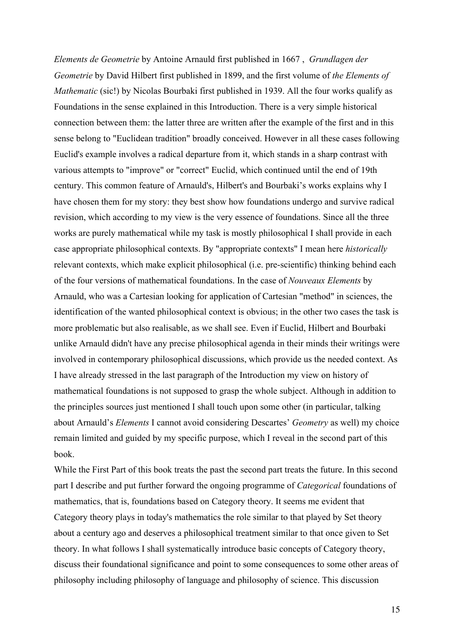*Elements de Geometrie* by Antoine Arnauld first published in 1667 , *Grundlagen der Geometrie* by David Hilbert first published in 1899, and the first volume of *the Elements of Mathematic* (sic!) by Nicolas Bourbaki first published in 1939. All the four works qualify as Foundations in the sense explained in this Introduction. There is a very simple historical connection between them: the latter three are written after the example of the first and in this sense belong to "Euclidean tradition" broadly conceived. However in all these cases following Euclid's example involves a radical departure from it, which stands in a sharp contrast with various attempts to "improve" or "correct" Euclid, which continued until the end of 19th century. This common feature of Arnauld's, Hilbert's and Bourbaki's works explains why I have chosen them for my story: they best show how foundations undergo and survive radical revision, which according to my view is the very essence of foundations. Since all the three works are purely mathematical while my task is mostly philosophical I shall provide in each case appropriate philosophical contexts. By "appropriate contexts" I mean here *historically* relevant contexts, which make explicit philosophical (i.e. pre-scientific) thinking behind each of the four versions of mathematical foundations. In the case of *Nouveaux Elements* by Arnauld, who was a Cartesian looking for application of Cartesian "method" in sciences, the identification of the wanted philosophical context is obvious; in the other two cases the task is more problematic but also realisable, as we shall see. Even if Euclid, Hilbert and Bourbaki unlike Arnauld didn't have any precise philosophical agenda in their minds their writings were involved in contemporary philosophical discussions, which provide us the needed context. As I have already stressed in the last paragraph of the Introduction my view on history of mathematical foundations is not supposed to grasp the whole subject. Although in addition to the principles sources just mentioned I shall touch upon some other (in particular, talking about Arnauld's *Elements* I cannot avoid considering Descartes' *Geometry* as well) my choice remain limited and guided by my specific purpose, which I reveal in the second part of this book.

While the First Part of this book treats the past the second part treats the future. In this second part I describe and put further forward the ongoing programme of *Categorical* foundations of mathematics, that is, foundations based on Category theory. It seems me evident that Category theory plays in today's mathematics the role similar to that played by Set theory about a century ago and deserves a philosophical treatment similar to that once given to Set theory. In what follows I shall systematically introduce basic concepts of Category theory, discuss their foundational significance and point to some consequences to some other areas of philosophy including philosophy of language and philosophy of science. This discussion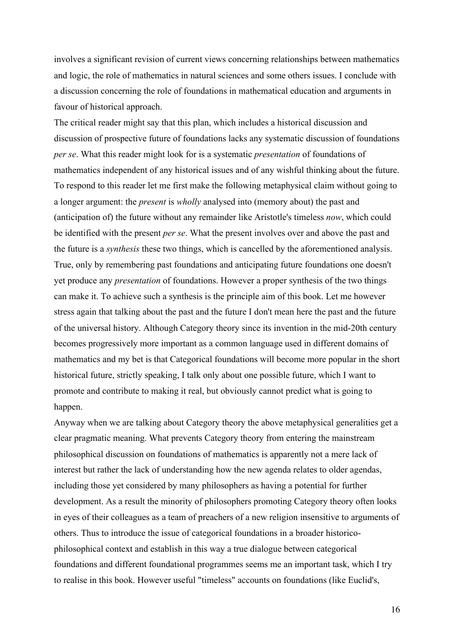involves a significant revision of current views concerning relationships between mathematics and logic, the role of mathematics in natural sciences and some others issues. I conclude with a discussion concerning the role of foundations in mathematical education and arguments in favour of historical approach.

The critical reader might say that this plan, which includes a historical discussion and discussion of prospective future of foundations lacks any systematic discussion of foundations *per se*. What this reader might look for is a systematic *presentation* of foundations of mathematics independent of any historical issues and of any wishful thinking about the future. To respond to this reader let me first make the following metaphysical claim without going to a longer argument: the *present* is *wholly* analysed into (memory about) the past and (anticipation of) the future without any remainder like Aristotle's timeless *now*, which could be identified with the present *per se*. What the present involves over and above the past and the future is a *synthesis* these two things, which is cancelled by the aforementioned analysis. True, only by remembering past foundations and anticipating future foundations one doesn't yet produce any *presentation* of foundations. However a proper synthesis of the two things can make it. To achieve such a synthesis is the principle aim of this book. Let me however stress again that talking about the past and the future I don't mean here the past and the future of the universal history. Although Category theory since its invention in the mid-20th century becomes progressively more important as a common language used in different domains of mathematics and my bet is that Categorical foundations will become more popular in the short historical future, strictly speaking, I talk only about one possible future, which I want to promote and contribute to making it real, but obviously cannot predict what is going to happen.

Anyway when we are talking about Category theory the above metaphysical generalities get a clear pragmatic meaning. What prevents Category theory from entering the mainstream philosophical discussion on foundations of mathematics is apparently not a mere lack of interest but rather the lack of understanding how the new agenda relates to older agendas, including those yet considered by many philosophers as having a potential for further development. As a result the minority of philosophers promoting Category theory often looks in eyes of their colleagues as a team of preachers of a new religion insensitive to arguments of others. Thus to introduce the issue of categorical foundations in a broader historicophilosophical context and establish in this way a true dialogue between categorical foundations and different foundational programmes seems me an important task, which I try to realise in this book. However useful "timeless" accounts on foundations (like Euclid's,

16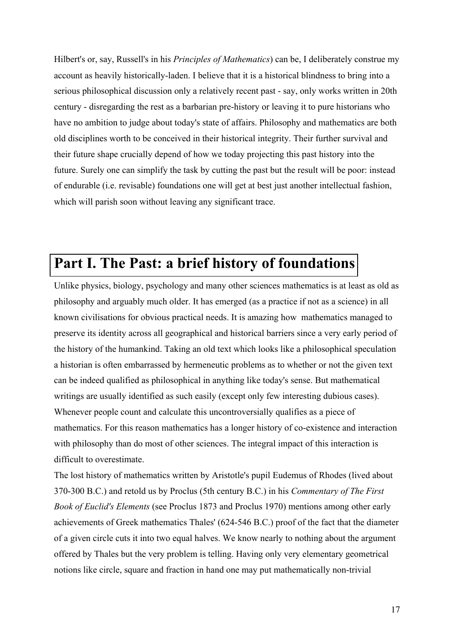<span id="page-16-0"></span>Hilbert's or, say, Russell's in his *Principles of Mathematics*) can be, I deliberately construe my account as heavily historically-laden. I believe that it is a historical blindness to bring into a serious philosophical discussion only a relatively recent past - say, only works written in 20th century - disregarding the rest as a barbarian pre-history or leaving it to pure historians who have no ambition to judge about today's state of affairs. Philosophy and mathematics are both old disciplines worth to be conceived in their historical integrity. Their further survival and their future shape crucially depend of how we today projecting this past history into the future. Surely one can simplify the task by cutting the past but the result will be poor: instead of endurable (i.e. revisable) foundations one will get at best just another intellectual fashion, which will parish soon without leaving any significant trace.

# **[Part I. The Past: a brief history of foundations](#page-1-0)**

Unlike physics, biology, psychology and many other sciences mathematics is at least as old as philosophy and arguably much older. It has emerged (as a practice if not as a science) in all known civilisations for obvious practical needs. It is amazing how mathematics managed to preserve its identity across all geographical and historical barriers since a very early period of the history of the humankind. Taking an old text which looks like a philosophical speculation a historian is often embarrassed by hermeneutic problems as to whether or not the given text can be indeed qualified as philosophical in anything like today's sense. But mathematical writings are usually identified as such easily (except only few interesting dubious cases). Whenever people count and calculate this uncontroversially qualifies as a piece of mathematics. For this reason mathematics has a longer history of co-existence and interaction with philosophy than do most of other sciences. The integral impact of this interaction is difficult to overestimate.

The lost history of mathematics written by Aristotle's pupil Eudemus of Rhodes (lived about 370-300 B.C.) and retold us by Proclus (5th century B.C.) in his *Commentary of The First Book of Euclid's Elements* (see Proclus 1873 and Proclus 1970) mentions among other early achievements of Greek mathematics Thales' (624-546 B.C.) proof of the fact that the diameter of a given circle cuts it into two equal halves. We know nearly to nothing about the argument offered by Thales but the very problem is telling. Having only very elementary geometrical notions like circle, square and fraction in hand one may put mathematically non-trivial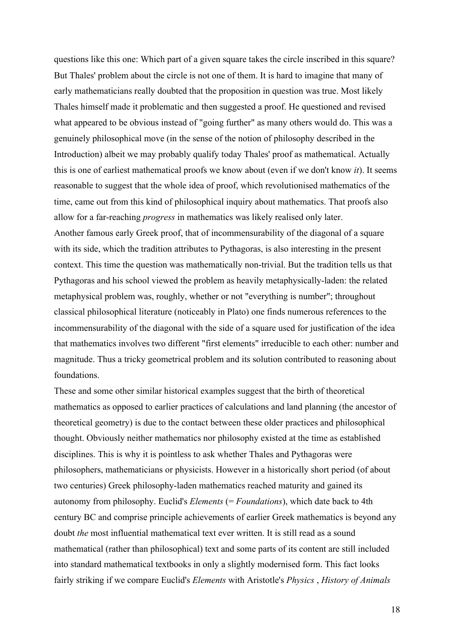questions like this one: Which part of a given square takes the circle inscribed in this square? But Thales' problem about the circle is not one of them. It is hard to imagine that many of early mathematicians really doubted that the proposition in question was true. Most likely Thales himself made it problematic and then suggested a proof. He questioned and revised what appeared to be obvious instead of "going further" as many others would do. This was a genuinely philosophical move (in the sense of the notion of philosophy described in the Introduction) albeit we may probably qualify today Thales' proof as mathematical. Actually this is one of earliest mathematical proofs we know about (even if we don't know *it*). It seems reasonable to suggest that the whole idea of proof, which revolutionised mathematics of the time, came out from this kind of philosophical inquiry about mathematics. That proofs also allow for a far-reaching *progress* in mathematics was likely realised only later. Another famous early Greek proof, that of incommensurability of the diagonal of a square with its side, which the tradition attributes to Pythagoras, is also interesting in the present context. This time the question was mathematically non-trivial. But the tradition tells us that Pythagoras and his school viewed the problem as heavily metaphysically-laden: the related metaphysical problem was, roughly, whether or not "everything is number"; throughout classical philosophical literature (noticeably in Plato) one finds numerous references to the incommensurability of the diagonal with the side of a square used for justification of the idea that mathematics involves two different "first elements" irreducible to each other: number and magnitude. Thus a tricky geometrical problem and its solution contributed to reasoning about foundations.

These and some other similar historical examples suggest that the birth of theoretical mathematics as opposed to earlier practices of calculations and land planning (the ancestor of theoretical geometry) is due to the contact between these older practices and philosophical thought. Obviously neither mathematics nor philosophy existed at the time as established disciplines. This is why it is pointless to ask whether Thales and Pythagoras were philosophers, mathematicians or physicists. However in a historically short period (of about two centuries) Greek philosophy-laden mathematics reached maturity and gained its autonomy from philosophy. Euclid's *Elements* (= *Foundations*), which date back to 4th century BC and comprise principle achievements of earlier Greek mathematics is beyond any doubt *the* most influential mathematical text ever written. It is still read as a sound mathematical (rather than philosophical) text and some parts of its content are still included into standard mathematical textbooks in only a slightly modernised form. This fact looks fairly striking if we compare Euclid's *Elements* with Aristotle's *Physics* , *History of Animals*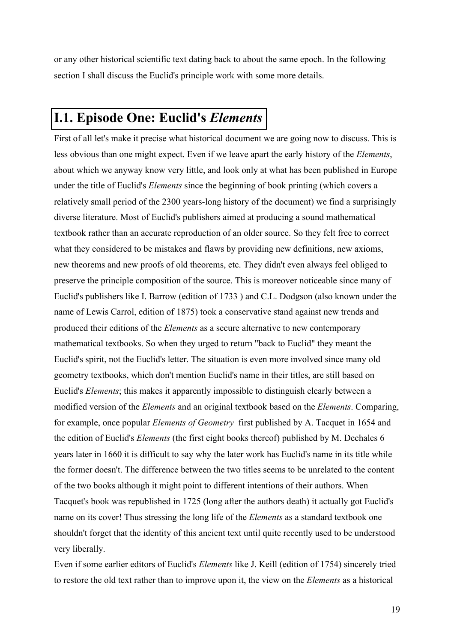<span id="page-18-0"></span>or any other historical scientific text dating back to about the same epoch. In the following section I shall discuss the Euclid's principle work with some more details.

# **[I.1. Episode One: Euclid's](#page-1-0)** *Elements*

First of all let's make it precise what historical document we are going now to discuss. This is less obvious than one might expect. Even if we leave apart the early history of the *Elements*, about which we anyway know very little, and look only at what has been published in Europe under the title of Euclid's *Elements* since the beginning of book printing (which covers a relatively small period of the 2300 years-long history of the document) we find a surprisingly diverse literature. Most of Euclid's publishers aimed at producing a sound mathematical textbook rather than an accurate reproduction of an older source. So they felt free to correct what they considered to be mistakes and flaws by providing new definitions, new axioms, new theorems and new proofs of old theorems, etc. They didn't even always feel obliged to preserve the principle composition of the source. This is moreover noticeable since many of Euclid's publishers like I. Barrow (edition of 1733 ) and C.L. Dodgson (also known under the name of Lewis Carrol, edition of 1875) took a conservative stand against new trends and produced their editions of the *Elements* as a secure alternative to new contemporary mathematical textbooks. So when they urged to return "back to Euclid" they meant the Euclid's spirit, not the Euclid's letter. The situation is even more involved since many old geometry textbooks, which don't mention Euclid's name in their titles, are still based on Euclid's *Elements*; this makes it apparently impossible to distinguish clearly between a modified version of the *Elements* and an original textbook based on the *Elements*. Comparing, for example, once popular *Elements of Geometry* first published by A. Tacquet in 1654 and the edition of Euclid's *Elements* (the first eight books thereof) published by M. Dechales 6 years later in 1660 it is difficult to say why the later work has Euclid's name in its title while the former doesn't. The difference between the two titles seems to be unrelated to the content of the two books although it might point to different intentions of their authors. When Tacquet's book was republished in 1725 (long after the authors death) it actually got Euclid's name on its cover! Thus stressing the long life of the *Elements* as a standard textbook one shouldn't forget that the identity of this ancient text until quite recently used to be understood very liberally.

Even if some earlier editors of Euclid's *Elements* like J. Keill (edition of 1754) sincerely tried to restore the old text rather than to improve upon it, the view on the *Elements* as a historical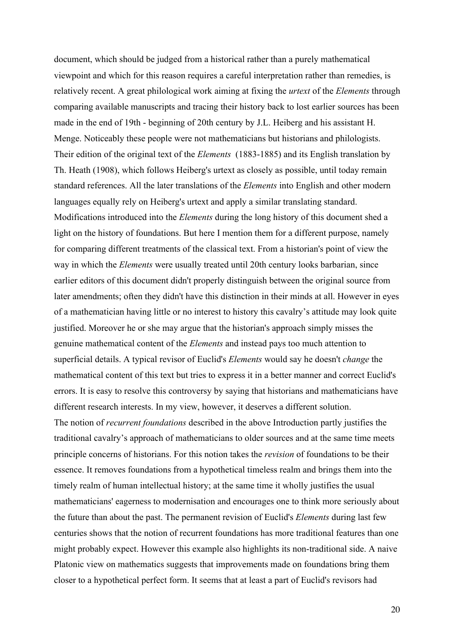document, which should be judged from a historical rather than a purely mathematical viewpoint and which for this reason requires a careful interpretation rather than remedies, is relatively recent. A great philological work aiming at fixing the *urtext* of the *Elements* through comparing available manuscripts and tracing their history back to lost earlier sources has been made in the end of 19th - beginning of 20th century by J.L. Heiberg and his assistant H. Menge. Noticeably these people were not mathematicians but historians and philologists. Their edition of the original text of the *Elements* (1883-1885) and its English translation by Th. Heath (1908), which follows Heiberg's urtext as closely as possible, until today remain standard references. All the later translations of the *Elements* into English and other modern languages equally rely on Heiberg's urtext and apply a similar translating standard. Modifications introduced into the *Elements* during the long history of this document shed a light on the history of foundations. But here I mention them for a different purpose, namely for comparing different treatments of the classical text. From a historian's point of view the way in which the *Elements* were usually treated until 20th century looks barbarian, since earlier editors of this document didn't properly distinguish between the original source from later amendments; often they didn't have this distinction in their minds at all. However in eyes of a mathematician having little or no interest to history this cavalry's attitude may look quite justified. Moreover he or she may argue that the historian's approach simply misses the genuine mathematical content of the *Elements* and instead pays too much attention to superficial details. A typical revisor of Euclid's *Elements* would say he doesn't *change* the mathematical content of this text but tries to express it in a better manner and correct Euclid's errors. It is easy to resolve this controversy by saying that historians and mathematicians have different research interests. In my view, however, it deserves a different solution. The notion of *recurrent foundations* described in the above Introduction partly justifies the traditional cavalry's approach of mathematicians to older sources and at the same time meets principle concerns of historians. For this notion takes the *revision* of foundations to be their essence. It removes foundations from a hypothetical timeless realm and brings them into the timely realm of human intellectual history; at the same time it wholly justifies the usual mathematicians' eagerness to modernisation and encourages one to think more seriously about the future than about the past. The permanent revision of Euclid's *Elements* during last few centuries shows that the notion of recurrent foundations has more traditional features than one might probably expect. However this example also highlights its non-traditional side. A naive Platonic view on mathematics suggests that improvements made on foundations bring them closer to a hypothetical perfect form. It seems that at least a part of Euclid's revisors had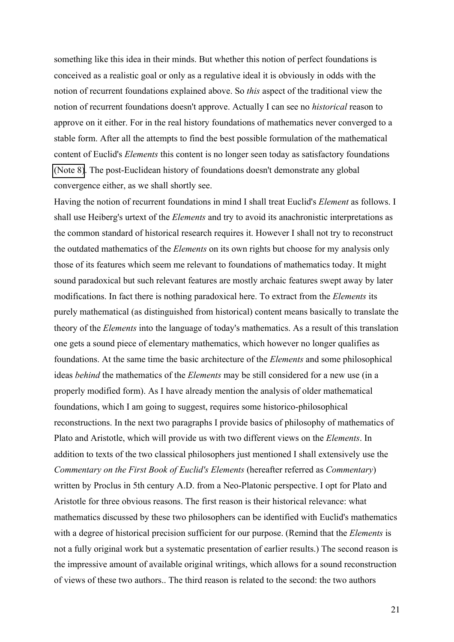something like this idea in their minds. But whether this notion of perfect foundations is conceived as a realistic goal or only as a regulative ideal it is obviously in odds with the notion of recurrent foundations explained above. So *this* aspect of the traditional view the notion of recurrent foundations doesn't approve. Actually I can see no *historical* reason to approve on it either. For in the real history foundations of mathematics never converged to a stable form. After all the attempts to find the best possible formulation of the mathematical content of Euclid's *Elements* this content is no longer seen today as satisfactory foundations [\(Note 8\)](#page-101-0). The post-Euclidean history of foundations doesn't demonstrate any global convergence either, as we shall shortly see.

Having the notion of recurrent foundations in mind I shall treat Euclid's *Element* as follows. I shall use Heiberg's urtext of the *Elements* and try to avoid its anachronistic interpretations as the common standard of historical research requires it. However I shall not try to reconstruct the outdated mathematics of the *Elements* on its own rights but choose for my analysis only those of its features which seem me relevant to foundations of mathematics today. It might sound paradoxical but such relevant features are mostly archaic features swept away by later modifications. In fact there is nothing paradoxical here. To extract from the *Elements* its purely mathematical (as distinguished from historical) content means basically to translate the theory of the *Elements* into the language of today's mathematics. As a result of this translation one gets a sound piece of elementary mathematics, which however no longer qualifies as foundations. At the same time the basic architecture of the *Elements* and some philosophical ideas *behind* the mathematics of the *Elements* may be still considered for a new use (in a properly modified form). As I have already mention the analysis of older mathematical foundations, which I am going to suggest, requires some historico-philosophical reconstructions. In the next two paragraphs I provide basics of philosophy of mathematics of Plato and Aristotle, which will provide us with two different views on the *Elements*. In addition to texts of the two classical philosophers just mentioned I shall extensively use the *Commentary on the First Book of Euclid's Elements* (hereafter referred as *Commentary*) written by Proclus in 5th century A.D. from a Neo-Platonic perspective. I opt for Plato and Aristotle for three obvious reasons. The first reason is their historical relevance: what mathematics discussed by these two philosophers can be identified with Euclid's mathematics with a degree of historical precision sufficient for our purpose. (Remind that the *Elements* is not a fully original work but a systematic presentation of earlier results.) The second reason is the impressive amount of available original writings, which allows for a sound reconstruction of views of these two authors.. The third reason is related to the second: the two authors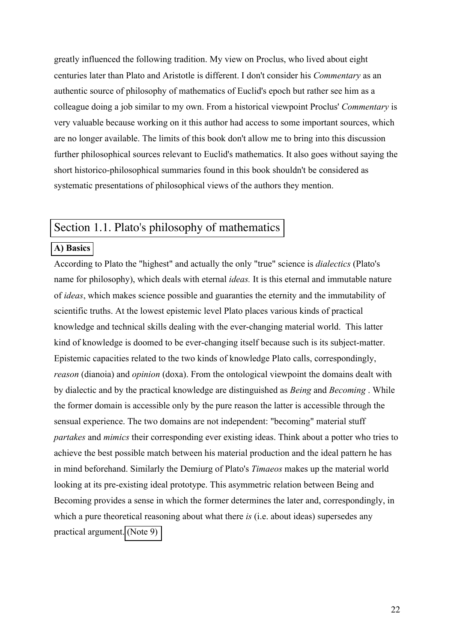<span id="page-21-0"></span>greatly influenced the following tradition. My view on Proclus, who lived about eight centuries later than Plato and Aristotle is different. I don't consider his *Commentary* as an authentic source of philosophy of mathematics of Euclid's epoch but rather see him as a colleague doing a job similar to my own. From a historical viewpoint Proclus' *Commentary* is very valuable because working on it this author had access to some important sources, which are no longer available. The limits of this book don't allow me to bring into this discussion further philosophical sources relevant to Euclid's mathematics. It also goes without saying the short historico-philosophical summaries found in this book shouldn't be considered as systematic presentations of philosophical views of the authors they mention.

### [Section 1.1. Plato's philosophy of mathematics](#page-1-0)

### **[A\) Basics](#page-1-0)**

According to Plato the "highest" and actually the only "true" science is *dialectics* (Plato's name for philosophy), which deals with eternal *ideas.* It is this eternal and immutable nature of *ideas*, which makes science possible and guaranties the eternity and the immutability of scientific truths. At the lowest epistemic level Plato places various kinds of practical knowledge and technical skills dealing with the ever-changing material world. This latter kind of knowledge is doomed to be ever-changing itself because such is its subject-matter. Epistemic capacities related to the two kinds of knowledge Plato calls, correspondingly, *reason* (dianoia) and *opinion* (doxa). From the ontological viewpoint the domains dealt with by dialectic and by the practical knowledge are distinguished as *Being* and *Becoming* . While the former domain is accessible only by the pure reason the latter is accessible through the sensual experience. The two domains are not independent: "becoming" material stuff *partakes* and *mimics* their corresponding ever existing ideas. Think about a potter who tries to achieve the best possible match between his material production and the ideal pattern he has in mind beforehand. Similarly the Demiurg of Plato's *Timaeos* makes up the material world looking at its pre-existing ideal prototype. This asymmetric relation between Being and Becoming provides a sense in which the former determines the later and, correspondingly, in which a pure theoretical reasoning about what there *is* (i.e. about ideas) supersedes any practical argument. [\(Note 9\)](#page-101-0)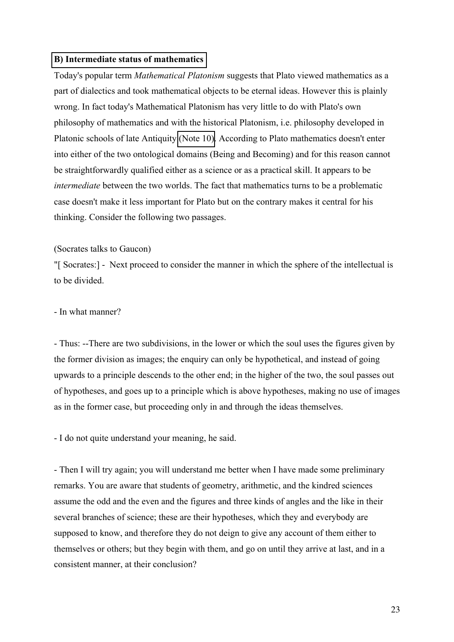### <span id="page-22-0"></span>**[B\) Intermediate status of mathematics](#page-1-0)**

Today's popular term *Mathematical Platonism* suggests that Plato viewed mathematics as a part of dialectics and took mathematical objects to be eternal ideas. However this is plainly wrong. In fact today's Mathematical Platonism has very little to do with Plato's own philosophy of mathematics and with the historical Platonism, i.e. philosophy developed in Platonic schools of late Antiquity [\(Note 10\).](#page-101-0) According to Plato mathematics doesn't enter into either of the two ontological domains (Being and Becoming) and for this reason cannot be straightforwardly qualified either as a science or as a practical skill. It appears to be *intermediate* between the two worlds. The fact that mathematics turns to be a problematic case doesn't make it less important for Plato but on the contrary makes it central for his thinking. Consider the following two passages.

### (Socrates talks to Gaucon)

"[ Socrates:] - Next proceed to consider the manner in which the sphere of the intellectual is to be divided.

### - In what manner?

- Thus: --There are two subdivisions, in the lower or which the soul uses the figures given by the former division as images; the enquiry can only be hypothetical, and instead of going upwards to a principle descends to the other end; in the higher of the two, the soul passes out of hypotheses, and goes up to a principle which is above hypotheses, making no use of images as in the former case, but proceeding only in and through the ideas themselves.

- I do not quite understand your meaning, he said.

- Then I will try again; you will understand me better when I have made some preliminary remarks. You are aware that students of geometry, arithmetic, and the kindred sciences assume the odd and the even and the figures and three kinds of angles and the like in their several branches of science; these are their hypotheses, which they and everybody are supposed to know, and therefore they do not deign to give any account of them either to themselves or others; but they begin with them, and go on until they arrive at last, and in a consistent manner, at their conclusion?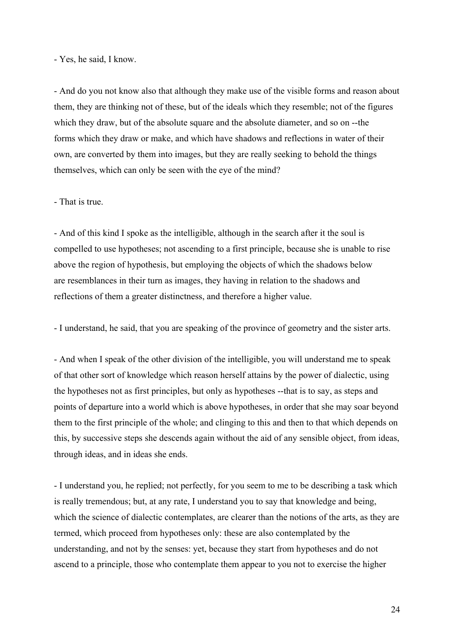### - Yes, he said, I know.

- And do you not know also that although they make use of the visible forms and reason about them, they are thinking not of these, but of the ideals which they resemble; not of the figures which they draw, but of the absolute square and the absolute diameter, and so on --the forms which they draw or make, and which have shadows and reflections in water of their own, are converted by them into images, but they are really seeking to behold the things themselves, which can only be seen with the eye of the mind?

### - That is true.

- And of this kind I spoke as the intelligible, although in the search after it the soul is compelled to use hypotheses; not ascending to a first principle, because she is unable to rise above the region of hypothesis, but employing the objects of which the shadows below are resemblances in their turn as images, they having in relation to the shadows and reflections of them a greater distinctness, and therefore a higher value.

- I understand, he said, that you are speaking of the province of geometry and the sister arts.

- And when I speak of the other division of the intelligible, you will understand me to speak of that other sort of knowledge which reason herself attains by the power of dialectic, using the hypotheses not as first principles, but only as hypotheses --that is to say, as steps and points of departure into a world which is above hypotheses, in order that she may soar beyond them to the first principle of the whole; and clinging to this and then to that which depends on this, by successive steps she descends again without the aid of any sensible object, from ideas, through ideas, and in ideas she ends.

- I understand you, he replied; not perfectly, for you seem to me to be describing a task which is really tremendous; but, at any rate, I understand you to say that knowledge and being, which the science of dialectic contemplates, are clearer than the notions of the arts, as they are termed, which proceed from hypotheses only: these are also contemplated by the understanding, and not by the senses: yet, because they start from hypotheses and do not ascend to a principle, those who contemplate them appear to you not to exercise the higher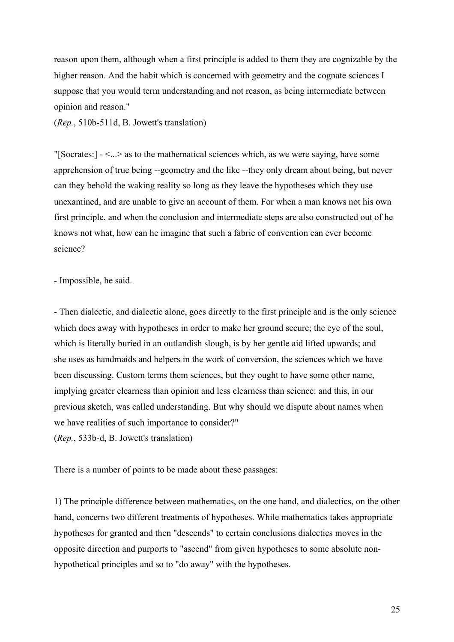reason upon them, although when a first principle is added to them they are cognizable by the higher reason. And the habit which is concerned with geometry and the cognate sciences I suppose that you would term understanding and not reason, as being intermediate between opinion and reason."

(*Rep.*, 510b-511d, B. Jowett's translation)

"[Socrates:] - <...> as to the mathematical sciences which, as we were saying, have some apprehension of true being --geometry and the like --they only dream about being, but never can they behold the waking reality so long as they leave the hypotheses which they use unexamined, and are unable to give an account of them. For when a man knows not his own first principle, and when the conclusion and intermediate steps are also constructed out of he knows not what, how can he imagine that such a fabric of convention can ever become science?

- Impossible, he said.

- Then dialectic, and dialectic alone, goes directly to the first principle and is the only science which does away with hypotheses in order to make her ground secure; the eye of the soul, which is literally buried in an outlandish slough, is by her gentle aid lifted upwards; and she uses as handmaids and helpers in the work of conversion, the sciences which we have been discussing. Custom terms them sciences, but they ought to have some other name, implying greater clearness than opinion and less clearness than science: and this, in our previous sketch, was called understanding. But why should we dispute about names when we have realities of such importance to consider?"

(*Rep.*, 533b-d, B. Jowett's translation)

There is a number of points to be made about these passages:

1) The principle difference between mathematics, on the one hand, and dialectics, on the other hand, concerns two different treatments of hypotheses. While mathematics takes appropriate hypotheses for granted and then "descends" to certain conclusions dialectics moves in the opposite direction and purports to "ascend" from given hypotheses to some absolute nonhypothetical principles and so to "do away" with the hypotheses.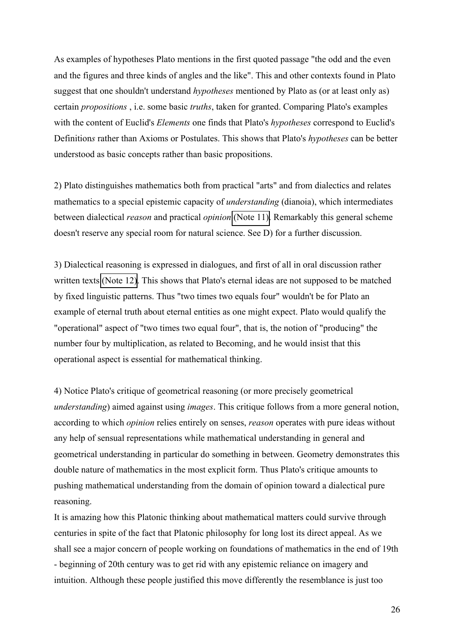As examples of hypotheses Plato mentions in the first quoted passage "the odd and the even and the figures and three kinds of angles and the like". This and other contexts found in Plato suggest that one shouldn't understand *hypotheses* mentioned by Plato as (or at least only as) certain *propositions* , i.e. some basic *truths*, taken for granted. Comparing Plato's examples with the content of Euclid's *Elements* one finds that Plato's *hypotheses* correspond to Euclid's Definition*s* rather than Axioms or Postulates. This shows that Plato's *hypotheses* can be better understood as basic concepts rather than basic propositions.

2) Plato distinguishes mathematics both from practical "arts" and from dialectics and relates mathematics to a special epistemic capacity of *understanding* (dianoia), which intermediates between dialectical *reason* and practical *opinion* [\(Note 11\).](#page-101-0) Remarkably this general scheme doesn't reserve any special room for natural science. See D) for a further discussion.

3) Dialectical reasoning is expressed in dialogues, and first of all in oral discussion rather written texts [\(Note 12\).](#page-102-0) This shows that Plato's eternal ideas are not supposed to be matched by fixed linguistic patterns. Thus "two times two equals four" wouldn't be for Plato an example of eternal truth about eternal entities as one might expect. Plato would qualify the "operational" aspect of "two times two equal four", that is, the notion of "producing" the number four by multiplication, as related to Becoming, and he would insist that this operational aspect is essential for mathematical thinking.

4) Notice Plato's critique of geometrical reasoning (or more precisely geometrical *understanding*) aimed against using *images*. This critique follows from a more general notion, according to which *opinion* relies entirely on senses, *reason* operates with pure ideas without any help of sensual representations while mathematical understanding in general and geometrical understanding in particular do something in between. Geometry demonstrates this double nature of mathematics in the most explicit form. Thus Plato's critique amounts to pushing mathematical understanding from the domain of opinion toward a dialectical pure reasoning.

It is amazing how this Platonic thinking about mathematical matters could survive through centuries in spite of the fact that Platonic philosophy for long lost its direct appeal. As we shall see a major concern of people working on foundations of mathematics in the end of 19th - beginning of 20th century was to get rid with any epistemic reliance on imagery and intuition. Although these people justified this move differently the resemblance is just too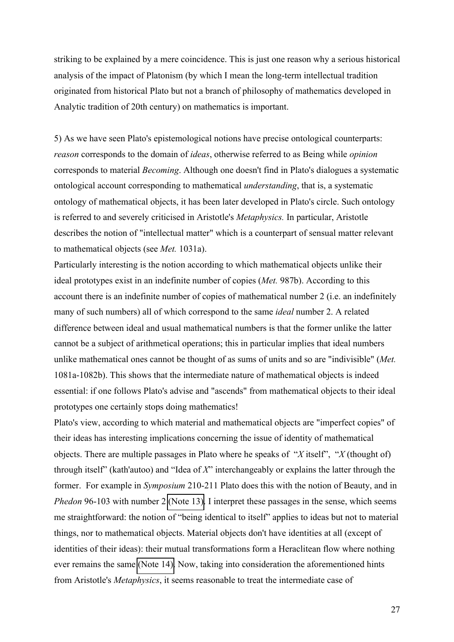striking to be explained by a mere coincidence. This is just one reason why a serious historical analysis of the impact of Platonism (by which I mean the long-term intellectual tradition originated from historical Plato but not a branch of philosophy of mathematics developed in Analytic tradition of 20th century) on mathematics is important.

5) As we have seen Plato's epistemological notions have precise ontological counterparts: *reason* corresponds to the domain of *ideas*, otherwise referred to as Being while *opinion* corresponds to material *Becoming*. Although one doesn't find in Plato's dialogues a systematic ontological account corresponding to mathematical *understanding*, that is, a systematic ontology of mathematical objects, it has been later developed in Plato's circle. Such ontology is referred to and severely criticised in Aristotle's *Metaphysics.* In particular, Aristotle describes the notion of "intellectual matter" which is a counterpart of sensual matter relevant to mathematical objects (see *Met.* 1031a).

Particularly interesting is the notion according to which mathematical objects unlike their ideal prototypes exist in an indefinite number of copies (*Met.* 987b). According to this account there is an indefinite number of copies of mathematical number 2 (i.e. an indefinitely many of such numbers) all of which correspond to the same *ideal* number 2. A related difference between ideal and usual mathematical numbers is that the former unlike the latter cannot be a subject of arithmetical operations; this in particular implies that ideal numbers unlike mathematical ones cannot be thought of as sums of units and so are "indivisible" (*Met.* 1081a-1082b). This shows that the intermediate nature of mathematical objects is indeed essential: if one follows Plato's advise and "ascends" from mathematical objects to their ideal prototypes one certainly stops doing mathematics!

Plato's view, according to which material and mathematical objects are "imperfect copies" of their ideas has interesting implications concerning the issue of identity of mathematical objects. There are multiple passages in Plato where he speaks of "*X* itself", "*X* (thought of) through itself" (kath'autoo) and "Idea of *X*" interchangeably or explains the latter through the former. For example in *Symposium* 210-211 Plato does this with the notion of Beauty, and in *Phedon* 96-103 with number 2 [\(Note 13\).](#page-102-0) I interpret these passages in the sense, which seems me straightforward: the notion of "being identical to itself" applies to ideas but not to material things, nor to mathematical objects. Material objects don't have identities at all (except of identities of their ideas): their mutual transformations form a Heraclitean flow where nothing ever remains the same [\(Note 14\).](#page-102-0) Now, taking into consideration the aforementioned hints from Aristotle's *Metaphysics*, it seems reasonable to treat the intermediate case of

27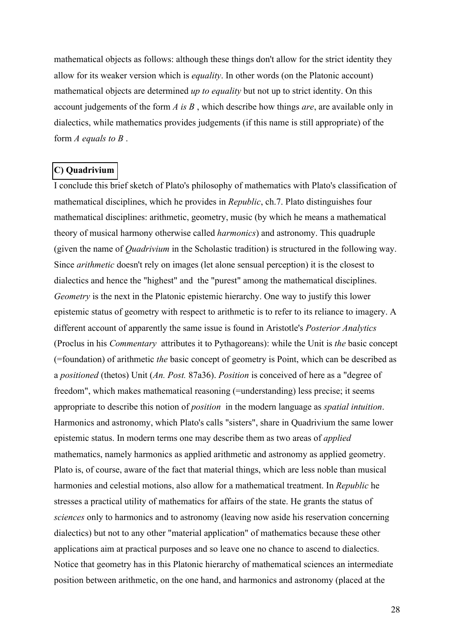<span id="page-27-0"></span>mathematical objects as follows: although these things don't allow for the strict identity they allow for its weaker version which is *equality*. In other words (on the Platonic account) mathematical objects are determined *up to equality* but not up to strict identity. On this account judgements of the form *A is B* , which describe how things *are*, are available only in dialectics, while mathematics provides judgements (if this name is still appropriate) of the form *A equals to B* .

#### **[C\) Quadrivium](#page-1-0)**

I conclude this brief sketch of Plato's philosophy of mathematics with Plato's classification of mathematical disciplines, which he provides in *Republic*, ch.7. Plato distinguishes four mathematical disciplines: arithmetic, geometry, music (by which he means a mathematical theory of musical harmony otherwise called *harmonics*) and astronomy. This quadruple (given the name of *Quadrivium* in the Scholastic tradition) is structured in the following way. Since *arithmetic* doesn't rely on images (let alone sensual perception) it is the closest to dialectics and hence the "highest" and the "purest" among the mathematical disciplines. *Geometry* is the next in the Platonic epistemic hierarchy. One way to justify this lower epistemic status of geometry with respect to arithmetic is to refer to its reliance to imagery. A different account of apparently the same issue is found in Aristotle's *Posterior Analytics* (Proclus in his *Commentary* attributes it to Pythagoreans): while the Unit is *the* basic concept (=foundation) of arithmetic *the* basic concept of geometry is Point, which can be described as a *positioned* (thetos) Unit (*An. Post.* 87a36). *Position* is conceived of here as a "degree of freedom", which makes mathematical reasoning (=understanding) less precise; it seems appropriate to describe this notion of *position* in the modern language as *spatial intuition*. Harmonics and astronomy, which Plato's calls "sisters", share in Quadrivium the same lower epistemic status. In modern terms one may describe them as two areas of *applied* mathematics, namely harmonics as applied arithmetic and astronomy as applied geometry. Plato is, of course, aware of the fact that material things, which are less noble than musical harmonies and celestial motions, also allow for a mathematical treatment. In *Republic* he stresses a practical utility of mathematics for affairs of the state. He grants the status of *sciences* only to harmonics and to astronomy (leaving now aside his reservation concerning dialectics) but not to any other "material application" of mathematics because these other applications aim at practical purposes and so leave one no chance to ascend to dialectics. Notice that geometry has in this Platonic hierarchy of mathematical sciences an intermediate position between arithmetic, on the one hand, and harmonics and astronomy (placed at the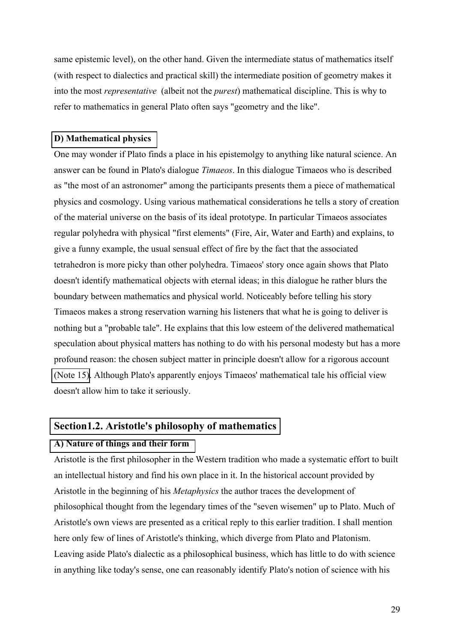<span id="page-28-0"></span>same epistemic level), on the other hand. Given the intermediate status of mathematics itself (with respect to dialectics and practical skill) the intermediate position of geometry makes it into the most *representative* (albeit not the *purest*) mathematical discipline. This is why to refer to mathematics in general Plato often says "geometry and the like".

### **[D\) Mathematical physics](#page-1-0)**

One may wonder if Plato finds a place in his epistemolgy to anything like natural science. An answer can be found in Plato's dialogue *Timaeos*. In this dialogue Timaeos who is described as "the most of an astronomer" among the participants presents them a piece of mathematical physics and cosmology. Using various mathematical considerations he tells a story of creation of the material universe on the basis of its ideal prototype. In particular Timaeos associates regular polyhedra with physical "first elements" (Fire, Air, Water and Earth) and explains, to give a funny example, the usual sensual effect of fire by the fact that the associated tetrahedron is more picky than other polyhedra. Timaeos' story once again shows that Plato doesn't identify mathematical objects with eternal ideas; in this dialogue he rather blurs the boundary between mathematics and physical world. Noticeably before telling his story Timaeos makes a strong reservation warning his listeners that what he is going to deliver is nothing but a "probable tale". He explains that this low esteem of the delivered mathematical speculation about physical matters has nothing to do with his personal modesty but has a more profound reason: the chosen subject matter in principle doesn't allow for a rigorous account [\(Note 15\)](#page-102-0). Although Plato's apparently enjoys Timaeos' mathematical tale his official view doesn't allow him to take it seriously.

### **[Section1.2. Aristotle's philosophy of mathematics](#page-1-0)**

### **[A\) Nature of things and their form](#page-1-0)**

Aristotle is the first philosopher in the Western tradition who made a systematic effort to built an intellectual history and find his own place in it. In the historical account provided by Aristotle in the beginning of his *Metaphysics* the author traces the development of philosophical thought from the legendary times of the "seven wisemen" up to Plato. Much of Aristotle's own views are presented as a critical reply to this earlier tradition. I shall mention here only few of lines of Aristotle's thinking, which diverge from Plato and Platonism. Leaving aside Plato's dialectic as a philosophical business, which has little to do with science in anything like today's sense, one can reasonably identify Plato's notion of science with his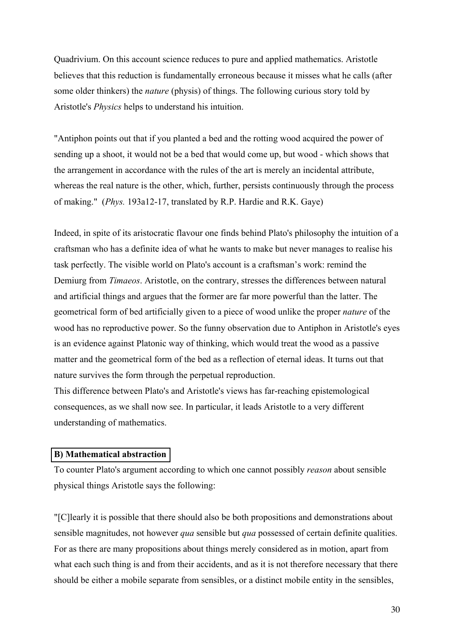<span id="page-29-0"></span>Quadrivium. On this account science reduces to pure and applied mathematics. Aristotle believes that this reduction is fundamentally erroneous because it misses what he calls (after some older thinkers) the *nature* (physis) of things. The following curious story told by Aristotle's *Physics* helps to understand his intuition.

"Antiphon points out that if you planted a bed and the rotting wood acquired the power of sending up a shoot, it would not be a bed that would come up, but wood - which shows that the arrangement in accordance with the rules of the art is merely an incidental attribute, whereas the real nature is the other, which, further, persists continuously through the process of making." (*Phys.* 193a12-17, translated by R.P. Hardie and R.K. Gaye)

Indeed, in spite of its aristocratic flavour one finds behind Plato's philosophy the intuition of a craftsman who has a definite idea of what he wants to make but never manages to realise his task perfectly. The visible world on Plato's account is a craftsman's work: remind the Demiurg from *Timaeos*. Aristotle, on the contrary, stresses the differences between natural and artificial things and argues that the former are far more powerful than the latter. The geometrical form of bed artificially given to a piece of wood unlike the proper *nature* of the wood has no reproductive power. So the funny observation due to Antiphon in Aristotle's eyes is an evidence against Platonic way of thinking, which would treat the wood as a passive matter and the geometrical form of the bed as a reflection of eternal ideas. It turns out that nature survives the form through the perpetual reproduction.

This difference between Plato's and Aristotle's views has far-reaching epistemological consequences, as we shall now see. In particular, it leads Aristotle to a very different understanding of mathematics.

### **[B\) Mathematical abstraction](#page-1-0)**

To counter Plato's argument according to which one cannot possibly *reason* about sensible physical things Aristotle says the following:

"[C]learly it is possible that there should also be both propositions and demonstrations about sensible magnitudes, not however *qua* sensible but *qua* possessed of certain definite qualities. For as there are many propositions about things merely considered as in motion, apart from what each such thing is and from their accidents, and as it is not therefore necessary that there should be either a mobile separate from sensibles, or a distinct mobile entity in the sensibles,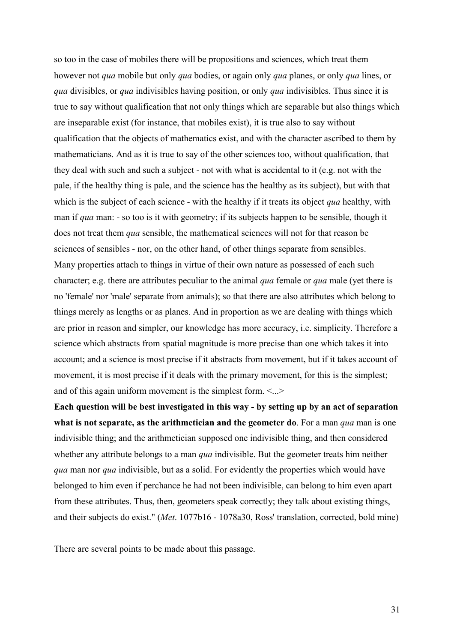so too in the case of mobiles there will be propositions and sciences, which treat them however not *qua* mobile but only *qua* bodies, or again only *qua* planes, or only *qua* lines, or *qua* divisibles, or *qua* indivisibles having position, or only *qua* indivisibles. Thus since it is true to say without qualification that not only things which are separable but also things which are inseparable exist (for instance, that mobiles exist), it is true also to say without qualification that the objects of mathematics exist, and with the character ascribed to them by mathematicians. And as it is true to say of the other sciences too, without qualification, that they deal with such and such a subject - not with what is accidental to it (e.g. not with the pale, if the healthy thing is pale, and the science has the healthy as its subject), but with that which is the subject of each science - with the healthy if it treats its object *qua* healthy, with man if *qua* man: - so too is it with geometry; if its subjects happen to be sensible, though it does not treat them *qua* sensible, the mathematical sciences will not for that reason be sciences of sensibles - nor, on the other hand, of other things separate from sensibles. Many properties attach to things in virtue of their own nature as possessed of each such character; e.g. there are attributes peculiar to the animal *qua* female or *qua* male (yet there is no 'female' nor 'male' separate from animals); so that there are also attributes which belong to things merely as lengths or as planes. And in proportion as we are dealing with things which are prior in reason and simpler, our knowledge has more accuracy, i.e. simplicity. Therefore a science which abstracts from spatial magnitude is more precise than one which takes it into account; and a science is most precise if it abstracts from movement, but if it takes account of movement, it is most precise if it deals with the primary movement, for this is the simplest; and of this again uniform movement is the simplest form.  $\langle ... \rangle$ 

**Each question will be best investigated in this way - by setting up by an act of separation what is not separate, as the arithmetician and the geometer do**. For a man *qua* man is one indivisible thing; and the arithmetician supposed one indivisible thing, and then considered whether any attribute belongs to a man *qua* indivisible. But the geometer treats him neither *qua* man nor *qua* indivisible, but as a solid. For evidently the properties which would have belonged to him even if perchance he had not been indivisible, can belong to him even apart from these attributes. Thus, then, geometers speak correctly; they talk about existing things, and their subjects do exist." (*Met*. 1077b16 - 1078a30, Ross' translation, corrected, bold mine)

There are several points to be made about this passage.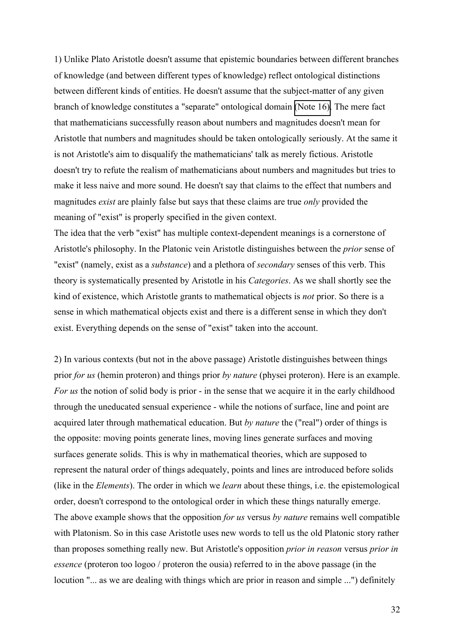1) Unlike Plato Aristotle doesn't assume that epistemic boundaries between different branches of knowledge (and between different types of knowledge) reflect ontological distinctions between different kinds of entities. He doesn't assume that the subject-matter of any given branch of knowledge constitutes a "separate" ontological domain [\(Note 16\).](#page-102-0) The mere fact that mathematicians successfully reason about numbers and magnitudes doesn't mean for Aristotle that numbers and magnitudes should be taken ontologically seriously. At the same it is not Aristotle's aim to disqualify the mathematicians' talk as merely fictious. Aristotle doesn't try to refute the realism of mathematicians about numbers and magnitudes but tries to make it less naive and more sound. He doesn't say that claims to the effect that numbers and magnitudes *exist* are plainly false but says that these claims are true *only* provided the meaning of "exist" is properly specified in the given context.

The idea that the verb "exist" has multiple context-dependent meanings is a cornerstone of Aristotle's philosophy. In the Platonic vein Aristotle distinguishes between the *prior* sense of "exist" (namely, exist as a *substance*) and a plethora of *secondary* senses of this verb. This theory is systematically presented by Aristotle in his *Categories*. As we shall shortly see the kind of existence, which Aristotle grants to mathematical objects is *not* prior. So there is a sense in which mathematical objects exist and there is a different sense in which they don't exist. Everything depends on the sense of "exist" taken into the account.

2) In various contexts (but not in the above passage) Aristotle distinguishes between things prior *for us* (hemin proteron) and things prior *by nature* (physei proteron). Here is an example. *For us* the notion of solid body is prior - in the sense that we acquire it in the early childhood through the uneducated sensual experience - while the notions of surface, line and point are acquired later through mathematical education. But *by nature* the ("real") order of things is the opposite: moving points generate lines, moving lines generate surfaces and moving surfaces generate solids. This is why in mathematical theories, which are supposed to represent the natural order of things adequately, points and lines are introduced before solids (like in the *Elements*). The order in which we *learn* about these things, i.e. the epistemological order, doesn't correspond to the ontological order in which these things naturally emerge. The above example shows that the opposition *for us* versus *by nature* remains well compatible with Platonism. So in this case Aristotle uses new words to tell us the old Platonic story rather than proposes something really new. But Aristotle's opposition *prior in reason* versus *prior in essence* (proteron too logoo / proteron the ousia) referred to in the above passage (in the locution "... as we are dealing with things which are prior in reason and simple ...") definitely

32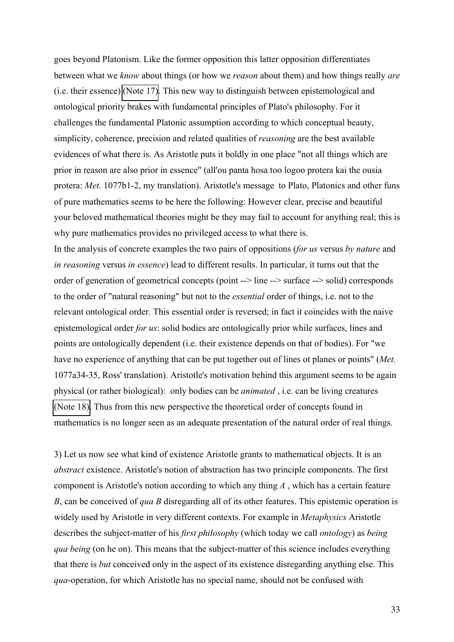goes beyond Platonism. Like the former opposition this latter opposition differentiates between what we *know* about things (or how we *reason* about them) and how things really *are* (i.e. their essence) [\(Note 17\)](#page-103-0). This new way to distinguish between epistemological and ontological priority brakes with fundamental principles of Plato's philosophy. For it challenges the fundamental Platonic assumption according to which conceptual beauty, simplicity, coherence, precision and related qualities of *reasoning* are the best available evidences of what there is. As Aristotle puts it boldly in one place "not all things which are prior in reason are also prior in essence" (all'ou panta hosa too logoo protera kai the ousia protera: *Met.* 1077b1-2, my translation). Aristotle's message to Plato, Platonics and other funs of pure mathematics seems to be here the following: However clear, precise and beautiful your beloved mathematical theories might be they may fail to account for anything real; this is why pure mathematics provides no privileged access to what there is.

In the analysis of concrete examples the two pairs of oppositions (*for us* versus *by nature* and *in reasoning* versus *in essence*) lead to different results. In particular, it turns out that the order of generation of geometrical concepts (point --> line --> surface --> solid) corresponds to the order of "natural reasoning" but not to the *essential* order of things, i.e. not to the relevant ontological order. This essential order is reversed; in fact it coincides with the naive epistemological order *for us*: solid bodies are ontologically prior while surfaces, lines and points are ontologically dependent (i.e. their existence depends on that of bodies). For "we have no experience of anything that can be put together out of lines ot planes or points" (*Met.* 1077a34-35, Ross' translation). Aristotle's motivation behind this argument seems to be again physical (or rather biological): only bodies can be *animated* , i.e. can be living creatures [\(Note 18\).](#page-103-0) Thus from this new perspective the theoretical order of concepts found in mathematics is no longer seen as an adequate presentation of the natural order of real things.

3) Let us now see what kind of existence Aristotle grants to mathematical objects. It is an *abstract* existence. Aristotle's notion of abstraction has two principle components. The first component is Aristotle's notion according to which any thing *A* , which has a certain feature *B*, can be conceived of *qua B* disregarding all of its other features. This epistemic operation is widely used by Aristotle in very different contexts. For example in *Metaphysics* Aristotle describes the subject-matter of his *first philosophy* (which today we call *ontology*) as *being qua being* (on he on). This means that the subject-matter of this science includes everything that there is *but* conceived only in the aspect of its existence disregarding anything else. This *qua*-operation, for which Aristotle has no special name, should not be confused with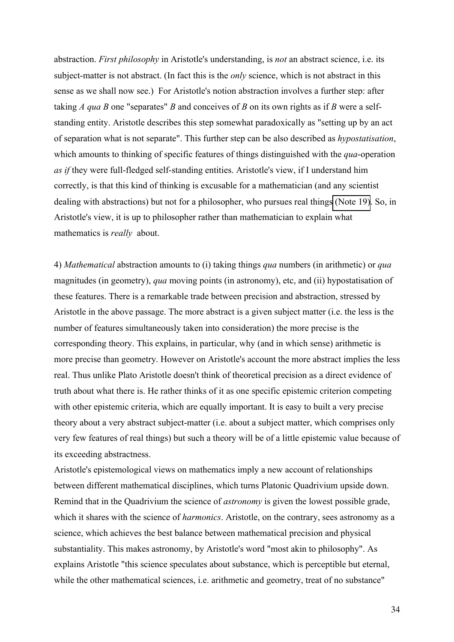abstraction. *First philosophy* in Aristotle's understanding, is *not* an abstract science, i.e. its subject-matter is not abstract. (In fact this is the *only* science, which is not abstract in this sense as we shall now see.) For Aristotle's notion abstraction involves a further step: after taking *A qua B* one "separates" *B* and conceives of *B* on its own rights as if *B* were a selfstanding entity. Aristotle describes this step somewhat paradoxically as "setting up by an act of separation what is not separate". This further step can be also described as *hypostatisation*, which amounts to thinking of specific features of things distinguished with the *qua*-operation *as if* they were full-fledged self-standing entities. Aristotle's view, if I understand him correctly, is that this kind of thinking is excusable for a mathematician (and any scientist dealing with abstractions) but not for a philosopher, who pursues real thing[s \(Note 19\)](#page-103-0). So, in Aristotle's view, it is up to philosopher rather than mathematician to explain what mathematics is *really* about.

4) *Mathematical* abstraction amounts to (i) taking things *qua* numbers (in arithmetic) or *qua* magnitudes (in geometry), *qua* moving points (in astronomy), etc, and (ii) hypostatisation of these features. There is a remarkable trade between precision and abstraction, stressed by Aristotle in the above passage. The more abstract is a given subject matter (i.e. the less is the number of features simultaneously taken into consideration) the more precise is the corresponding theory. This explains, in particular, why (and in which sense) arithmetic is more precise than geometry. However on Aristotle's account the more abstract implies the less real. Thus unlike Plato Aristotle doesn't think of theoretical precision as a direct evidence of truth about what there is. He rather thinks of it as one specific epistemic criterion competing with other epistemic criteria, which are equally important. It is easy to built a very precise theory about a very abstract subject-matter (i.e. about a subject matter, which comprises only very few features of real things) but such a theory will be of a little epistemic value because of its exceeding abstractness.

Aristotle's epistemological views on mathematics imply a new account of relationships between different mathematical disciplines, which turns Platonic Quadrivium upside down. Remind that in the Quadrivium the science of *astronomy* is given the lowest possible grade, which it shares with the science of *harmonics*. Aristotle, on the contrary, sees astronomy as a science, which achieves the best balance between mathematical precision and physical substantiality. This makes astronomy, by Aristotle's word "most akin to philosophy". As explains Aristotle "this science speculates about substance, which is perceptible but eternal, while the other mathematical sciences, i.e. arithmetic and geometry, treat of no substance"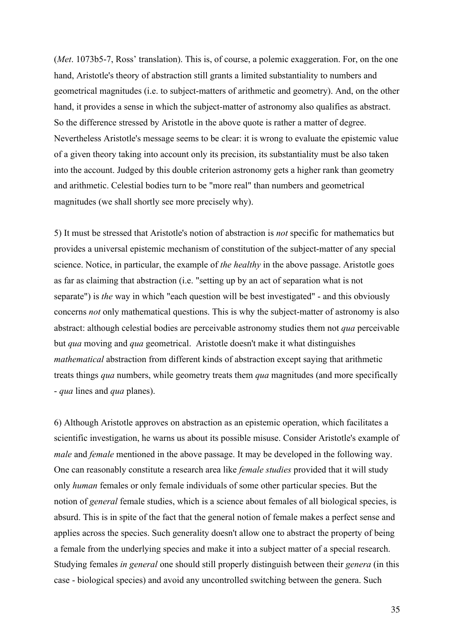(*Met*. 1073b5-7, Ross' translation). This is, of course, a polemic exaggeration. For, on the one hand, Aristotle's theory of abstraction still grants a limited substantiality to numbers and geometrical magnitudes (i.e. to subject-matters of arithmetic and geometry). And, on the other hand, it provides a sense in which the subject-matter of astronomy also qualifies as abstract. So the difference stressed by Aristotle in the above quote is rather a matter of degree. Nevertheless Aristotle's message seems to be clear: it is wrong to evaluate the epistemic value of a given theory taking into account only its precision, its substantiality must be also taken into the account. Judged by this double criterion astronomy gets a higher rank than geometry and arithmetic. Celestial bodies turn to be "more real" than numbers and geometrical magnitudes (we shall shortly see more precisely why).

5) It must be stressed that Aristotle's notion of abstraction is *not* specific for mathematics but provides a universal epistemic mechanism of constitution of the subject-matter of any special science. Notice, in particular, the example of *the healthy* in the above passage. Aristotle goes as far as claiming that abstraction (i.e. "setting up by an act of separation what is not separate") is *the* way in which "each question will be best investigated" - and this obviously concerns *not* only mathematical questions. This is why the subject-matter of astronomy is also abstract: although celestial bodies are perceivable astronomy studies them not *qua* perceivable but *qua* moving and *qua* geometrical. Aristotle doesn't make it what distinguishes *mathematical* abstraction from different kinds of abstraction except saying that arithmetic treats things *qua* numbers, while geometry treats them *qua* magnitudes (and more specifically - *qua* lines and *qua* planes).

6) Although Aristotle approves on abstraction as an epistemic operation, which facilitates a scientific investigation, he warns us about its possible misuse. Consider Aristotle's example of *male* and *female* mentioned in the above passage. It may be developed in the following way. One can reasonably constitute a research area like *female studies* provided that it will study only *human* females or only female individuals of some other particular species. But the notion of *general* female studies, which is a science about females of all biological species, is absurd. This is in spite of the fact that the general notion of female makes a perfect sense and applies across the species. Such generality doesn't allow one to abstract the property of being a female from the underlying species and make it into a subject matter of a special research. Studying females *in general* one should still properly distinguish between their *genera* (in this case - biological species) and avoid any uncontrolled switching between the genera. Such

35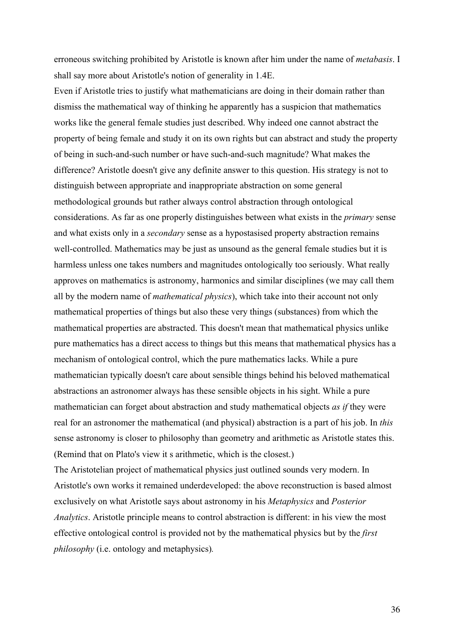erroneous switching prohibited by Aristotle is known after him under the name of *metabasis*. I shall say more about Aristotle's notion of generality in 1.4E.

Even if Aristotle tries to justify what mathematicians are doing in their domain rather than dismiss the mathematical way of thinking he apparently has a suspicion that mathematics works like the general female studies just described. Why indeed one cannot abstract the property of being female and study it on its own rights but can abstract and study the property of being in such-and-such number or have such-and-such magnitude? What makes the difference? Aristotle doesn't give any definite answer to this question. His strategy is not to distinguish between appropriate and inappropriate abstraction on some general methodological grounds but rather always control abstraction through ontological considerations. As far as one properly distinguishes between what exists in the *primary* sense and what exists only in a *secondary* sense as a hypostasised property abstraction remains well-controlled. Mathematics may be just as unsound as the general female studies but it is harmless unless one takes numbers and magnitudes ontologically too seriously. What really approves on mathematics is astronomy, harmonics and similar disciplines (we may call them all by the modern name of *mathematical physics*), which take into their account not only mathematical properties of things but also these very things (substances) from which the mathematical properties are abstracted. This doesn't mean that mathematical physics unlike pure mathematics has a direct access to things but this means that mathematical physics has a mechanism of ontological control, which the pure mathematics lacks. While a pure mathematician typically doesn't care about sensible things behind his beloved mathematical abstractions an astronomer always has these sensible objects in his sight. While a pure mathematician can forget about abstraction and study mathematical objects *as if* they were real for an astronomer the mathematical (and physical) abstraction is a part of his job. In *this* sense astronomy is closer to philosophy than geometry and arithmetic as Aristotle states this. (Remind that on Plato's view it s arithmetic, which is the closest.)

The Aristotelian project of mathematical physics just outlined sounds very modern. In Aristotle's own works it remained underdeveloped: the above reconstruction is based almost exclusively on what Aristotle says about astronomy in his *Metaphysics* and *Posterior Analytics*. Aristotle principle means to control abstraction is different: in his view the most effective ontological control is provided not by the mathematical physics but by the *first philosophy* (i.e. ontology and metaphysics)*.*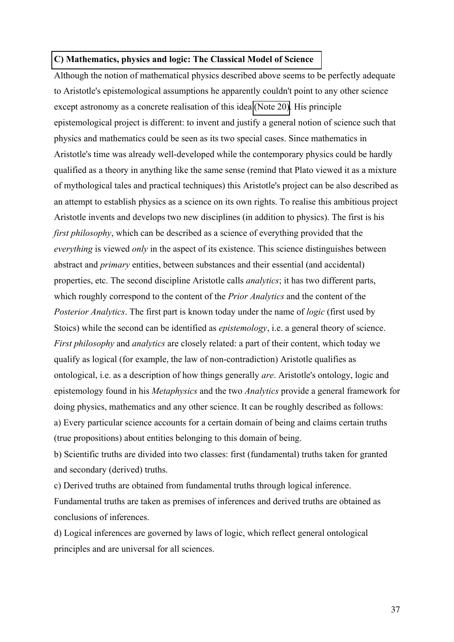#### **[C\) Mathematics, physics and logic: The Classical Model of Science](#page-1-0)**

Although the notion of mathematical physics described above seems to be perfectly adequate to Aristotle's epistemological assumptions he apparently couldn't point to any other science except astronomy as a concrete realisation of this idea [\(Note 20\).](#page-103-0) His principle epistemological project is different: to invent and justify a general notion of science such that physics and mathematics could be seen as its two special cases. Since mathematics in Aristotle's time was already well-developed while the contemporary physics could be hardly qualified as a theory in anything like the same sense (remind that Plato viewed it as a mixture of mythological tales and practical techniques) this Aristotle's project can be also described as an attempt to establish physics as a science on its own rights. To realise this ambitious project Aristotle invents and develops two new disciplines (in addition to physics). The first is his *first philosophy*, which can be described as a science of everything provided that the *everything* is viewed *only* in the aspect of its existence. This science distinguishes between abstract and *primary* entities, between substances and their essential (and accidental) properties, etc. The second discipline Aristotle calls *analytics*; it has two different parts, which roughly correspond to the content of the *Prior Analytics* and the content of the *Posterior Analytics*. The first part is known today under the name of *logic* (first used by Stoics) while the second can be identified as *epistemology*, i.e. a general theory of science. *First philosophy* and *analytics* are closely related: a part of their content, which today we qualify as logical (for example, the law of non-contradiction) Aristotle qualifies as ontological, i.e. as a description of how things generally *are*. Aristotle's ontology, logic and epistemology found in his *Metaphysics* and the two *Analytics* provide a general framework for doing physics, mathematics and any other science. It can be roughly described as follows: a) Every particular science accounts for a certain domain of being and claims certain truths (true propositions) about entities belonging to this domain of being.

b) Scientific truths are divided into two classes: first (fundamental) truths taken for granted and secondary (derived) truths.

c) Derived truths are obtained from fundamental truths through logical inference. Fundamental truths are taken as premises of inferences and derived truths are obtained as conclusions of inferences.

d) Logical inferences are governed by laws of logic, which reflect general ontological principles and are universal for all sciences.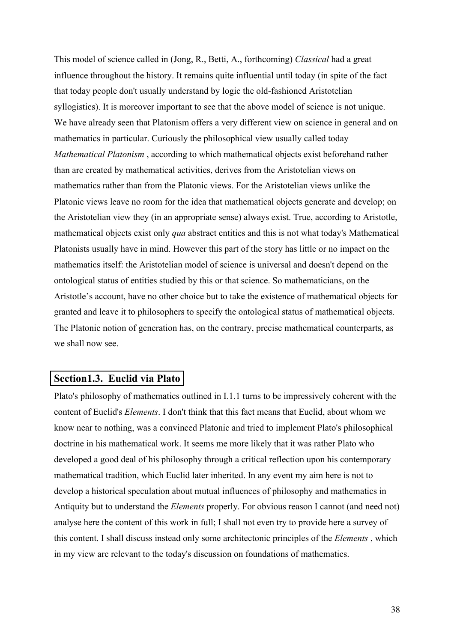This model of science called in (Jong, R., Betti, A., forthcoming) *Classical* had a great influence throughout the history. It remains quite influential until today (in spite of the fact that today people don't usually understand by logic the old-fashioned Aristotelian syllogistics). It is moreover important to see that the above model of science is not unique. We have already seen that Platonism offers a very different view on science in general and on mathematics in particular. Curiously the philosophical view usually called today *Mathematical Platonism* , according to which mathematical objects exist beforehand rather than are created by mathematical activities, derives from the Aristotelian views on mathematics rather than from the Platonic views. For the Aristotelian views unlike the Platonic views leave no room for the idea that mathematical objects generate and develop; on the Aristotelian view they (in an appropriate sense) always exist. True, according to Aristotle, mathematical objects exist only *qua* abstract entities and this is not what today's Mathematical Platonists usually have in mind. However this part of the story has little or no impact on the mathematics itself: the Aristotelian model of science is universal and doesn't depend on the ontological status of entities studied by this or that science. So mathematicians, on the Aristotle's account, have no other choice but to take the existence of mathematical objects for granted and leave it to philosophers to specify the ontological status of mathematical objects. The Platonic notion of generation has, on the contrary, precise mathematical counterparts, as we shall now see.

### **[Section1.3. Euclid via Plato](#page-1-0)**

Plato's philosophy of mathematics outlined in I.1.1 turns to be impressively coherent with the content of Euclid's *Elements*. I don't think that this fact means that Euclid, about whom we know near to nothing, was a convinced Platonic and tried to implement Plato's philosophical doctrine in his mathematical work. It seems me more likely that it was rather Plato who developed a good deal of his philosophy through a critical reflection upon his contemporary mathematical tradition, which Euclid later inherited. In any event my aim here is not to develop a historical speculation about mutual influences of philosophy and mathematics in Antiquity but to understand the *Elements* properly. For obvious reason I cannot (and need not) analyse here the content of this work in full; I shall not even try to provide here a survey of this content. I shall discuss instead only some architectonic principles of the *Elements* , which in my view are relevant to the today's discussion on foundations of mathematics.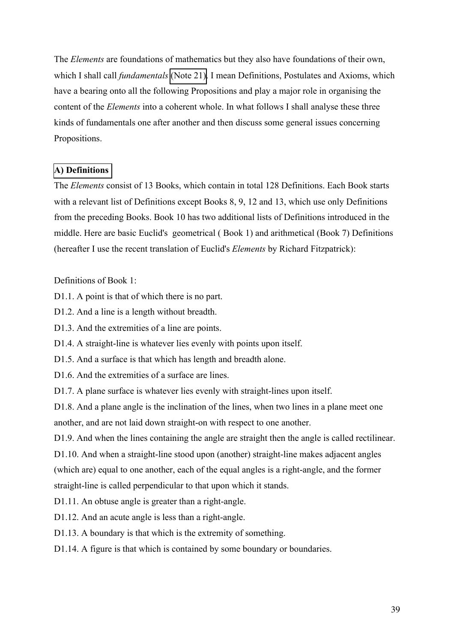The *Elements* are foundations of mathematics but they also have foundations of their own, which I shall call *fundamentals* [\(Note 21\)](#page-104-0). I mean Definitions, Postulates and Axioms, which have a bearing onto all the following Propositions and play a major role in organising the content of the *Elements* into a coherent whole. In what follows I shall analyse these three kinds of fundamentals one after another and then discuss some general issues concerning Propositions.

### **[A\) Definitions](#page-1-0)**

The *Elements* consist of 13 Books, which contain in total 128 Definitions. Each Book starts with a relevant list of Definitions except Books 8, 9, 12 and 13, which use only Definitions from the preceding Books. Book 10 has two additional lists of Definitions introduced in the middle. Here are basic Euclid's geometrical ( Book 1) and arithmetical (Book 7) Definitions (hereafter I use the recent translation of Euclid's *Elements* by Richard Fitzpatrick):

Definitions of Book 1:

D1.1. A point is that of which there is no part.

D1.2. And a line is a length without breadth.

D1.3. And the extremities of a line are points.

D1.4. A straight-line is whatever lies evenly with points upon itself.

D1.5. And a surface is that which has length and breadth alone.

D1.6. And the extremities of a surface are lines.

D1.7. A plane surface is whatever lies evenly with straight-lines upon itself.

D1.8. And a plane angle is the inclination of the lines, when two lines in a plane meet one another, and are not laid down straight-on with respect to one another.

D1.9. And when the lines containing the angle are straight then the angle is called rectilinear.

D1.10. And when a straight-line stood upon (another) straight-line makes adjacent angles (which are) equal to one another, each of the equal angles is a right-angle, and the former straight-line is called perpendicular to that upon which it stands.

D1.11. An obtuse angle is greater than a right-angle.

D1.12. And an acute angle is less than a right-angle.

D1.13. A boundary is that which is the extremity of something.

D1.14. A figure is that which is contained by some boundary or boundaries.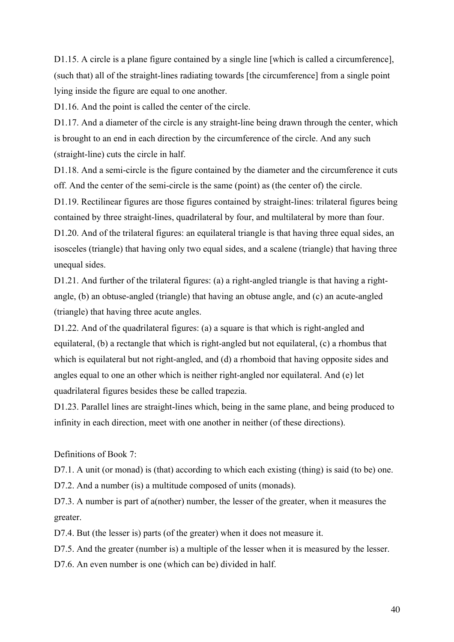D1.15. A circle is a plane figure contained by a single line [which is called a circumference], (such that) all of the straight-lines radiating towards [the circumference] from a single point lying inside the figure are equal to one another.

D1.16. And the point is called the center of the circle.

D1.17. And a diameter of the circle is any straight-line being drawn through the center, which is brought to an end in each direction by the circumference of the circle. And any such (straight-line) cuts the circle in half.

D1.18. And a semi-circle is the figure contained by the diameter and the circumference it cuts off. And the center of the semi-circle is the same (point) as (the center of) the circle.

D1.19. Rectilinear figures are those figures contained by straight-lines: trilateral figures being contained by three straight-lines, quadrilateral by four, and multilateral by more than four. D1.20. And of the trilateral figures: an equilateral triangle is that having three equal sides, an isosceles (triangle) that having only two equal sides, and a scalene (triangle) that having three unequal sides.

D1.21. And further of the trilateral figures: (a) a right-angled triangle is that having a rightangle, (b) an obtuse-angled (triangle) that having an obtuse angle, and (c) an acute-angled (triangle) that having three acute angles.

D1.22. And of the quadrilateral figures: (a) a square is that which is right-angled and equilateral, (b) a rectangle that which is right-angled but not equilateral, (c) a rhombus that which is equilateral but not right-angled, and (d) a rhomboid that having opposite sides and angles equal to one an other which is neither right-angled nor equilateral. And (e) let quadrilateral figures besides these be called trapezia.

D1.23. Parallel lines are straight-lines which, being in the same plane, and being produced to infinity in each direction, meet with one another in neither (of these directions).

Definitions of Book 7:

D7.1. A unit (or monad) is (that) according to which each existing (thing) is said (to be) one.

D7.2. And a number (is) a multitude composed of units (monads).

D7.3. A number is part of a(nother) number, the lesser of the greater, when it measures the greater.

D7.4. But (the lesser is) parts (of the greater) when it does not measure it.

D7.5. And the greater (number is) a multiple of the lesser when it is measured by the lesser.

D7.6. An even number is one (which can be) divided in half.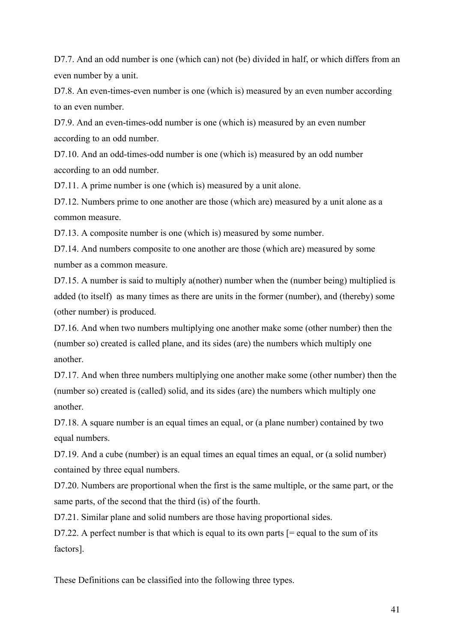D7.7. And an odd number is one (which can) not (be) divided in half, or which differs from an even number by a unit.

D7.8. An even-times-even number is one (which is) measured by an even number according to an even number.

D7.9. And an even-times-odd number is one (which is) measured by an even number according to an odd number.

D7.10. And an odd-times-odd number is one (which is) measured by an odd number according to an odd number.

D7.11. A prime number is one (which is) measured by a unit alone.

D7.12. Numbers prime to one another are those (which are) measured by a unit alone as a common measure.

D7.13. A composite number is one (which is) measured by some number.

D7.14. And numbers composite to one another are those (which are) measured by some number as a common measure.

D7.15. A number is said to multiply a(nother) number when the (number being) multiplied is added (to itself) as many times as there are units in the former (number), and (thereby) some (other number) is produced.

D7.16. And when two numbers multiplying one another make some (other number) then the (number so) created is called plane, and its sides (are) the numbers which multiply one another.

D7.17. And when three numbers multiplying one another make some (other number) then the (number so) created is (called) solid, and its sides (are) the numbers which multiply one another.

D7.18. A square number is an equal times an equal, or (a plane number) contained by two equal numbers.

D7.19. And a cube (number) is an equal times an equal times an equal, or (a solid number) contained by three equal numbers.

D7.20. Numbers are proportional when the first is the same multiple, or the same part, or the same parts, of the second that the third (is) of the fourth.

D7.21. Similar plane and solid numbers are those having proportional sides.

D7.22. A perfect number is that which is equal to its own parts  $[=$  equal to the sum of its factors].

These Definitions can be classified into the following three types.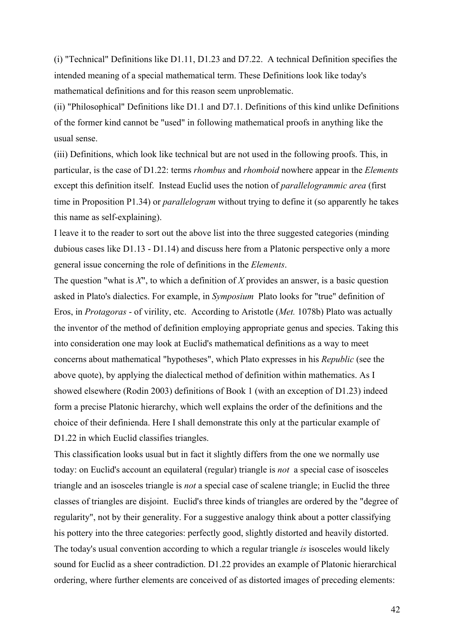(i) "Technical" Definitions like D1.11, D1.23 and D7.22. A technical Definition specifies the intended meaning of a special mathematical term. These Definitions look like today's mathematical definitions and for this reason seem unproblematic.

(ii) "Philosophical" Definitions like D1.1 and D7.1. Definitions of this kind unlike Definitions of the former kind cannot be "used" in following mathematical proofs in anything like the usual sense.

(iii) Definitions, which look like technical but are not used in the following proofs. This, in particular, is the case of D1.22: terms *rhombus* and *rhomboid* nowhere appear in the *Elements* except this definition itself. Instead Euclid uses the notion of *parallelogrammic area* (first time in Proposition P1.34) or *parallelogram* without trying to define it (so apparently he takes this name as self-explaining).

I leave it to the reader to sort out the above list into the three suggested categories (minding dubious cases like D1.13 - D1.14) and discuss here from a Platonic perspective only a more general issue concerning the role of definitions in the *Elements*.

The question "what is *X*", to which a definition of *X* provides an answer, is a basic question asked in Plato's dialectics. For example, in *Symposium* Plato looks for "true" definition of Eros, in *Protagoras* - of virility, etc. According to Aristotle (*Met.* 1078b) Plato was actually the inventor of the method of definition employing appropriate genus and species. Taking this into consideration one may look at Euclid's mathematical definitions as a way to meet concerns about mathematical "hypotheses", which Plato expresses in his *Republic* (see the above quote), by applying the dialectical method of definition within mathematics. As I showed elsewhere (Rodin 2003) definitions of Book 1 (with an exception of D1.23) indeed form a precise Platonic hierarchy, which well explains the order of the definitions and the choice of their definienda. Here I shall demonstrate this only at the particular example of D<sub>1.22</sub> in which Euclid classifies triangles.

This classification looks usual but in fact it slightly differs from the one we normally use today: on Euclid's account an equilateral (regular) triangle is *not* a special case of isosceles triangle and an isosceles triangle is *not* a special case of scalene triangle; in Euclid the three classes of triangles are disjoint. Euclid's three kinds of triangles are ordered by the "degree of regularity", not by their generality. For a suggestive analogy think about a potter classifying his pottery into the three categories: perfectly good, slightly distorted and heavily distorted. The today's usual convention according to which a regular triangle *is* isosceles would likely sound for Euclid as a sheer contradiction. D1.22 provides an example of Platonic hierarchical ordering, where further elements are conceived of as distorted images of preceding elements: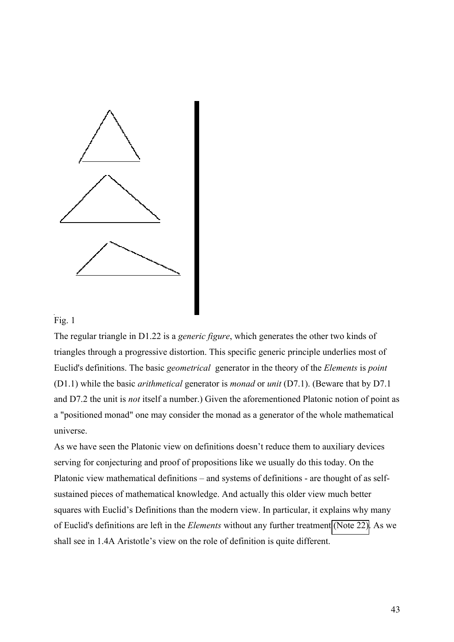

### Fig. 1

The regular triangle in D1.22 is a *generic figure*, which generates the other two kinds of triangles through a progressive distortion. This specific generic principle underlies most of Euclid's definitions. The basic *geometrical* generator in the theory of the *Elements* is *point* (D1.1) while the basic *arithmetical* generator is *monad* or *unit* (D7.1). (Beware that by D7.1 and D7.2 the unit is *not* itself a number.) Given the aforementioned Platonic notion of point as a "positioned monad" one may consider the monad as a generator of the whole mathematical universe.

As we have seen the Platonic view on definitions doesn't reduce them to auxiliary devices serving for conjecturing and proof of propositions like we usually do this today. On the Platonic view mathematical definitions – and systems of definitions - are thought of as selfsustained pieces of mathematical knowledge. And actually this older view much better squares with Euclid's Definitions than the modern view. In particular, it explains why many of Euclid's definitions are left in the *Elements* without any further treatment [\(Note 22\).](#page-104-0) As we shall see in 1.4A Aristotle's view on the role of definition is quite different.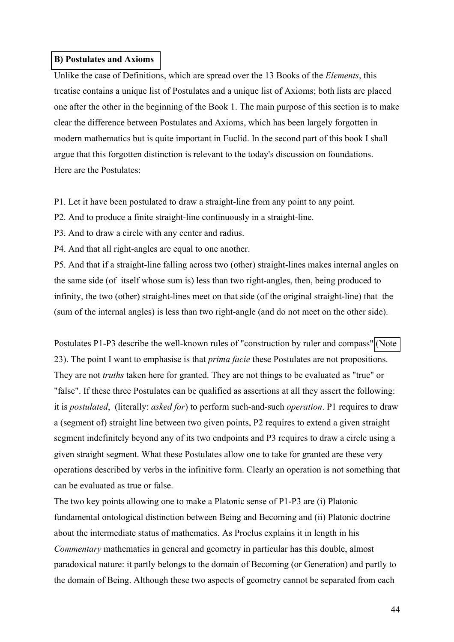#### **[B\) Postulates and Axioms](#page-1-0)**

Unlike the case of Definitions, which are spread over the 13 Books of the *Elements*, this treatise contains a unique list of Postulates and a unique list of Axioms; both lists are placed one after the other in the beginning of the Book 1. The main purpose of this section is to make clear the difference between Postulates and Axioms, which has been largely forgotten in modern mathematics but is quite important in Euclid. In the second part of this book I shall argue that this forgotten distinction is relevant to the today's discussion on foundations. Here are the Postulates:

P1. Let it have been postulated to draw a straight-line from any point to any point.

P2. And to produce a finite straight-line continuously in a straight-line.

P3. And to draw a circle with any center and radius.

P4. And that all right-angles are equal to one another.

P5. And that if a straight-line falling across two (other) straight-lines makes internal angles on the same side (of itself whose sum is) less than two right-angles, then, being produced to infinity, the two (other) straight-lines meet on that side (of the original straight-line) that the (sum of the internal angles) is less than two right-angle (and do not meet on the other side).

Postulates P1-P3 describe the well-known rules of "construction by ruler and compass" [\(Note](#page-104-0) 23). The point I want to emphasise is that *prima facie* these Postulates are not propositions. They are not *truths* taken here for granted. They are not things to be evaluated as "true" or "false". If these three Postulates can be qualified as assertions at all they assert the following: it is *postulated*, (literally: *asked for*) to perform such-and-such *operation*. P1 requires to draw a (segment of) straight line between two given points, P2 requires to extend a given straight segment indefinitely beyond any of its two endpoints and P3 requires to draw a circle using a given straight segment. What these Postulates allow one to take for granted are these very operations described by verbs in the infinitive form. Clearly an operation is not something that can be evaluated as true or false.

The two key points allowing one to make a Platonic sense of P1-P3 are (i) Platonic fundamental ontological distinction between Being and Becoming and (ii) Platonic doctrine about the intermediate status of mathematics. As Proclus explains it in length in his *Commentary* mathematics in general and geometry in particular has this double, almost paradoxical nature: it partly belongs to the domain of Becoming (or Generation) and partly to the domain of Being. Although these two aspects of geometry cannot be separated from each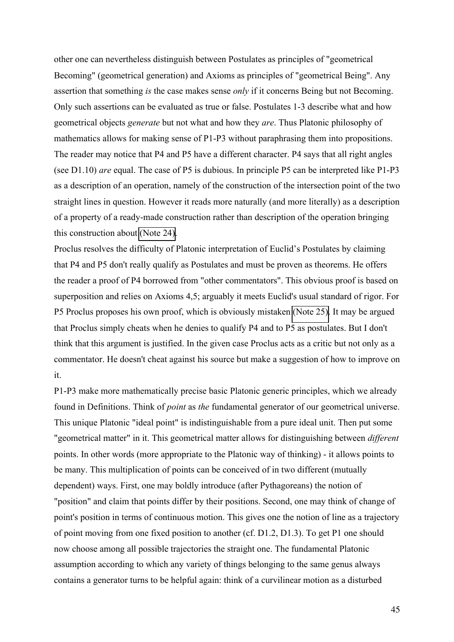other one can nevertheless distinguish between Postulates as principles of "geometrical Becoming" (geometrical generation) and Axioms as principles of "geometrical Being". Any assertion that something *is* the case makes sense *only* if it concerns Being but not Becoming. Only such assertions can be evaluated as true or false. Postulates 1-3 describe what and how geometrical objects *generate* but not what and how they *are*. Thus Platonic philosophy of mathematics allows for making sense of P1-P3 without paraphrasing them into propositions. The reader may notice that P4 and P5 have a different character. P4 says that all right angles (see D1.10) *are* equal. The case of P5 is dubious. In principle P5 can be interpreted like P1-P3 as a description of an operation, namely of the construction of the intersection point of the two straight lines in question. However it reads more naturally (and more literally) as a description of a property of a ready-made construction rather than description of the operation bringing this construction about [\(Note 24\).](#page-104-0)

Proclus resolves the difficulty of Platonic interpretation of Euclid's Postulates by claiming that P4 and P5 don't really qualify as Postulates and must be proven as theorems. He offers the reader a proof of P4 borrowed from "other commentators". This obvious proof is based on superposition and relies on Axioms 4,5; arguably it meets Euclid's usual standard of rigor. For P5 Proclus proposes his own proof, which is obviously mistaken [\(Note 25\)](#page-105-0). It may be argued that Proclus simply cheats when he denies to qualify P4 and to P5 as postulates. But I don't think that this argument is justified. In the given case Proclus acts as a critic but not only as a commentator. He doesn't cheat against his source but make a suggestion of how to improve on it.

P1-P3 make more mathematically precise basic Platonic generic principles, which we already found in Definitions. Think of *point* as *the* fundamental generator of our geometrical universe. This unique Platonic "ideal point" is indistinguishable from a pure ideal unit. Then put some "geometrical matter" in it. This geometrical matter allows for distinguishing between *different* points. In other words (more appropriate to the Platonic way of thinking) - it allows points to be many. This multiplication of points can be conceived of in two different (mutually dependent) ways. First, one may boldly introduce (after Pythagoreans) the notion of "position" and claim that points differ by their positions. Second, one may think of change of point's position in terms of continuous motion. This gives one the notion of line as a trajectory of point moving from one fixed position to another (cf. D1.2, D1.3). To get P1 one should now choose among all possible trajectories the straight one. The fundamental Platonic assumption according to which any variety of things belonging to the same genus always contains a generator turns to be helpful again: think of a curvilinear motion as a disturbed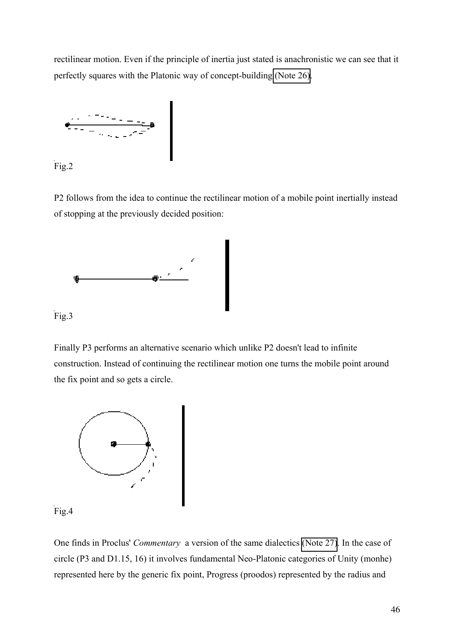rectilinear motion. Even if the principle of inertia just stated is anachronistic we can see that it perfectly squares with the Platonic way of concept-building [\(Note 26\).](#page-105-0)



Fig.2

P2 follows from the idea to continue the rectilinear motion of a mobile point inertially instead of stopping at the previously decided position:



Fig.3

Finally P3 performs an alternative scenario which unlike P2 doesn't lead to infinite construction. Instead of continuing the rectilinear motion one turns the mobile point around the fix point and so gets a circle.



Fig.4

One finds in Proclus' *Commentary* a version of the same dialectics [\(Note 27\)](#page-105-0). In the case of circle (P3 and D1.15, 16) it involves fundamental Neo-Platonic categories of Unity (monhe) represented here by the generic fix point, Progress (proodos) represented by the radius and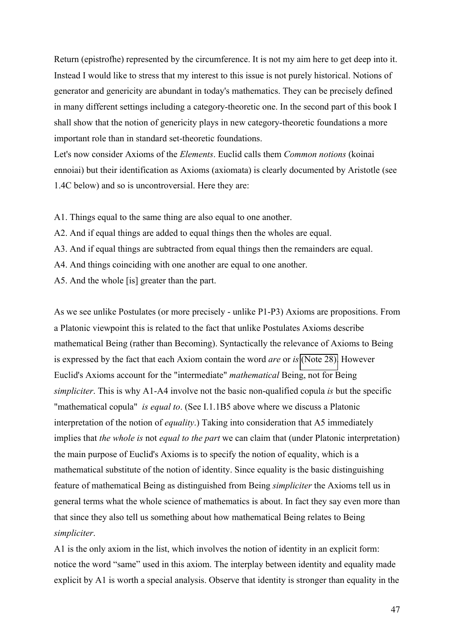Return (epistrofhe) represented by the circumference. It is not my aim here to get deep into it. Instead I would like to stress that my interest to this issue is not purely historical. Notions of generator and genericity are abundant in today's mathematics. They can be precisely defined in many different settings including a category-theoretic one. In the second part of this book I shall show that the notion of genericity plays in new category-theoretic foundations a more important role than in standard set-theoretic foundations.

Let's now consider Axioms of the *Elements*. Euclid calls them *Common notions* (koinai ennoiai) but their identification as Axioms (axiomata) is clearly documented by Aristotle (see 1.4C below) and so is uncontroversial. Here they are:

A1. Things equal to the same thing are also equal to one another.

A2. And if equal things are added to equal things then the wholes are equal.

A3. And if equal things are subtracted from equal things then the remainders are equal.

A4. And things coinciding with one another are equal to one another.

A5. And the whole [is] greater than the part.

As we see unlike Postulates (or more precisely - unlike P1-P3) Axioms are propositions. From a Platonic viewpoint this is related to the fact that unlike Postulates Axioms describe mathematical Being (rather than Becoming). Syntactically the relevance of Axioms to Being is expressed by the fact that each Axiom contain the word *are* or *is* [\(Note 28\).](#page-105-0) However Euclid's Axioms account for the "intermediate" *mathematical* Being, not for Being *simpliciter*. This is why A1-A4 involve not the basic non-qualified copula *is* but the specific "mathematical copula" *is equal to*. (See I.1.1B5 above where we discuss a Platonic interpretation of the notion of *equality*.) Taking into consideration that A5 immediately implies that *the whole is* not *equal to the part* we can claim that (under Platonic interpretation) the main purpose of Euclid's Axioms is to specify the notion of equality, which is a mathematical substitute of the notion of identity. Since equality is the basic distinguishing feature of mathematical Being as distinguished from Being *simpliciter* the Axioms tell us in general terms what the whole science of mathematics is about. In fact they say even more than that since they also tell us something about how mathematical Being relates to Being *simpliciter*.

A1 is the only axiom in the list, which involves the notion of identity in an explicit form: notice the word "same" used in this axiom. The interplay between identity and equality made explicit by A1 is worth a special analysis. Observe that identity is stronger than equality in the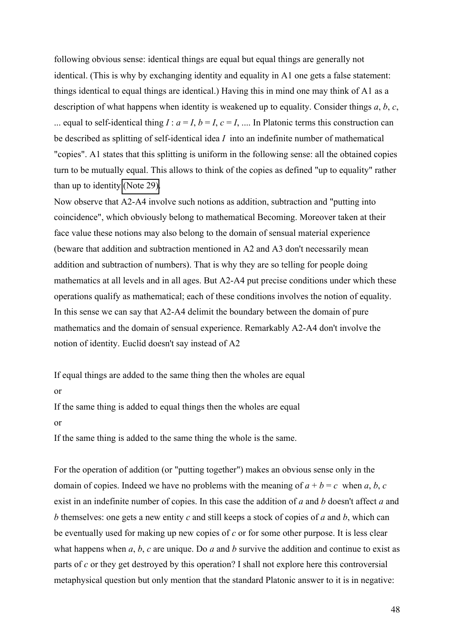following obvious sense: identical things are equal but equal things are generally not identical. (This is why by exchanging identity and equality in A1 one gets a false statement: things identical to equal things are identical.) Having this in mind one may think of A1 as a description of what happens when identity is weakened up to equality. Consider things *a*, *b*, *c*, ... equal to self-identical thing  $I : a = I, b = I, c = I, ...$  In Platonic terms this construction can be described as splitting of self-identical idea *I* into an indefinite number of mathematical "copies". A1 states that this splitting is uniform in the following sense: all the obtained copies turn to be mutually equal. This allows to think of the copies as defined "up to equality" rather than up to identity [\(Note 29\).](#page-106-0)

Now observe that A2-A4 involve such notions as addition, subtraction and "putting into coincidence", which obviously belong to mathematical Becoming. Moreover taken at their face value these notions may also belong to the domain of sensual material experience (beware that addition and subtraction mentioned in A2 and A3 don't necessarily mean addition and subtraction of numbers). That is why they are so telling for people doing mathematics at all levels and in all ages. But A2-A4 put precise conditions under which these operations qualify as mathematical; each of these conditions involves the notion of equality. In this sense we can say that A2-A4 delimit the boundary between the domain of pure mathematics and the domain of sensual experience. Remarkably A2-A4 don't involve the notion of identity. Euclid doesn't say instead of A2

If equal things are added to the same thing then the wholes are equal or

If the same thing is added to equal things then the wholes are equal or

If the same thing is added to the same thing the whole is the same.

For the operation of addition (or "putting together") makes an obvious sense only in the domain of copies. Indeed we have no problems with the meaning of  $a + b = c$  when  $a, b, c$ exist in an indefinite number of copies. In this case the addition of *a* and *b* doesn't affect *a* and *b* themselves: one gets a new entity *c* and still keeps a stock of copies of *a* and *b*, which can be eventually used for making up new copies of *c* or for some other purpose. It is less clear what happens when *a*, *b*, *c* are unique. Do *a* and *b* survive the addition and continue to exist as parts of *c* or they get destroyed by this operation? I shall not explore here this controversial metaphysical question but only mention that the standard Platonic answer to it is in negative: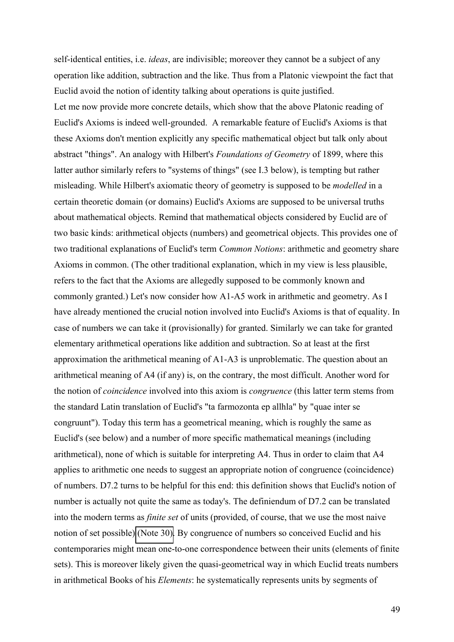self-identical entities, i.e. *ideas*, are indivisible; moreover they cannot be a subject of any operation like addition, subtraction and the like. Thus from a Platonic viewpoint the fact that Euclid avoid the notion of identity talking about operations is quite justified. Let me now provide more concrete details, which show that the above Platonic reading of Euclid's Axioms is indeed well-grounded. A remarkable feature of Euclid's Axioms is that these Axioms don't mention explicitly any specific mathematical object but talk only about abstract "things". An analogy with Hilbert's *Foundations of Geometry* of 1899, where this latter author similarly refers to "systems of things" (see I.3 below), is tempting but rather misleading. While Hilbert's axiomatic theory of geometry is supposed to be *modelled* in a certain theoretic domain (or domains) Euclid's Axioms are supposed to be universal truths about mathematical objects. Remind that mathematical objects considered by Euclid are of two basic kinds: arithmetical objects (numbers) and geometrical objects. This provides one of two traditional explanations of Euclid's term *Common Notions*: arithmetic and geometry share Axioms in common. (The other traditional explanation, which in my view is less plausible, refers to the fact that the Axioms are allegedly supposed to be commonly known and commonly granted.) Let's now consider how A1-A5 work in arithmetic and geometry. As I have already mentioned the crucial notion involved into Euclid's Axioms is that of equality. In case of numbers we can take it (provisionally) for granted. Similarly we can take for granted elementary arithmetical operations like addition and subtraction. So at least at the first approximation the arithmetical meaning of A1-A3 is unproblematic. The question about an arithmetical meaning of A4 (if any) is, on the contrary, the most difficult. Another word for the notion of *coincidence* involved into this axiom is *congruence* (this latter term stems from the standard Latin translation of Euclid's "ta farmozonta ep allhla" by "quae inter se congruunt"). Today this term has a geometrical meaning, which is roughly the same as Euclid's (see below) and a number of more specific mathematical meanings (including arithmetical), none of which is suitable for interpreting A4. Thus in order to claim that A4 applies to arithmetic one needs to suggest an appropriate notion of congruence (coincidence) of numbers. D7.2 turns to be helpful for this end: this definition shows that Euclid's notion of number is actually not quite the same as today's. The definiendum of D7.2 can be translated into the modern terms as *finite set* of units (provided, of course, that we use the most naive notion of set possible) [\(Note 30\).](#page-106-0) By congruence of numbers so conceived Euclid and his contemporaries might mean one-to-one correspondence between their units (elements of finite sets). This is moreover likely given the quasi-geometrical way in which Euclid treats numbers in arithmetical Books of his *Elements*: he systematically represents units by segments of

49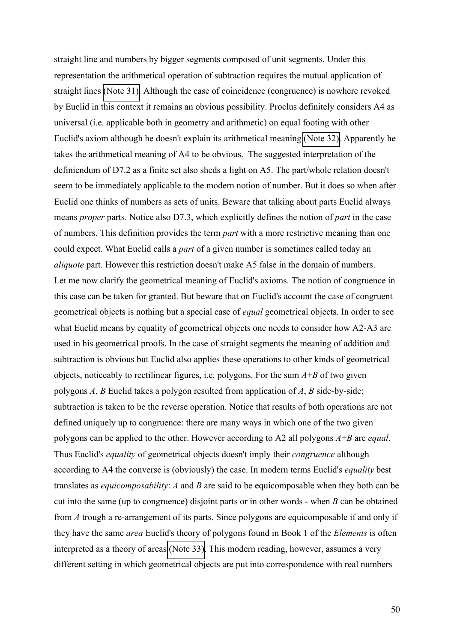straight line and numbers by bigger segments composed of unit segments. Under this representation the arithmetical operation of subtraction requires the mutual application of straight lines [\(Note 31\).](#page-106-0) Although the case of coincidence (congruence) is nowhere revoked by Euclid in this context it remains an obvious possibility. Proclus definitely considers A4 as universal (i.e. applicable both in geometry and arithmetic) on equal footing with other Euclid's axiom although he doesn't explain its arithmetical meaning [\(Note 32\).](#page-107-0) Apparently he takes the arithmetical meaning of A4 to be obvious. The suggested interpretation of the definiendum of D7.2 as a finite set also sheds a light on A5. The part/whole relation doesn't seem to be immediately applicable to the modern notion of number. But it does so when after Euclid one thinks of numbers as sets of units. Beware that talking about parts Euclid always means *proper* parts. Notice also D7.3, which explicitly defines the notion of *part* in the case of numbers. This definition provides the term *part* with a more restrictive meaning than one could expect. What Euclid calls a *part* of a given number is sometimes called today an *aliquote* part. However this restriction doesn't make A5 false in the domain of numbers. Let me now clarify the geometrical meaning of Euclid's axioms. The notion of congruence in this case can be taken for granted. But beware that on Euclid's account the case of congruent geometrical objects is nothing but a special case of *equal* geometrical objects. In order to see what Euclid means by equality of geometrical objects one needs to consider how A2-A3 are used in his geometrical proofs. In the case of straight segments the meaning of addition and subtraction is obvious but Euclid also applies these operations to other kinds of geometrical objects, noticeably to rectilinear figures, i.e. polygons. For the sum *A*+*B* of two given polygons *A*, *B* Euclid takes a polygon resulted from application of *A*, *B* side-by-side; subtraction is taken to be the reverse operation. Notice that results of both operations are not defined uniquely up to congruence: there are many ways in which one of the two given polygons can be applied to the other. However according to A2 all polygons *A*+*B* are *equal*. Thus Euclid's *equality* of geometrical objects doesn't imply their *congruence* although according to A4 the converse is (obviously) the case. In modern terms Euclid's *equality* best translates as *equicomposability*: *A* and *B* are said to be equicomposable when they both can be cut into the same (up to congruence) disjoint parts or in other words - when *B* can be obtained from *A* trough a re-arrangement of its parts. Since polygons are equicomposable if and only if they have the same *area* Euclid's theory of polygons found in Book 1 of the *Elements* is often interpreted as a theory of areas [\(Note 33\).](#page-108-0) This modern reading, however, assumes a very different setting in which geometrical objects are put into correspondence with real numbers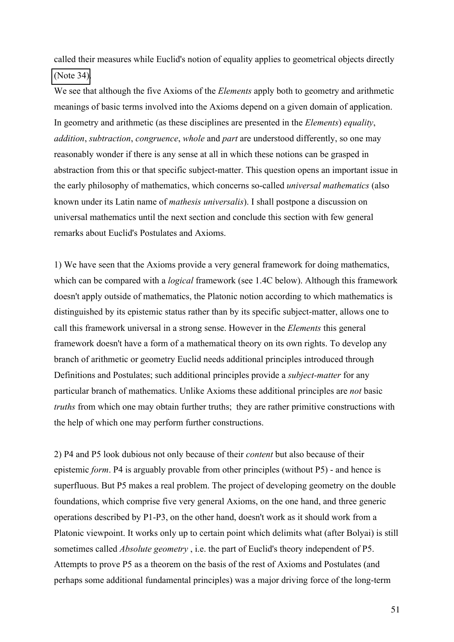called their measures while Euclid's notion of equality applies to geometrical objects directly [\(Note 34\).](#page-108-0)

We see that although the five Axioms of the *Elements* apply both to geometry and arithmetic meanings of basic terms involved into the Axioms depend on a given domain of application. In geometry and arithmetic (as these disciplines are presented in the *Elements*) *equality*, *addition*, *subtraction*, *congruence*, *whole* and *part* are understood differently, so one may reasonably wonder if there is any sense at all in which these notions can be grasped in abstraction from this or that specific subject-matter. This question opens an important issue in the early philosophy of mathematics, which concerns so-called *universal mathematics* (also known under its Latin name of *mathesis universalis*). I shall postpone a discussion on universal mathematics until the next section and conclude this section with few general remarks about Euclid's Postulates and Axioms.

1) We have seen that the Axioms provide a very general framework for doing mathematics, which can be compared with a *logical* framework (see 1.4C below). Although this framework doesn't apply outside of mathematics, the Platonic notion according to which mathematics is distinguished by its epistemic status rather than by its specific subject-matter, allows one to call this framework universal in a strong sense. However in the *Elements* this general framework doesn't have a form of a mathematical theory on its own rights. To develop any branch of arithmetic or geometry Euclid needs additional principles introduced through Definitions and Postulates; such additional principles provide a *subject-matter* for any particular branch of mathematics. Unlike Axioms these additional principles are *not* basic *truths* from which one may obtain further truths; they are rather primitive constructions with the help of which one may perform further constructions.

2) P4 and P5 look dubious not only because of their *content* but also because of their epistemic *form*. P4 is arguably provable from other principles (without P5) - and hence is superfluous. But P5 makes a real problem. The project of developing geometry on the double foundations, which comprise five very general Axioms, on the one hand, and three generic operations described by P1-P3, on the other hand, doesn't work as it should work from a Platonic viewpoint. It works only up to certain point which delimits what (after Bolyai) is still sometimes called *Absolute geometry* , i.e. the part of Euclid's theory independent of P5. Attempts to prove P5 as a theorem on the basis of the rest of Axioms and Postulates (and perhaps some additional fundamental principles) was a major driving force of the long-term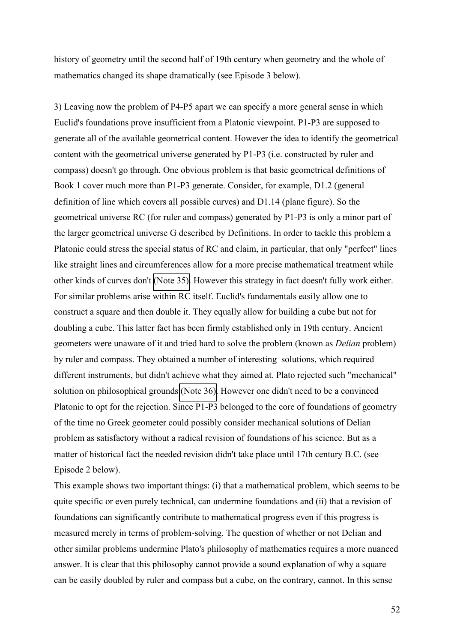history of geometry until the second half of 19th century when geometry and the whole of mathematics changed its shape dramatically (see Episode 3 below).

3) Leaving now the problem of P4-P5 apart we can specify a more general sense in which Euclid's foundations prove insufficient from a Platonic viewpoint. P1-P3 are supposed to generate all of the available geometrical content. However the idea to identify the geometrical content with the geometrical universe generated by P1-P3 (i.e. constructed by ruler and compass) doesn't go through. One obvious problem is that basic geometrical definitions of Book 1 cover much more than P1-P3 generate. Consider, for example, D1.2 (general definition of line which covers all possible curves) and D1.14 (plane figure). So the geometrical universe RC (for ruler and compass) generated by P1-P3 is only a minor part of the larger geometrical universe G described by Definitions. In order to tackle this problem a Platonic could stress the special status of RC and claim, in particular, that only "perfect" lines like straight lines and circumferences allow for a more precise mathematical treatment while other kinds of curves don't [\(Note 35\).](#page-109-0) However this strategy in fact doesn't fully work either. For similar problems arise within RC itself. Euclid's fundamentals easily allow one to construct a square and then double it. They equally allow for building a cube but not for doubling a cube. This latter fact has been firmly established only in 19th century. Ancient geometers were unaware of it and tried hard to solve the problem (known as *Delian* problem) by ruler and compass. They obtained a number of interesting solutions, which required different instruments, but didn't achieve what they aimed at. Plato rejected such "mechanical" solution on philosophical grounds [\(Note 36\).](#page-109-0) However one didn't need to be a convinced Platonic to opt for the rejection. Since P1-P3 belonged to the core of foundations of geometry of the time no Greek geometer could possibly consider mechanical solutions of Delian problem as satisfactory without a radical revision of foundations of his science. But as a matter of historical fact the needed revision didn't take place until 17th century B.C. (see Episode 2 below).

This example shows two important things: (i) that a mathematical problem, which seems to be quite specific or even purely technical, can undermine foundations and (ii) that a revision of foundations can significantly contribute to mathematical progress even if this progress is measured merely in terms of problem-solving. The question of whether or not Delian and other similar problems undermine Plato's philosophy of mathematics requires a more nuanced answer. It is clear that this philosophy cannot provide a sound explanation of why a square can be easily doubled by ruler and compass but a cube, on the contrary, cannot. In this sense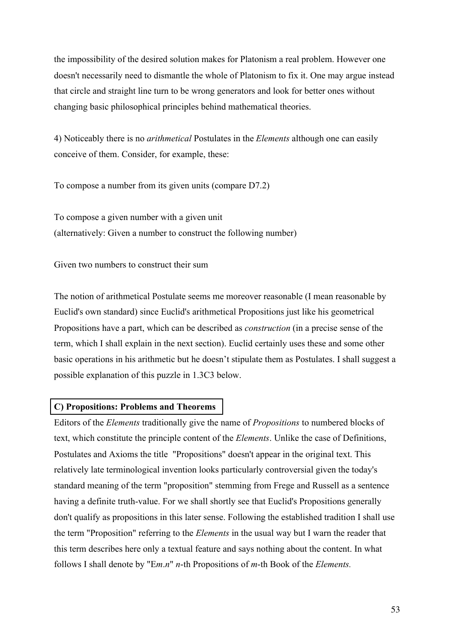the impossibility of the desired solution makes for Platonism a real problem. However one doesn't necessarily need to dismantle the whole of Platonism to fix it. One may argue instead that circle and straight line turn to be wrong generators and look for better ones without changing basic philosophical principles behind mathematical theories.

4) Noticeably there is no *arithmetical* Postulates in the *Elements* although one can easily conceive of them. Consider, for example, these:

To compose a number from its given units (compare D7.2)

To compose a given number with a given unit (alternatively: Given a number to construct the following number)

Given two numbers to construct their sum

The notion of arithmetical Postulate seems me moreover reasonable (I mean reasonable by Euclid's own standard) since Euclid's arithmetical Propositions just like his geometrical Propositions have a part, which can be described as *construction* (in a precise sense of the term, which I shall explain in the next section). Euclid certainly uses these and some other basic operations in his arithmetic but he doesn't stipulate them as Postulates. I shall suggest a possible explanation of this puzzle in 1.3C3 below.

#### **[C\) Propositions: Problems and Theorems](#page-1-0)**

Editors of the *Elements* traditionally give the name of *Propositions* to numbered blocks of text, which constitute the principle content of the *Elements*. Unlike the case of Definitions, Postulates and Axioms the title "Propositions" doesn't appear in the original text. This relatively late terminological invention looks particularly controversial given the today's standard meaning of the term "proposition" stemming from Frege and Russell as a sentence having a definite truth-value. For we shall shortly see that Euclid's Propositions generally don't qualify as propositions in this later sense. Following the established tradition I shall use the term "Proposition" referring to the *Elements* in the usual way but I warn the reader that this term describes here only a textual feature and says nothing about the content. In what follows I shall denote by "E*m*.*n*" *n*-th Propositions of *m*-th Book of the *Elements.*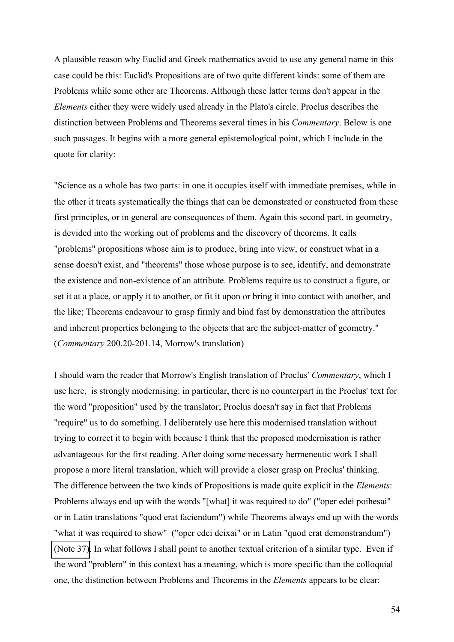A plausible reason why Euclid and Greek mathematics avoid to use any general name in this case could be this: Euclid's Propositions are of two quite different kinds: some of them are Problems while some other are Theorems. Although these latter terms don't appear in the *Elements* either they were widely used already in the Plato's circle. Proclus describes the distinction between Problems and Theorems several times in his *Commentary*. Below is one such passages. It begins with a more general epistemological point, which I include in the quote for clarity:

"Science as a whole has two parts: in one it occupies itself with immediate premises, while in the other it treats systematically the things that can be demonstrated or constructed from these first principles, or in general are consequences of them. Again this second part, in geometry, is devided into the working out of problems and the discovery of theorems. It calls "problems" propositions whose aim is to produce, bring into view, or construct what in a sense doesn't exist, and "theorems" those whose purpose is to see, identify, and demonstrate the existence and non-existence of an attribute. Problems require us to construct a figure, or set it at a place, or apply it to another, or fit it upon or bring it into contact with another, and the like; Theorems endeavour to grasp firmly and bind fast by demonstration the attributes and inherent properties belonging to the objects that are the subject-matter of geometry." (*Commentary* 200.20-201.14, Morrow's translation)

I should warn the reader that Morrow's English translation of Proclus' *Commentary*, which I use here, is strongly modernising: in particular, there is no counterpart in the Proclus' text for the word "proposition" used by the translator; Proclus doesn't say in fact that Problems "require" us to do something. I deliberately use here this modernised translation without trying to correct it to begin with because I think that the proposed modernisation is rather advantageous for the first reading. After doing some necessary hermeneutic work I shall propose a more literal translation, which will provide a closer grasp on Proclus' thinking. The difference between the two kinds of Propositions is made quite explicit in the *Elements*: Problems always end up with the words "[what] it was required to do" ("oper edei poihesai" or in Latin translations "quod erat faciendum") while Theorems always end up with the words "what it was required to show" ("oper edei deixai" or in Latin "quod erat demonstrandum") [\(Note 37\)](#page-109-0). In what follows I shall point to another textual criterion of a similar type. Even if the word "problem" in this context has a meaning, which is more specific than the colloquial one, the distinction between Problems and Theorems in the *Elements* appears to be clear: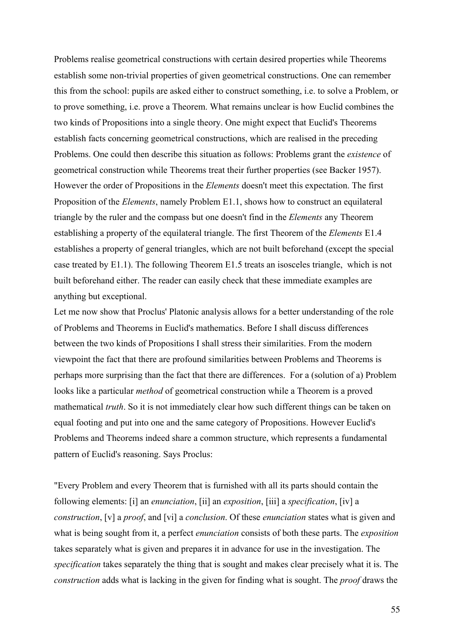Problems realise geometrical constructions with certain desired properties while Theorems establish some non-trivial properties of given geometrical constructions. One can remember this from the school: pupils are asked either to construct something, i.e. to solve a Problem, or to prove something, i.e. prove a Theorem. What remains unclear is how Euclid combines the two kinds of Propositions into a single theory. One might expect that Euclid's Theorems establish facts concerning geometrical constructions, which are realised in the preceding Problems. One could then describe this situation as follows: Problems grant the *existence* of geometrical construction while Theorems treat their further properties (see Backer 1957). However the order of Propositions in the *Elements* doesn't meet this expectation. The first Proposition of the *Elements*, namely Problem E1.1, shows how to construct an equilateral triangle by the ruler and the compass but one doesn't find in the *Elements* any Theorem establishing a property of the equilateral triangle. The first Theorem of the *Elements* E1.4 establishes a property of general triangles, which are not built beforehand (except the special case treated by E1.1). The following Theorem E1.5 treats an isosceles triangle, which is not built beforehand either. The reader can easily check that these immediate examples are anything but exceptional.

Let me now show that Proclus' Platonic analysis allows for a better understanding of the role of Problems and Theorems in Euclid's mathematics. Before I shall discuss differences between the two kinds of Propositions I shall stress their similarities. From the modern viewpoint the fact that there are profound similarities between Problems and Theorems is perhaps more surprising than the fact that there are differences. For a (solution of a) Problem looks like a particular *method* of geometrical construction while a Theorem is a proved mathematical *truth*. So it is not immediately clear how such different things can be taken on equal footing and put into one and the same category of Propositions. However Euclid's Problems and Theorems indeed share a common structure, which represents a fundamental pattern of Euclid's reasoning. Says Proclus:

"Every Problem and every Theorem that is furnished with all its parts should contain the following elements: [i] an *enunciation*, [ii] an *exposition*, [iii] a *specification*, [iv] a *construction*, [v] a *proof*, and [vi] a *conclusion*. Of these *enunciation* states what is given and what is being sought from it, a perfect *enunciation* consists of both these parts. The *exposition* takes separately what is given and prepares it in advance for use in the investigation. The *specification* takes separately the thing that is sought and makes clear precisely what it is. The *construction* adds what is lacking in the given for finding what is sought. The *proof* draws the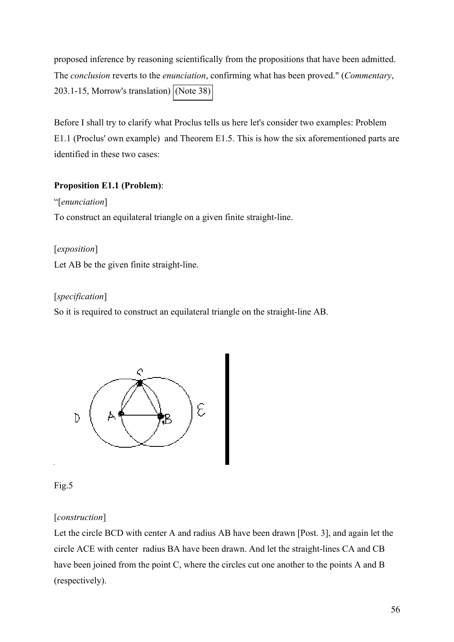proposed inference by reasoning scientifically from the propositions that have been admitted. The *conclusion* reverts to the *enunciation*, confirming what has been proved." (*Commentary*, 203.1-15, Morrow's translation) [\(Note 38\)](#page-109-0)

Before I shall try to clarify what Proclus tells us here let's consider two examples: Problem E1.1 (Proclus' own example) and Theorem E1.5. This is how the six aforementioned parts are identified in these two cases:

# **Proposition E1.1 (Problem)**:

"[*enunciation*] To construct an equilateral triangle on a given finite straight-line.

[*exposition*] Let AB be the given finite straight-line.

# [*specification*]

So it is required to construct an equilateral triangle on the straight-line AB.



Fig.5

# [*construction*]

Let the circle BCD with center A and radius AB have been drawn [Post. 3], and again let the circle ACE with center radius BA have been drawn. And let the straight-lines CA and CB have been joined from the point C, where the circles cut one another to the points A and B (respectively).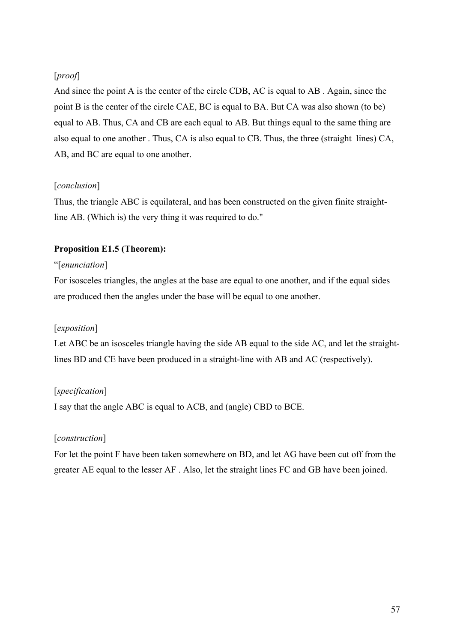# [*proof*]

And since the point A is the center of the circle CDB, AC is equal to AB . Again, since the point B is the center of the circle CAE, BC is equal to BA. But CA was also shown (to be) equal to AB. Thus, CA and CB are each equal to AB. But things equal to the same thing are also equal to one another . Thus, CA is also equal to CB. Thus, the three (straight lines) CA, AB, and BC are equal to one another.

# [*conclusion*]

Thus, the triangle ABC is equilateral, and has been constructed on the given finite straightline AB. (Which is) the very thing it was required to do."

# **Proposition E1.5 (Theorem):**

### "[*enunciation*]

For isosceles triangles, the angles at the base are equal to one another, and if the equal sides are produced then the angles under the base will be equal to one another.

# [*exposition*]

Let ABC be an isosceles triangle having the side AB equal to the side AC, and let the straightlines BD and CE have been produced in a straight-line with AB and AC (respectively).

# [*specification*]

I say that the angle ABC is equal to ACB, and (angle) CBD to BCE.

# [*construction*]

For let the point F have been taken somewhere on BD, and let AG have been cut off from the greater AE equal to the lesser AF . Also, let the straight lines FC and GB have been joined.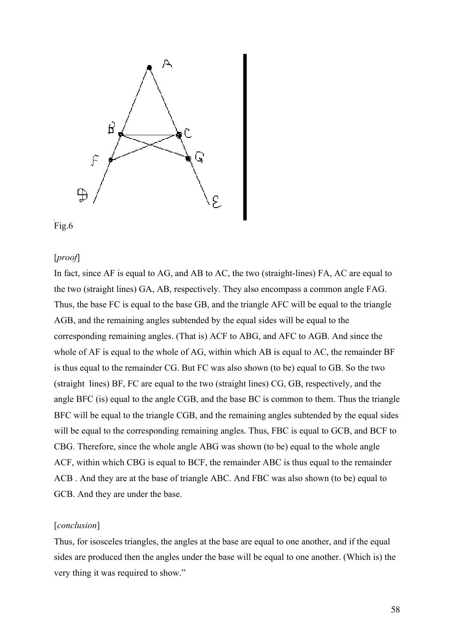



### [*proof*]

In fact, since AF is equal to AG, and AB to AC, the two (straight-lines) FA, AC are equal to the two (straight lines) GA, AB, respectively. They also encompass a common angle FAG. Thus, the base FC is equal to the base GB, and the triangle AFC will be equal to the triangle AGB, and the remaining angles subtended by the equal sides will be equal to the corresponding remaining angles. (That is) ACF to ABG, and AFC to AGB. And since the whole of AF is equal to the whole of AG, within which AB is equal to AC, the remainder BF is thus equal to the remainder CG. But FC was also shown (to be) equal to GB. So the two (straight lines) BF, FC are equal to the two (straight lines) CG, GB, respectively, and the angle BFC (is) equal to the angle CGB, and the base BC is common to them. Thus the triangle BFC will be equal to the triangle CGB, and the remaining angles subtended by the equal sides will be equal to the corresponding remaining angles. Thus, FBC is equal to GCB, and BCF to CBG. Therefore, since the whole angle ABG was shown (to be) equal to the whole angle ACF, within which CBG is equal to BCF, the remainder ABC is thus equal to the remainder ACB . And they are at the base of triangle ABC. And FBC was also shown (to be) equal to GCB. And they are under the base.

### [*conclusion*]

Thus, for isosceles triangles, the angles at the base are equal to one another, and if the equal sides are produced then the angles under the base will be equal to one another. (Which is) the very thing it was required to show."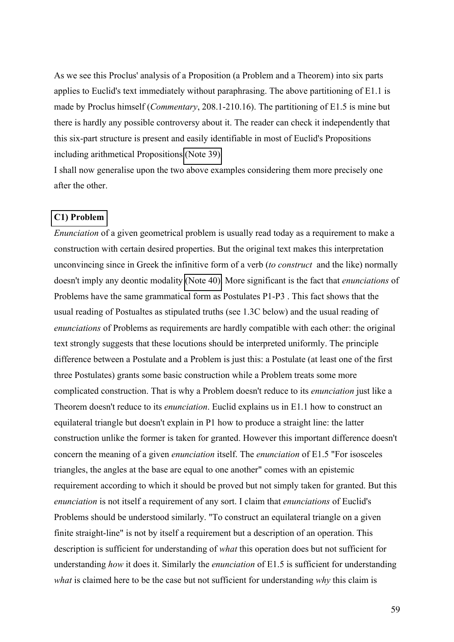As we see this Proclus' analysis of a Proposition (a Problem and a Theorem) into six parts applies to Euclid's text immediately without paraphrasing. The above partitioning of E1.1 is made by Proclus himself (*Commentary*, 208.1-210.16). The partitioning of E1.5 is mine but there is hardly any possible controversy about it. The reader can check it independently that this six-part structure is present and easily identifiable in most of Euclid's Propositions including arithmetical Propositions [\(Note 39\).](#page-109-0)

I shall now generalise upon the two above examples considering them more precisely one after the other.

#### **[C1\) Problem](#page-1-0)**

*Enunciation* of a given geometrical problem is usually read today as a requirement to make a construction with certain desired properties. But the original text makes this interpretation unconvincing since in Greek the infinitive form of a verb (*to construct* and the like) normally doesn't imply any deontic modality [\(Note 40\).](#page-110-0) More significant is the fact that *enunciations* of Problems have the same grammatical form as Postulates P1-P3 . This fact shows that the usual reading of Postualtes as stipulated truths (see 1.3C below) and the usual reading of *enunciations* of Problems as requirements are hardly compatible with each other: the original text strongly suggests that these locutions should be interpreted uniformly. The principle difference between a Postulate and a Problem is just this: a Postulate (at least one of the first three Postulates) grants some basic construction while a Problem treats some more complicated construction. That is why a Problem doesn't reduce to its *enunciation* just like a Theorem doesn't reduce to its *enunciation*. Euclid explains us in E1.1 how to construct an equilateral triangle but doesn't explain in P1 how to produce a straight line: the latter construction unlike the former is taken for granted. However this important difference doesn't concern the meaning of a given *enunciation* itself. The *enunciation* of E1.5 "For isosceles triangles, the angles at the base are equal to one another" comes with an epistemic requirement according to which it should be proved but not simply taken for granted. But this *enunciation* is not itself a requirement of any sort. I claim that *enunciations* of Euclid's Problems should be understood similarly. "To construct an equilateral triangle on a given finite straight-line" is not by itself a requirement but a description of an operation. This description is sufficient for understanding of *what* this operation does but not sufficient for understanding *how* it does it. Similarly the *enunciation* of E1.5 is sufficient for understanding *what* is claimed here to be the case but not sufficient for understanding *why* this claim is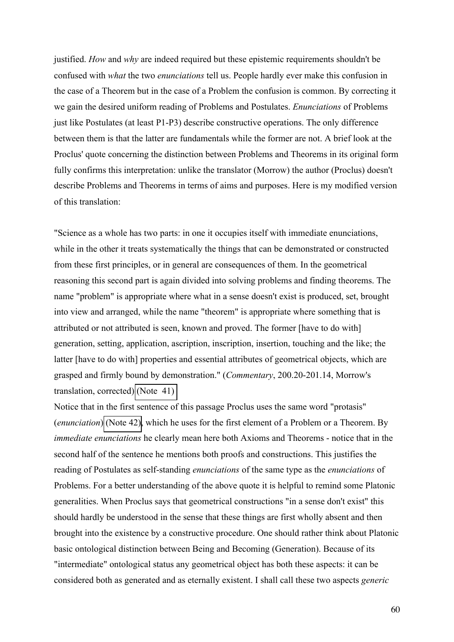justified. *How* and *why* are indeed required but these epistemic requirements shouldn't be confused with *what* the two *enunciations* tell us. People hardly ever make this confusion in the case of a Theorem but in the case of a Problem the confusion is common. By correcting it we gain the desired uniform reading of Problems and Postulates. *Enunciations* of Problems just like Postulates (at least P1-P3) describe constructive operations. The only difference between them is that the latter are fundamentals while the former are not. A brief look at the Proclus' quote concerning the distinction between Problems and Theorems in its original form fully confirms this interpretation: unlike the translator (Morrow) the author (Proclus) doesn't describe Problems and Theorems in terms of aims and purposes. Here is my modified version of this translation:

"Science as a whole has two parts: in one it occupies itself with immediate enunciations, while in the other it treats systematically the things that can be demonstrated or constructed from these first principles, or in general are consequences of them. In the geometrical reasoning this second part is again divided into solving problems and finding theorems. The name "problem" is appropriate where what in a sense doesn't exist is produced, set, brought into view and arranged, while the name "theorem" is appropriate where something that is attributed or not attributed is seen, known and proved. The former [have to do with] generation, setting, application, ascription, inscription, insertion, touching and the like; the latter [have to do with] properties and essential attributes of geometrical objects, which are grasped and firmly bound by demonstration." (*Commentary*, 200.20-201.14, Morrow's translation, corrected) [\(Note 41\)](#page-110-0)

Notice that in the first sentence of this passage Proclus uses the same word "protasis" (*enunciation*) [\(Note 42\),](#page-110-0) which he uses for the first element of a Problem or a Theorem. By *immediate enunciations* he clearly mean here both Axioms and Theorems - notice that in the second half of the sentence he mentions both proofs and constructions. This justifies the reading of Postulates as self-standing *enunciations* of the same type as the *enunciations* of Problems. For a better understanding of the above quote it is helpful to remind some Platonic generalities. When Proclus says that geometrical constructions "in a sense don't exist" this should hardly be understood in the sense that these things are first wholly absent and then brought into the existence by a constructive procedure. One should rather think about Platonic basic ontological distinction between Being and Becoming (Generation). Because of its "intermediate" ontological status any geometrical object has both these aspects: it can be considered both as generated and as eternally existent. I shall call these two aspects *generic*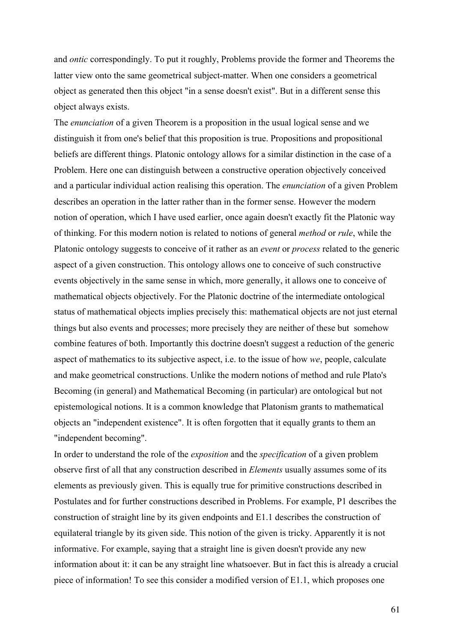and *ontic* correspondingly. To put it roughly, Problems provide the former and Theorems the latter view onto the same geometrical subject-matter. When one considers a geometrical object as generated then this object "in a sense doesn't exist". But in a different sense this object always exists.

The *enunciation* of a given Theorem is a proposition in the usual logical sense and we distinguish it from one's belief that this proposition is true. Propositions and propositional beliefs are different things. Platonic ontology allows for a similar distinction in the case of a Problem. Here one can distinguish between a constructive operation objectively conceived and a particular individual action realising this operation. The *enunciation* of a given Problem describes an operation in the latter rather than in the former sense. However the modern notion of operation, which I have used earlier, once again doesn't exactly fit the Platonic way of thinking. For this modern notion is related to notions of general *method* or *rule*, while the Platonic ontology suggests to conceive of it rather as an *event* or *process* related to the generic aspect of a given construction. This ontology allows one to conceive of such constructive events objectively in the same sense in which, more generally, it allows one to conceive of mathematical objects objectively. For the Platonic doctrine of the intermediate ontological status of mathematical objects implies precisely this: mathematical objects are not just eternal things but also events and processes; more precisely they are neither of these but somehow combine features of both. Importantly this doctrine doesn't suggest a reduction of the generic aspect of mathematics to its subjective aspect, i.e. to the issue of how *we*, people, calculate and make geometrical constructions. Unlike the modern notions of method and rule Plato's Becoming (in general) and Mathematical Becoming (in particular) are ontological but not epistemological notions. It is a common knowledge that Platonism grants to mathematical objects an "independent existence". It is often forgotten that it equally grants to them an "independent becoming".

In order to understand the role of the *exposition* and the *specification* of a given problem observe first of all that any construction described in *Elements* usually assumes some of its elements as previously given. This is equally true for primitive constructions described in Postulates and for further constructions described in Problems. For example, P1 describes the construction of straight line by its given endpoints and E1.1 describes the construction of equilateral triangle by its given side. This notion of the given is tricky. Apparently it is not informative. For example, saying that a straight line is given doesn't provide any new information about it: it can be any straight line whatsoever. But in fact this is already a crucial piece of information! To see this consider a modified version of E1.1, which proposes one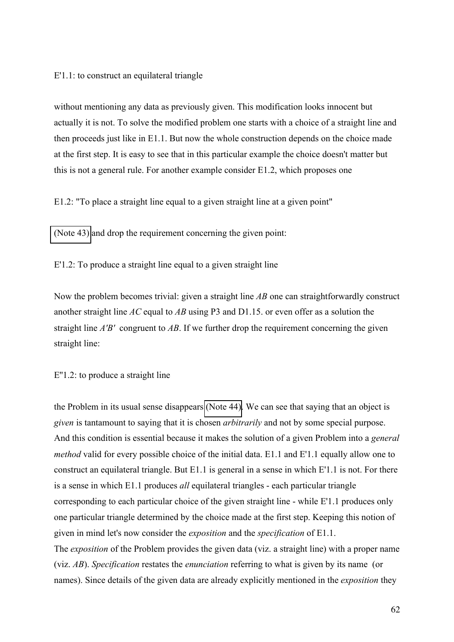#### E'1.1: to construct an equilateral triangle

without mentioning any data as previously given. This modification looks innocent but actually it is not. To solve the modified problem one starts with a choice of a straight line and then proceeds just like in E1.1. But now the whole construction depends on the choice made at the first step. It is easy to see that in this particular example the choice doesn't matter but this is not a general rule. For another example consider E1.2, which proposes one

E1.2: "To place a straight line equal to a given straight line at a given point"

[\(Note 43\)](#page-110-0) and drop the requirement concerning the given point:

E'1.2: To produce a straight line equal to a given straight line

Now the problem becomes trivial: given a straight line *AB* one can straightforwardly construct another straight line *AC* equal to *AB* using P3 and D1.15. or even offer as a solution the straight line *A'B'* congruent to *AB*. If we further drop the requirement concerning the given straight line:

E''1.2: to produce a straight line

the Problem in its usual sense disappears [\(Note 44\)](#page-110-0). We can see that saying that an object is *given* is tantamount to saying that it is chosen *arbitrarily* and not by some special purpose. And this condition is essential because it makes the solution of a given Problem into a *general method* valid for every possible choice of the initial data. E1.1 and E'1.1 equally allow one to construct an equilateral triangle. But E1.1 is general in a sense in which E'1.1 is not. For there is a sense in which E1.1 produces *all* equilateral triangles - each particular triangle corresponding to each particular choice of the given straight line - while E'1.1 produces only one particular triangle determined by the choice made at the first step. Keeping this notion of given in mind let's now consider the *exposition* and the *specification* of E1.1. The *exposition* of the Problem provides the given data (viz. a straight line) with a proper name (viz. *AB*). *Specification* restates the *enunciation* referring to what is given by its name (or names). Since details of the given data are already explicitly mentioned in the *exposition* they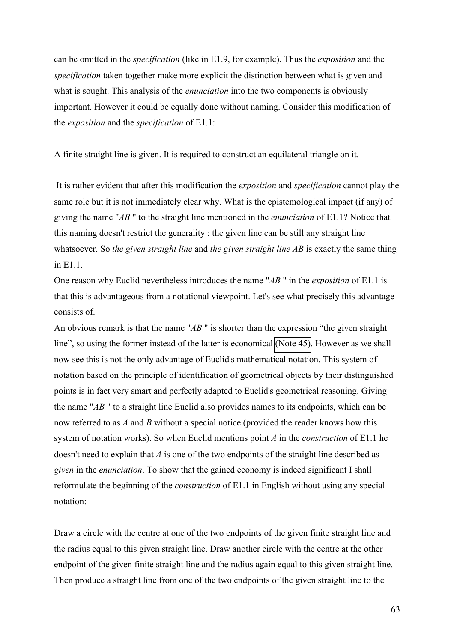can be omitted in the *specification* (like in E1.9, for example). Thus the *exposition* and the *specification* taken together make more explicit the distinction between what is given and what is sought. This analysis of the *enunciation* into the two components is obviously important. However it could be equally done without naming. Consider this modification of the *exposition* and the *specification* of E1.1:

A finite straight line is given. It is required to construct an equilateral triangle on it.

 It is rather evident that after this modification the *exposition* and *specification* cannot play the same role but it is not immediately clear why. What is the epistemological impact (if any) of giving the name "*AB* " to the straight line mentioned in the *enunciation* of E1.1? Notice that this naming doesn't restrict the generality : the given line can be still any straight line whatsoever. So *the given straight line* and *the given straight line AB* is exactly the same thing in E1.1.

One reason why Euclid nevertheless introduces the name "*AB* " in the *exposition* of E1.1 is that this is advantageous from a notational viewpoint. Let's see what precisely this advantage consists of.

An obvious remark is that the name "*AB* " is shorter than the expression "the given straight line", so using the former instead of the latter is economical [\(Note 45\)](#page-110-0). However as we shall now see this is not the only advantage of Euclid's mathematical notation. This system of notation based on the principle of identification of geometrical objects by their distinguished points is in fact very smart and perfectly adapted to Euclid's geometrical reasoning. Giving the name "*AB* " to a straight line Euclid also provides names to its endpoints, which can be now referred to as *A* and *B* without a special notice (provided the reader knows how this system of notation works). So when Euclid mentions point *A* in the *construction* of E1.1 he doesn't need to explain that *A* is one of the two endpoints of the straight line described as *given* in the *enunciation*. To show that the gained economy is indeed significant I shall reformulate the beginning of the *construction* of E1.1 in English without using any special notation:

Draw a circle with the centre at one of the two endpoints of the given finite straight line and the radius equal to this given straight line. Draw another circle with the centre at the other endpoint of the given finite straight line and the radius again equal to this given straight line. Then produce a straight line from one of the two endpoints of the given straight line to the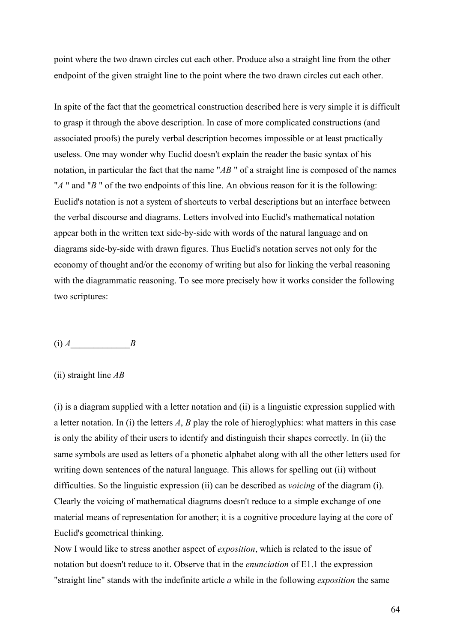point where the two drawn circles cut each other. Produce also a straight line from the other endpoint of the given straight line to the point where the two drawn circles cut each other.

In spite of the fact that the geometrical construction described here is very simple it is difficult to grasp it through the above description. In case of more complicated constructions (and associated proofs) the purely verbal description becomes impossible or at least practically useless. One may wonder why Euclid doesn't explain the reader the basic syntax of his notation, in particular the fact that the name "*AB* " of a straight line is composed of the names "*A* " and "*B* " of the two endpoints of this line. An obvious reason for it is the following: Euclid's notation is not a system of shortcuts to verbal descriptions but an interface between the verbal discourse and diagrams. Letters involved into Euclid's mathematical notation appear both in the written text side-by-side with words of the natural language and on diagrams side-by-side with drawn figures. Thus Euclid's notation serves not only for the economy of thought and/or the economy of writing but also for linking the verbal reasoning with the diagrammatic reasoning. To see more precisely how it works consider the following two scriptures:

### $(i)$  *A B*

#### (ii) straight line *AB*

(i) is a diagram supplied with a letter notation and (ii) is a linguistic expression supplied with a letter notation. In (i) the letters *A*, *B* play the role of hieroglyphics: what matters in this case is only the ability of their users to identify and distinguish their shapes correctly. In (ii) the same symbols are used as letters of a phonetic alphabet along with all the other letters used for writing down sentences of the natural language. This allows for spelling out (ii) without difficulties. So the linguistic expression (ii) can be described as *voicing* of the diagram (i). Clearly the voicing of mathematical diagrams doesn't reduce to a simple exchange of one material means of representation for another; it is a cognitive procedure laying at the core of Euclid's geometrical thinking.

Now I would like to stress another aspect of *exposition*, which is related to the issue of notation but doesn't reduce to it. Observe that in the *enunciation* of E1.1 the expression "straight line" stands with the indefinite article *a* while in the following *exposition* the same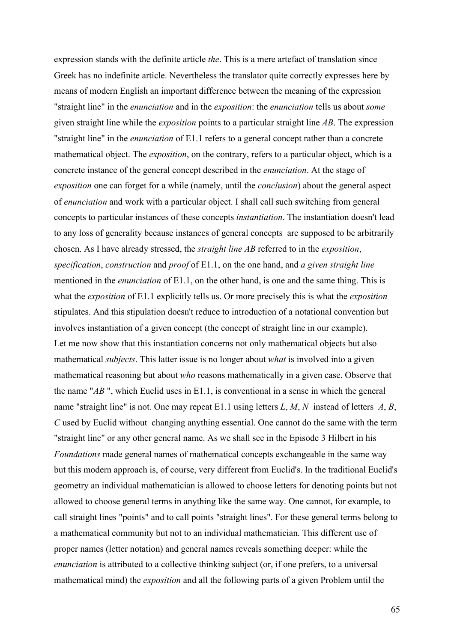expression stands with the definite article *the*. This is a mere artefact of translation since Greek has no indefinite article. Nevertheless the translator quite correctly expresses here by means of modern English an important difference between the meaning of the expression "straight line" in the *enunciation* and in the *exposition*: the *enunciation* tells us about *some* given straight line while the *exposition* points to a particular straight line *AB*. The expression "straight line" in the *enunciation* of E1.1 refers to a general concept rather than a concrete mathematical object. The *exposition*, on the contrary, refers to a particular object, which is a concrete instance of the general concept described in the *enunciation*. At the stage of *exposition* one can forget for a while (namely, until the *conclusion*) about the general aspect of *enunciation* and work with a particular object. I shall call such switching from general concepts to particular instances of these concepts *instantiation*. The instantiation doesn't lead to any loss of generality because instances of general concepts are supposed to be arbitrarily chosen. As I have already stressed, the *straight line AB* referred to in the *exposition*, *specification*, *construction* and *proof* of E1.1, on the one hand, and *a given straight line* mentioned in the *enunciation* of E1.1, on the other hand, is one and the same thing. This is what the *exposition* of E1.1 explicitly tells us. Or more precisely this is what the *exposition* stipulates. And this stipulation doesn't reduce to introduction of a notational convention but involves instantiation of a given concept (the concept of straight line in our example). Let me now show that this instantiation concerns not only mathematical objects but also mathematical *subjects*. This latter issue is no longer about *what* is involved into a given mathematical reasoning but about *who* reasons mathematically in a given case. Observe that the name "*AB* ", which Euclid uses in E1.1, is conventional in a sense in which the general name "straight line" is not. One may repeat E1.1 using letters *L*, *M*, *N* instead of letters *A*, *B*, *C* used by Euclid without changing anything essential. One cannot do the same with the term "straight line" or any other general name. As we shall see in the Episode 3 Hilbert in his *Foundations* made general names of mathematical concepts exchangeable in the same way but this modern approach is, of course, very different from Euclid's. In the traditional Euclid's geometry an individual mathematician is allowed to choose letters for denoting points but not allowed to choose general terms in anything like the same way. One cannot, for example, to call straight lines "points" and to call points "straight lines". For these general terms belong to a mathematical community but not to an individual mathematician. This different use of proper names (letter notation) and general names reveals something deeper: while the *enunciation* is attributed to a collective thinking subject (or, if one prefers, to a universal mathematical mind) the *exposition* and all the following parts of a given Problem until the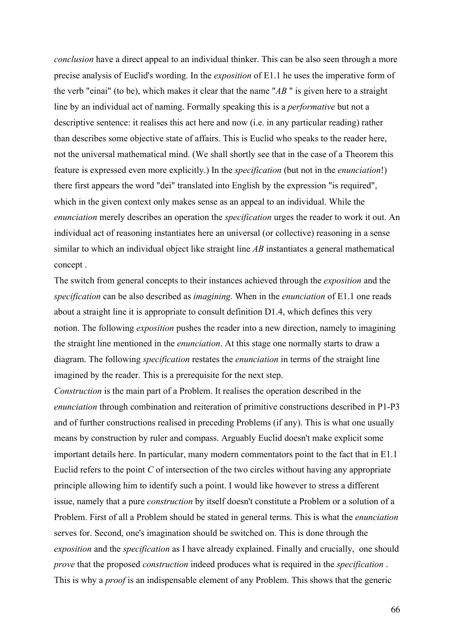*conclusion* have a direct appeal to an individual thinker. This can be also seen through a more precise analysis of Euclid's wording. In the *exposition* of E1.1 he uses the imperative form of the verb "einai" (to be), which makes it clear that the name "*AB* " is given here to a straight line by an individual act of naming. Formally speaking this is a *performative* but not a descriptive sentence: it realises this act here and now (i.e. in any particular reading) rather than describes some objective state of affairs. This is Euclid who speaks to the reader here, not the universal mathematical mind. (We shall shortly see that in the case of a Theorem this feature is expressed even more explicitly.) In the *specification* (but not in the *enunciation*!) there first appears the word "dei" translated into English by the expression "is required", which in the given context only makes sense as an appeal to an individual. While the *enunciation* merely describes an operation the *specification* urges the reader to work it out. An individual act of reasoning instantiates here an universal (or collective) reasoning in a sense similar to which an individual object like straight line *AB* instantiates a general mathematical concept .

The switch from general concepts to their instances achieved through the *exposition* and the *specification* can be also described as *imagining*. When in the *enunciation* of E1.1 one reads about a straight line it is appropriate to consult definition D1.4, which defines this very notion. The following *exposition* pushes the reader into a new direction, namely to imagining the straight line mentioned in the *enunciation*. At this stage one normally starts to draw a diagram. The following *specification* restates the *enunciation* in terms of the straight line imagined by the reader. This is a prerequisite for the next step.

*Construction* is the main part of a Problem. It realises the operation described in the *enunciation* through combination and reiteration of primitive constructions described in P1-P3 and of further constructions realised in preceding Problems (if any). This is what one usually means by construction by ruler and compass. Arguably Euclid doesn't make explicit some important details here. In particular, many modern commentators point to the fact that in E1.1 Euclid refers to the point *C* of intersection of the two circles without having any appropriate principle allowing him to identify such a point. I would like however to stress a different issue, namely that a pure *construction* by itself doesn't constitute a Problem or a solution of a Problem. First of all a Problem should be stated in general terms. This is what the *enunciation* serves for. Second, one's imagination should be switched on. This is done through the *exposition* and the *specification* as I have already explained. Finally and crucially, one should *prove* that the proposed *construction* indeed produces what is required in the *specification* . This is why a *proof* is an indispensable element of any Problem. This shows that the generic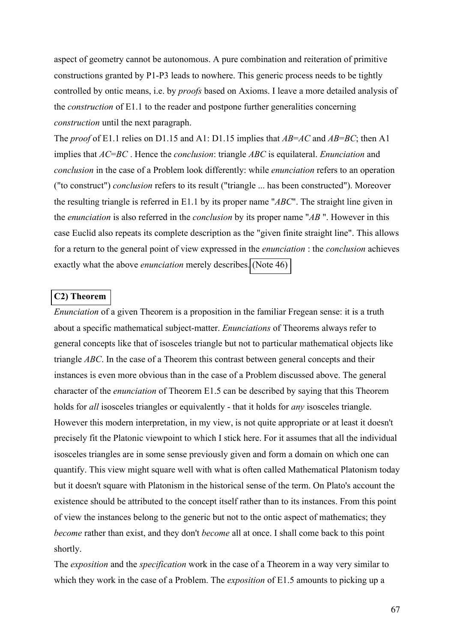aspect of geometry cannot be autonomous. A pure combination and reiteration of primitive constructions granted by P1-P3 leads to nowhere. This generic process needs to be tightly controlled by ontic means, i.e. by *proofs* based on Axioms. I leave a more detailed analysis of the *construction* of E1.1 to the reader and postpone further generalities concerning *construction* until the next paragraph.

The *proof* of E1.1 relies on D1.15 and A1: D1.15 implies that *AB*=*AC* and *AB*=*BC*; then A1 implies that *AC*=*BC* . Hence the *conclusion*: triangle *ABC* is equilateral. *Enunciation* and *conclusion* in the case of a Problem look differently: while *enunciation* refers to an operation ("to construct") *conclusion* refers to its result ("triangle ... has been constructed"). Moreover the resulting triangle is referred in E1.1 by its proper name "*ABC*". The straight line given in the *enunciation* is also referred in the *conclusion* by its proper name "*AB* ". However in this case Euclid also repeats its complete description as the "given finite straight line". This allows for a return to the general point of view expressed in the *enunciation* : the *conclusion* achieves exactly what the above *enunciation* merely describes. [\(Note 46\)](#page-111-0)

### **[C2\) Theorem](#page-1-0)**

*Enunciation* of a given Theorem is a proposition in the familiar Fregean sense: it is a truth about a specific mathematical subject-matter. *Enunciations* of Theorems always refer to general concepts like that of isosceles triangle but not to particular mathematical objects like triangle *ABC*. In the case of a Theorem this contrast between general concepts and their instances is even more obvious than in the case of a Problem discussed above. The general character of the *enunciation* of Theorem E1.5 can be described by saying that this Theorem holds for *all* isosceles triangles or equivalently - that it holds for *any* isosceles triangle. However this modern interpretation, in my view, is not quite appropriate or at least it doesn't precisely fit the Platonic viewpoint to which I stick here. For it assumes that all the individual isosceles triangles are in some sense previously given and form a domain on which one can quantify. This view might square well with what is often called Mathematical Platonism today but it doesn't square with Platonism in the historical sense of the term. On Plato's account the existence should be attributed to the concept itself rather than to its instances. From this point of view the instances belong to the generic but not to the ontic aspect of mathematics; they *become* rather than exist, and they don't *become* all at once. I shall come back to this point shortly.

The *exposition* and the *specification* work in the case of a Theorem in a way very similar to which they work in the case of a Problem. The *exposition* of E1.5 amounts to picking up a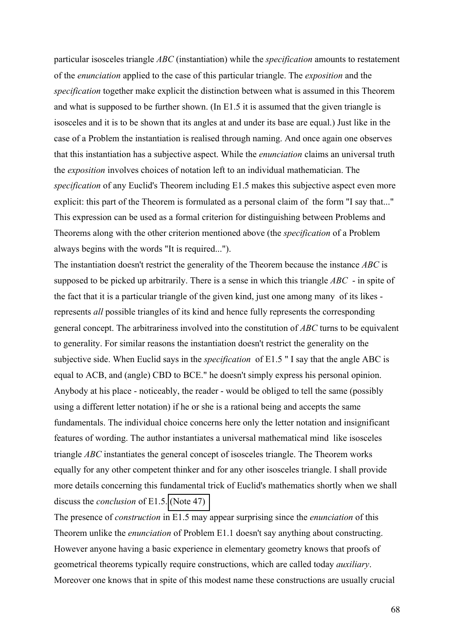particular isosceles triangle *ABC* (instantiation) while the *specification* amounts to restatement of the *enunciation* applied to the case of this particular triangle. The *exposition* and the *specification* together make explicit the distinction between what is assumed in this Theorem and what is supposed to be further shown. (In E1.5 it is assumed that the given triangle is isosceles and it is to be shown that its angles at and under its base are equal.) Just like in the case of a Problem the instantiation is realised through naming. And once again one observes that this instantiation has a subjective aspect. While the *enunciation* claims an universal truth the *exposition* involves choices of notation left to an individual mathematician. The *specification* of any Euclid's Theorem including E1.5 makes this subjective aspect even more explicit: this part of the Theorem is formulated as a personal claim of the form "I say that..." This expression can be used as a formal criterion for distinguishing between Problems and Theorems along with the other criterion mentioned above (the *specification* of a Problem always begins with the words "It is required...").

The instantiation doesn't restrict the generality of the Theorem because the instance *ABC* is supposed to be picked up arbitrarily. There is a sense in which this triangle *ABC* - in spite of the fact that it is a particular triangle of the given kind, just one among many of its likes represents *all* possible triangles of its kind and hence fully represents the corresponding general concept. The arbitrariness involved into the constitution of *ABC* turns to be equivalent to generality. For similar reasons the instantiation doesn't restrict the generality on the subjective side. When Euclid says in the *specification* of E1.5 " I say that the angle ABC is equal to ACB, and (angle) CBD to BCE." he doesn't simply express his personal opinion. Anybody at his place - noticeably, the reader - would be obliged to tell the same (possibly using a different letter notation) if he or she is a rational being and accepts the same fundamentals. The individual choice concerns here only the letter notation and insignificant features of wording. The author instantiates a universal mathematical mind like isosceles triangle *ABC* instantiates the general concept of isosceles triangle. The Theorem works equally for any other competent thinker and for any other isosceles triangle. I shall provide more details concerning this fundamental trick of Euclid's mathematics shortly when we shall discuss the *conclusion* of E1.5. [\(Note 47\)](#page-112-0)

The presence of *construction* in E1.5 may appear surprising since the *enunciation* of this Theorem unlike the *enunciation* of Problem E1.1 doesn't say anything about constructing. However anyone having a basic experience in elementary geometry knows that proofs of geometrical theorems typically require constructions, which are called today *auxiliary*. Moreover one knows that in spite of this modest name these constructions are usually crucial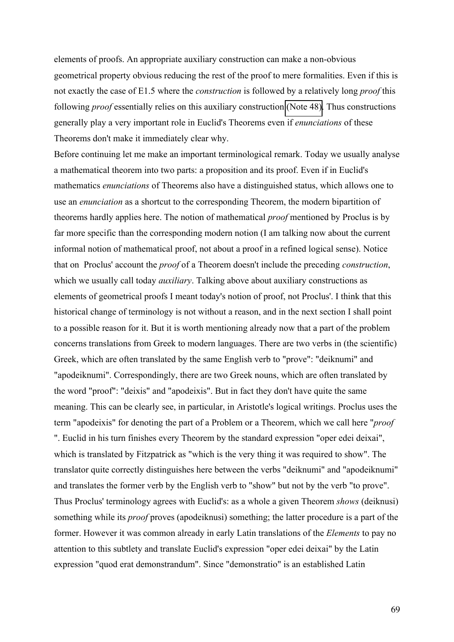elements of proofs. An appropriate auxiliary construction can make a non-obvious geometrical property obvious reducing the rest of the proof to mere formalities. Even if this is not exactly the case of E1.5 where the *construction* is followed by a relatively long *proof* this following *proof* essentially relies on this auxiliary construction [\(Note 48\).](#page-112-0) Thus constructions generally play a very important role in Euclid's Theorems even if *enunciations* of these Theorems don't make it immediately clear why.

Before continuing let me make an important terminological remark. Today we usually analyse a mathematical theorem into two parts: a proposition and its proof. Even if in Euclid's mathematics *enunciations* of Theorems also have a distinguished status, which allows one to use an *enunciation* as a shortcut to the corresponding Theorem, the modern bipartition of theorems hardly applies here. The notion of mathematical *proof* mentioned by Proclus is by far more specific than the corresponding modern notion (I am talking now about the current informal notion of mathematical proof, not about a proof in a refined logical sense). Notice that on Proclus' account the *proof* of a Theorem doesn't include the preceding *construction*, which we usually call today *auxiliary*. Talking above about auxiliary constructions as elements of geometrical proofs I meant today's notion of proof, not Proclus'. I think that this historical change of terminology is not without a reason, and in the next section I shall point to a possible reason for it. But it is worth mentioning already now that a part of the problem concerns translations from Greek to modern languages. There are two verbs in (the scientific) Greek, which are often translated by the same English verb to "prove": "deiknumi" and "apodeiknumi". Correspondingly, there are two Greek nouns, which are often translated by the word "proof": "deixis" and "apodeixis". But in fact they don't have quite the same meaning. This can be clearly see, in particular, in Aristotle's logical writings. Proclus uses the term "apodeixis" for denoting the part of a Problem or a Theorem, which we call here "*proof* ". Euclid in his turn finishes every Theorem by the standard expression "oper edei deixai", which is translated by Fitzpatrick as "which is the very thing it was required to show". The translator quite correctly distinguishes here between the verbs "deiknumi" and "apodeiknumi" and translates the former verb by the English verb to "show" but not by the verb "to prove". Thus Proclus' terminology agrees with Euclid's: as a whole a given Theorem *shows* (deiknusi) something while its *proof* proves (apodeiknusi) something; the latter procedure is a part of the former. However it was common already in early Latin translations of the *Elements* to pay no attention to this subtlety and translate Euclid's expression "oper edei deixai" by the Latin expression "quod erat demonstrandum". Since "demonstratio" is an established Latin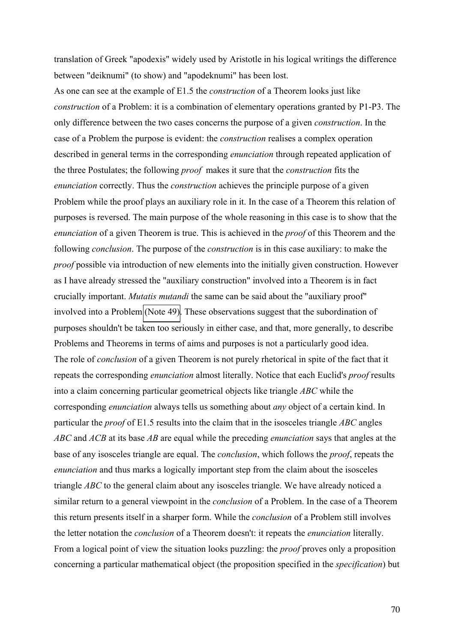translation of Greek "apodexis" widely used by Aristotle in his logical writings the difference between "deiknumi" (to show) and "apodeknumi" has been lost.

As one can see at the example of E1.5 the *construction* of a Theorem looks just like *construction* of a Problem: it is a combination of elementary operations granted by P1-P3. The only difference between the two cases concerns the purpose of a given *construction*. In the case of a Problem the purpose is evident: the *construction* realises a complex operation described in general terms in the corresponding *enunciation* through repeated application of the three Postulates; the following *proof* makes it sure that the *construction* fits the *enunciation* correctly. Thus the *construction* achieves the principle purpose of a given Problem while the proof plays an auxiliary role in it. In the case of a Theorem this relation of purposes is reversed. The main purpose of the whole reasoning in this case is to show that the *enunciation* of a given Theorem is true. This is achieved in the *proof* of this Theorem and the following *conclusion*. The purpose of the *construction* is in this case auxiliary: to make the *proof* possible via introduction of new elements into the initially given construction. However as I have already stressed the "auxiliary construction" involved into a Theorem is in fact crucially important. *Mutatis mutandi* the same can be said about the "auxiliary proof" involved into a Problem [\(Note 49\).](#page-113-0) These observations suggest that the subordination of purposes shouldn't be taken too seriously in either case, and that, more generally, to describe Problems and Theorems in terms of aims and purposes is not a particularly good idea. The role of *conclusion* of a given Theorem is not purely rhetorical in spite of the fact that it repeats the corresponding *enunciation* almost literally. Notice that each Euclid's *proof* results into a claim concerning particular geometrical objects like triangle *ABC* while the corresponding *enunciation* always tells us something about *any* object of a certain kind. In particular the *proof* of E1.5 results into the claim that in the isosceles triangle *ABC* angles *ABC* and *ACB* at its base *AB* are equal while the preceding *enunciation* says that angles at the base of any isosceles triangle are equal. The *conclusion*, which follows the *proof*, repeats the *enunciation* and thus marks a logically important step from the claim about the isosceles triangle *ABC* to the general claim about any isosceles triangle. We have already noticed a similar return to a general viewpoint in the *conclusion* of a Problem. In the case of a Theorem this return presents itself in a sharper form. While the *conclusion* of a Problem still involves the letter notation the *conclusion* of a Theorem doesn't: it repeats the *enunciation* literally. From a logical point of view the situation looks puzzling: the *proof* proves only a proposition concerning a particular mathematical object (the proposition specified in the *specification*) but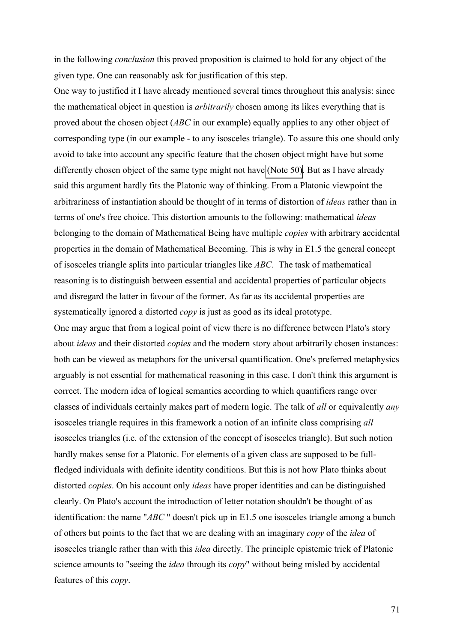in the following *conclusion* this proved proposition is claimed to hold for any object of the given type. One can reasonably ask for justification of this step.

One way to justified it I have already mentioned several times throughout this analysis: since the mathematical object in question is *arbitrarily* chosen among its likes everything that is proved about the chosen object (*ABC* in our example) equally applies to any other object of corresponding type (in our example - to any isosceles triangle). To assure this one should only avoid to take into account any specific feature that the chosen object might have but some differently chosen object of the same type might not have [\(Note 50\).](#page-113-0) But as I have already said this argument hardly fits the Platonic way of thinking. From a Platonic viewpoint the arbitrariness of instantiation should be thought of in terms of distortion of *ideas* rather than in terms of one's free choice. This distortion amounts to the following: mathematical *ideas* belonging to the domain of Mathematical Being have multiple *copies* with arbitrary accidental properties in the domain of Mathematical Becoming. This is why in E1.5 the general concept of isosceles triangle splits into particular triangles like *ABC*. The task of mathematical reasoning is to distinguish between essential and accidental properties of particular objects and disregard the latter in favour of the former. As far as its accidental properties are systematically ignored a distorted *copy* is just as good as its ideal prototype. One may argue that from a logical point of view there is no difference between Plato's story about *ideas* and their distorted *copies* and the modern story about arbitrarily chosen instances: both can be viewed as metaphors for the universal quantification. One's preferred metaphysics arguably is not essential for mathematical reasoning in this case. I don't think this argument is correct. The modern idea of logical semantics according to which quantifiers range over classes of individuals certainly makes part of modern logic. The talk of *all* or equivalently *any* isosceles triangle requires in this framework a notion of an infinite class comprising *all* isosceles triangles (i.e. of the extension of the concept of isosceles triangle). But such notion hardly makes sense for a Platonic. For elements of a given class are supposed to be fullfledged individuals with definite identity conditions. But this is not how Plato thinks about distorted *copies*. On his account only *ideas* have proper identities and can be distinguished clearly. On Plato's account the introduction of letter notation shouldn't be thought of as identification: the name "*ABC* " doesn't pick up in E1.5 one isosceles triangle among a bunch of others but points to the fact that we are dealing with an imaginary *copy* of the *idea* of isosceles triangle rather than with this *idea* directly. The principle epistemic trick of Platonic science amounts to "seeing the *idea* through its *copy*" without being misled by accidental features of this *copy*.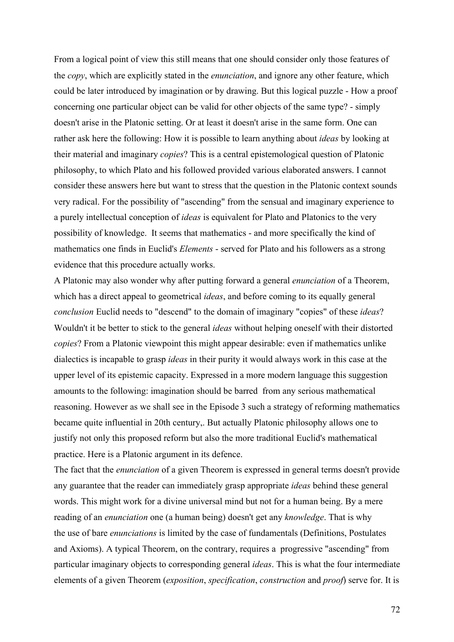From a logical point of view this still means that one should consider only those features of the *copy*, which are explicitly stated in the *enunciation*, and ignore any other feature, which could be later introduced by imagination or by drawing. But this logical puzzle - How a proof concerning one particular object can be valid for other objects of the same type? - simply doesn't arise in the Platonic setting. Or at least it doesn't arise in the same form. One can rather ask here the following: How it is possible to learn anything about *ideas* by looking at their material and imaginary *copies*? This is a central epistemological question of Platonic philosophy, to which Plato and his followed provided various elaborated answers. I cannot consider these answers here but want to stress that the question in the Platonic context sounds very radical. For the possibility of "ascending" from the sensual and imaginary experience to a purely intellectual conception of *ideas* is equivalent for Plato and Platonics to the very possibility of knowledge. It seems that mathematics - and more specifically the kind of mathematics one finds in Euclid's *Elements* - served for Plato and his followers as a strong evidence that this procedure actually works.

A Platonic may also wonder why after putting forward a general *enunciation* of a Theorem, which has a direct appeal to geometrical *ideas*, and before coming to its equally general *conclusion* Euclid needs to "descend" to the domain of imaginary "copies" of these *ideas*? Wouldn't it be better to stick to the general *ideas* without helping oneself with their distorted *copies*? From a Platonic viewpoint this might appear desirable: even if mathematics unlike dialectics is incapable to grasp *ideas* in their purity it would always work in this case at the upper level of its epistemic capacity. Expressed in a more modern language this suggestion amounts to the following: imagination should be barred from any serious mathematical reasoning. However as we shall see in the Episode 3 such a strategy of reforming mathematics became quite influential in 20th century,. But actually Platonic philosophy allows one to justify not only this proposed reform but also the more traditional Euclid's mathematical practice. Here is a Platonic argument in its defence.

The fact that the *enunciation* of a given Theorem is expressed in general terms doesn't provide any guarantee that the reader can immediately grasp appropriate *ideas* behind these general words. This might work for a divine universal mind but not for a human being. By a mere reading of an *enunciation* one (a human being) doesn't get any *knowledge*. That is why the use of bare *enunciations* is limited by the case of fundamentals (Definitions, Postulates and Axioms). A typical Theorem, on the contrary, requires a progressive "ascending" from particular imaginary objects to corresponding general *ideas*. This is what the four intermediate elements of a given Theorem (*exposition*, *specification*, *construction* and *proof*) serve for. It is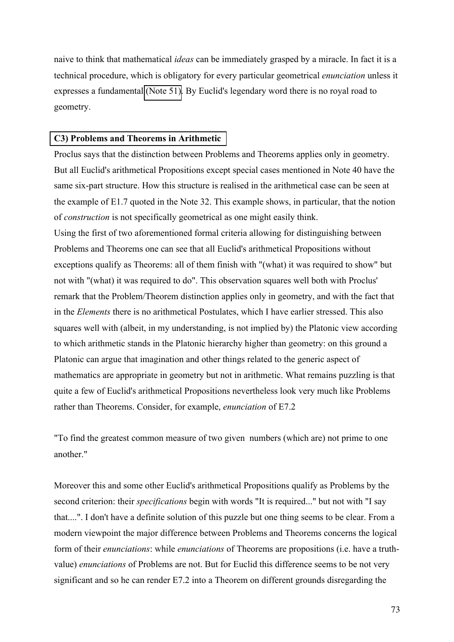naive to think that mathematical *ideas* can be immediately grasped by a miracle. In fact it is a technical procedure, which is obligatory for every particular geometrical *enunciation* unless it expresses a fundamental [\(Note 51\).](#page-113-0) By Euclid's legendary word there is no royal road to geometry.

#### **[C3\) Problems and Theorems in Arithmetic](#page-1-0)**

Proclus says that the distinction between Problems and Theorems applies only in geometry. But all Euclid's arithmetical Propositions except special cases mentioned in Note 40 have the same six-part structure. How this structure is realised in the arithmetical case can be seen at the example of E1.7 quoted in the Note 32. This example shows, in particular, that the notion of *construction* is not specifically geometrical as one might easily think. Using the first of two aforementioned formal criteria allowing for distinguishing between Problems and Theorems one can see that all Euclid's arithmetical Propositions without exceptions qualify as Theorems: all of them finish with "(what) it was required to show" but not with "(what) it was required to do". This observation squares well both with Proclus' remark that the Problem/Theorem distinction applies only in geometry, and with the fact that in the *Elements* there is no arithmetical Postulates, which I have earlier stressed. This also squares well with (albeit, in my understanding, is not implied by) the Platonic view according to which arithmetic stands in the Platonic hierarchy higher than geometry: on this ground a Platonic can argue that imagination and other things related to the generic aspect of mathematics are appropriate in geometry but not in arithmetic. What remains puzzling is that quite a few of Euclid's arithmetical Propositions nevertheless look very much like Problems

rather than Theorems. Consider, for example, *enunciation* of E7.2

"To find the greatest common measure of two given numbers (which are) not prime to one another."

Moreover this and some other Euclid's arithmetical Propositions qualify as Problems by the second criterion: their *specifications* begin with words "It is required..." but not with "I say that....". I don't have a definite solution of this puzzle but one thing seems to be clear. From a modern viewpoint the major difference between Problems and Theorems concerns the logical form of their *enunciations*: while *enunciations* of Theorems are propositions (i.e. have a truthvalue) *enunciations* of Problems are not. But for Euclid this difference seems to be not very significant and so he can render E7.2 into a Theorem on different grounds disregarding the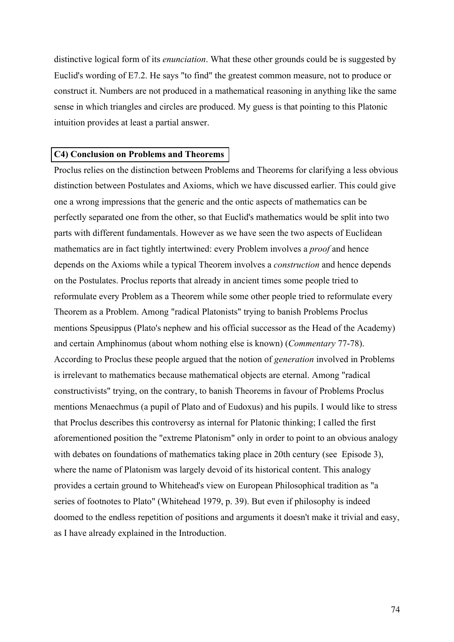distinctive logical form of its *enunciation*. What these other grounds could be is suggested by Euclid's wording of E7.2. He says "to find" the greatest common measure, not to produce or construct it. Numbers are not produced in a mathematical reasoning in anything like the same sense in which triangles and circles are produced. My guess is that pointing to this Platonic intuition provides at least a partial answer.

## **[C4\) Conclusion on Problems and Theorems](#page-1-0)**

Proclus relies on the distinction between Problems and Theorems for clarifying a less obvious distinction between Postulates and Axioms, which we have discussed earlier. This could give one a wrong impressions that the generic and the ontic aspects of mathematics can be perfectly separated one from the other, so that Euclid's mathematics would be split into two parts with different fundamentals. However as we have seen the two aspects of Euclidean mathematics are in fact tightly intertwined: every Problem involves a *proof* and hence depends on the Axioms while a typical Theorem involves a *construction* and hence depends on the Postulates. Proclus reports that already in ancient times some people tried to reformulate every Problem as a Theorem while some other people tried to reformulate every Theorem as a Problem. Among "radical Platonists" trying to banish Problems Proclus mentions Speusippus (Plato's nephew and his official successor as the Head of the Academy) and certain Amphinomus (about whom nothing else is known) (*Commentary* 77-78). According to Proclus these people argued that the notion of *generation* involved in Problems is irrelevant to mathematics because mathematical objects are eternal. Among "radical constructivists" trying, on the contrary, to banish Theorems in favour of Problems Proclus mentions Menaechmus (a pupil of Plato and of Eudoxus) and his pupils. I would like to stress that Proclus describes this controversy as internal for Platonic thinking; I called the first aforementioned position the "extreme Platonism" only in order to point to an obvious analogy with debates on foundations of mathematics taking place in 20th century (see Episode 3), where the name of Platonism was largely devoid of its historical content. This analogy provides a certain ground to Whitehead's view on European Philosophical tradition as "a series of footnotes to Plato" (Whitehead 1979, p. 39). But even if philosophy is indeed doomed to the endless repetition of positions and arguments it doesn't make it trivial and easy, as I have already explained in the Introduction.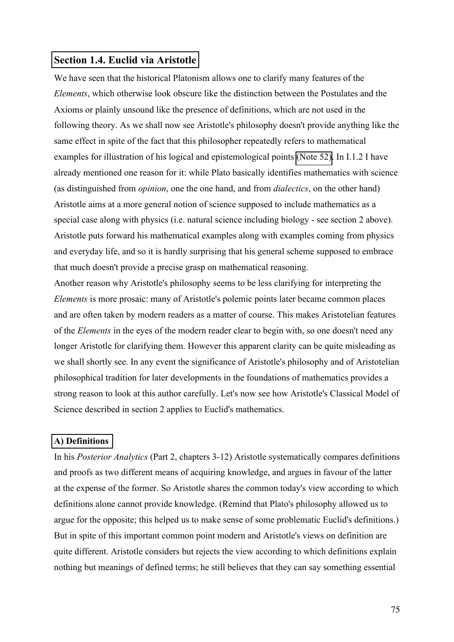## **[Section 1.4. Euclid via Aristotle](#page-2-0)**

We have seen that the historical Platonism allows one to clarify many features of the *Elements*, which otherwise look obscure like the distinction between the Postulates and the Axioms or plainly unsound like the presence of definitions, which are not used in the following theory. As we shall now see Aristotle's philosophy doesn't provide anything like the same effect in spite of the fact that this philosopher repeatedly refers to mathematical examples for illustration of his logical and epistemological points [\(Note 52\).](#page-113-0) In I.1.2 I have already mentioned one reason for it: while Plato basically identifies mathematics with science (as distinguished from *opinion*, one the one hand, and from *dialectics*, on the other hand) Aristotle aims at a more general notion of science supposed to include mathematics as a special case along with physics (i.e. natural science including biology - see section 2 above). Aristotle puts forward his mathematical examples along with examples coming from physics and everyday life, and so it is hardly surprising that his general scheme supposed to embrace that much doesn't provide a precise grasp on mathematical reasoning.

Another reason why Aristotle's philosophy seems to be less clarifying for interpreting the *Elements* is more prosaic: many of Aristotle's polemic points later became common places and are often taken by modern readers as a matter of course. This makes Aristotelian features of the *Elements* in the eyes of the modern reader clear to begin with, so one doesn't need any longer Aristotle for clarifying them. However this apparent clarity can be quite misleading as we shall shortly see. In any event the significance of Aristotle's philosophy and of Aristotelian philosophical tradition for later developments in the foundations of mathematics provides a strong reason to look at this author carefully. Let's now see how Aristotle's Classical Model of Science described in section 2 applies to Euclid's mathematics.

## **[A\) Definitions](#page-2-0)**

In his *Posterior Analytics* (Part 2, chapters 3-12) Aristotle systematically compares definitions and proofs as two different means of acquiring knowledge, and argues in favour of the latter at the expense of the former. So Aristotle shares the common today's view according to which definitions alone cannot provide knowledge. (Remind that Plato's philosophy allowed us to argue for the opposite; this helped us to make sense of some problematic Euclid's definitions.) But in spite of this important common point modern and Aristotle's views on definition are quite different. Aristotle considers but rejects the view according to which definitions explain nothing but meanings of defined terms; he still believes that they can say something essential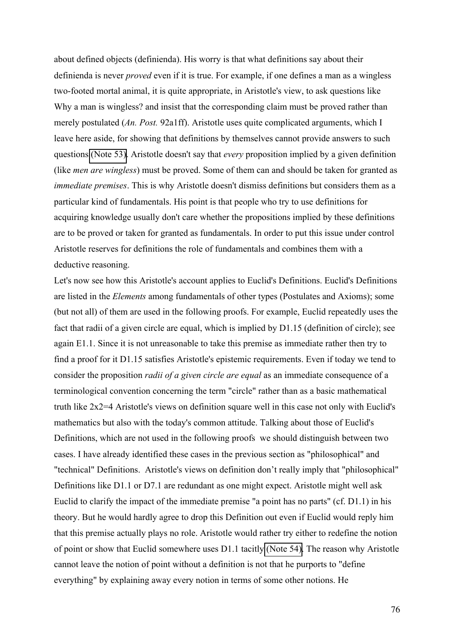about defined objects (definienda). His worry is that what definitions say about their definienda is never *proved* even if it is true. For example, if one defines a man as a wingless two-footed mortal animal, it is quite appropriate, in Aristotle's view, to ask questions like Why a man is wingless? and insist that the corresponding claim must be proved rather than merely postulated (*An. Post.* 92a1ff). Aristotle uses quite complicated arguments, which I leave here aside, for showing that definitions by themselves cannot provide answers to such questions [\(Note 53\).](#page-113-0) Aristotle doesn't say that *every* proposition implied by a given definition (like *men are wingless*) must be proved. Some of them can and should be taken for granted as *immediate premises*. This is why Aristotle doesn't dismiss definitions but considers them as a particular kind of fundamentals. His point is that people who try to use definitions for acquiring knowledge usually don't care whether the propositions implied by these definitions are to be proved or taken for granted as fundamentals. In order to put this issue under control Aristotle reserves for definitions the role of fundamentals and combines them with a deductive reasoning.

Let's now see how this Aristotle's account applies to Euclid's Definitions. Euclid's Definitions are listed in the *Elements* among fundamentals of other types (Postulates and Axioms); some (but not all) of them are used in the following proofs. For example, Euclid repeatedly uses the fact that radii of a given circle are equal, which is implied by D1.15 (definition of circle); see again E1.1. Since it is not unreasonable to take this premise as immediate rather then try to find a proof for it D1.15 satisfies Aristotle's epistemic requirements. Even if today we tend to consider the proposition *radii of a given circle are equal* as an immediate consequence of a terminological convention concerning the term "circle" rather than as a basic mathematical truth like  $2x2=4$  Aristotle's views on definition square well in this case not only with Euclid's mathematics but also with the today's common attitude. Talking about those of Euclid's Definitions, which are not used in the following proofs we should distinguish between two cases. I have already identified these cases in the previous section as "philosophical" and "technical" Definitions. Aristotle's views on definition don't really imply that "philosophical" Definitions like D1.1 or D7.1 are redundant as one might expect. Aristotle might well ask Euclid to clarify the impact of the immediate premise "a point has no parts" (cf. D1.1) in his theory. But he would hardly agree to drop this Definition out even if Euclid would reply him that this premise actually plays no role. Aristotle would rather try either to redefine the notion of point or show that Euclid somewhere uses D1.1 tacitly [\(Note 54\).](#page-113-0) The reason why Aristotle cannot leave the notion of point without a definition is not that he purports to "define everything" by explaining away every notion in terms of some other notions. He

76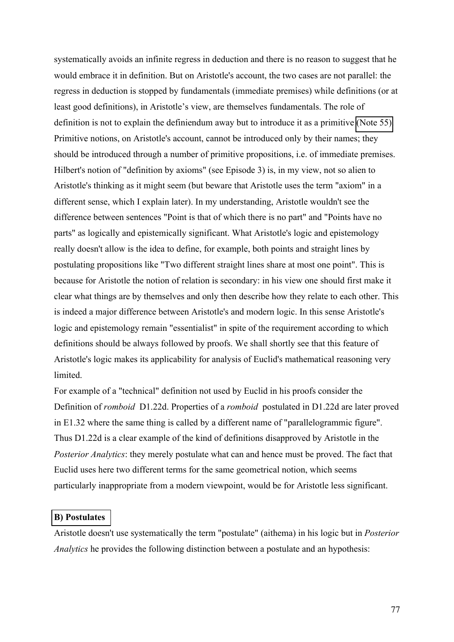systematically avoids an infinite regress in deduction and there is no reason to suggest that he would embrace it in definition. But on Aristotle's account, the two cases are not parallel: the regress in deduction is stopped by fundamentals (immediate premises) while definitions (or at least good definitions), in Aristotle's view, are themselves fundamentals. The role of definition is not to explain the definiendum away but to introduce it as a primitive [\(Note 55\).](#page-114-0) Primitive notions, on Aristotle's account, cannot be introduced only by their names; they should be introduced through a number of primitive propositions, i.e. of immediate premises. Hilbert's notion of "definition by axioms" (see Episode 3) is, in my view, not so alien to Aristotle's thinking as it might seem (but beware that Aristotle uses the term "axiom" in a different sense, which I explain later). In my understanding, Aristotle wouldn't see the difference between sentences "Point is that of which there is no part" and "Points have no parts" as logically and epistemically significant. What Aristotle's logic and epistemology really doesn't allow is the idea to define, for example, both points and straight lines by postulating propositions like "Two different straight lines share at most one point". This is because for Aristotle the notion of relation is secondary: in his view one should first make it clear what things are by themselves and only then describe how they relate to each other. This is indeed a major difference between Aristotle's and modern logic. In this sense Aristotle's logic and epistemology remain "essentialist" in spite of the requirement according to which definitions should be always followed by proofs. We shall shortly see that this feature of Aristotle's logic makes its applicability for analysis of Euclid's mathematical reasoning very **limited** 

For example of a "technical" definition not used by Euclid in his proofs consider the Definition of *romboid* D1.22d. Properties of a *romboid* postulated in D1.22d are later proved in E1.32 where the same thing is called by a different name of "parallelogrammic figure". Thus D1.22d is a clear example of the kind of definitions disapproved by Aristotle in the *Posterior Analytics*: they merely postulate what can and hence must be proved. The fact that Euclid uses here two different terms for the same geometrical notion, which seems particularly inappropriate from a modern viewpoint, would be for Aristotle less significant.

#### **[B\) Postulates](#page-2-0)**

Aristotle doesn't use systematically the term "postulate" (aithema) in his logic but in *Posterior Analytics* he provides the following distinction between a postulate and an hypothesis: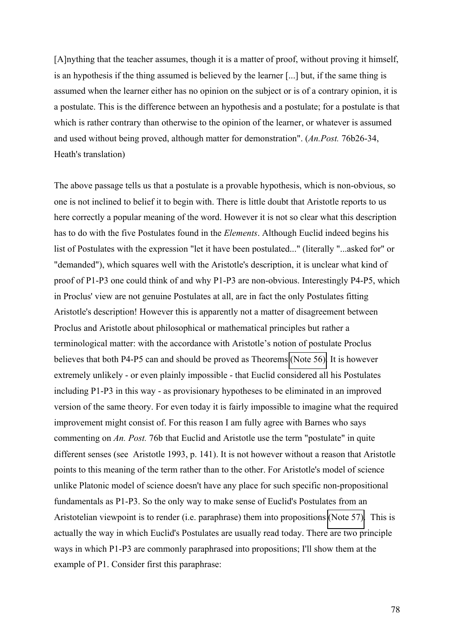[A]nything that the teacher assumes, though it is a matter of proof, without proving it himself, is an hypothesis if the thing assumed is believed by the learner [...] but, if the same thing is assumed when the learner either has no opinion on the subject or is of a contrary opinion, it is a postulate. This is the difference between an hypothesis and a postulate; for a postulate is that which is rather contrary than otherwise to the opinion of the learner, or whatever is assumed and used without being proved, although matter for demonstration". (*An.Post.* 76b26-34, Heath's translation)

The above passage tells us that a postulate is a provable hypothesis, which is non-obvious, so one is not inclined to belief it to begin with. There is little doubt that Aristotle reports to us here correctly a popular meaning of the word. However it is not so clear what this description has to do with the five Postulates found in the *Elements*. Although Euclid indeed begins his list of Postulates with the expression "let it have been postulated..." (literally "...asked for" or "demanded"), which squares well with the Aristotle's description, it is unclear what kind of proof of P1-P3 one could think of and why P1-P3 are non-obvious. Interestingly P4-P5, which in Proclus' view are not genuine Postulates at all, are in fact the only Postulates fitting Aristotle's description! However this is apparently not a matter of disagreement between Proclus and Aristotle about philosophical or mathematical principles but rather a terminological matter: with the accordance with Aristotle's notion of postulate Proclus believes that both P4-P5 can and should be proved as Theorems [\(Note 56\).](#page-114-0) It is however extremely unlikely - or even plainly impossible - that Euclid considered all his Postulates including P1-P3 in this way - as provisionary hypotheses to be eliminated in an improved version of the same theory. For even today it is fairly impossible to imagine what the required improvement might consist of. For this reason I am fully agree with Barnes who says commenting on *An. Post.* 76b that Euclid and Aristotle use the term "postulate" in quite different senses (see Aristotle 1993, p. 141). It is not however without a reason that Aristotle points to this meaning of the term rather than to the other. For Aristotle's model of science unlike Platonic model of science doesn't have any place for such specific non-propositional fundamentals as P1-P3. So the only way to make sense of Euclid's Postulates from an Aristotelian viewpoint is to render (i.e. paraphrase) them into propositions [\(Note 57\).](#page-114-0) This is actually the way in which Euclid's Postulates are usually read today. There are two principle ways in which P1-P3 are commonly paraphrased into propositions; I'll show them at the example of P1. Consider first this paraphrase: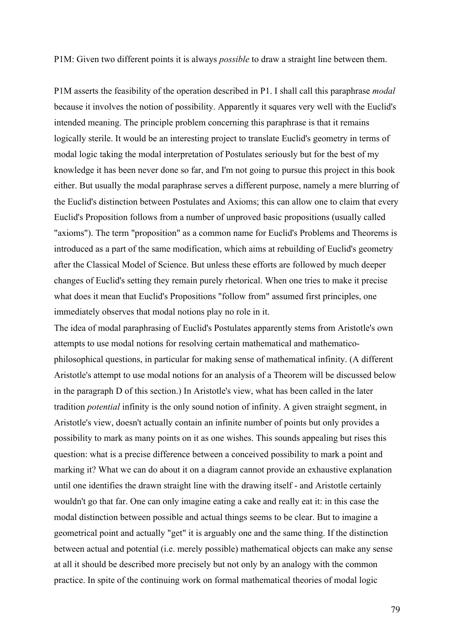P1M: Given two different points it is always *possible* to draw a straight line between them.

P1M asserts the feasibility of the operation described in P1. I shall call this paraphrase *modal* because it involves the notion of possibility. Apparently it squares very well with the Euclid's intended meaning. The principle problem concerning this paraphrase is that it remains logically sterile. It would be an interesting project to translate Euclid's geometry in terms of modal logic taking the modal interpretation of Postulates seriously but for the best of my knowledge it has been never done so far, and I'm not going to pursue this project in this book either. But usually the modal paraphrase serves a different purpose, namely a mere blurring of the Euclid's distinction between Postulates and Axioms; this can allow one to claim that every Euclid's Proposition follows from a number of unproved basic propositions (usually called "axioms"). The term "proposition" as a common name for Euclid's Problems and Theorems is introduced as a part of the same modification, which aims at rebuilding of Euclid's geometry after the Classical Model of Science. But unless these efforts are followed by much deeper changes of Euclid's setting they remain purely rhetorical. When one tries to make it precise what does it mean that Euclid's Propositions "follow from" assumed first principles, one immediately observes that modal notions play no role in it.

The idea of modal paraphrasing of Euclid's Postulates apparently stems from Aristotle's own attempts to use modal notions for resolving certain mathematical and mathematicophilosophical questions, in particular for making sense of mathematical infinity. (A different Aristotle's attempt to use modal notions for an analysis of a Theorem will be discussed below in the paragraph D of this section.) In Aristotle's view, what has been called in the later tradition *potential* infinity is the only sound notion of infinity. A given straight segment, in Aristotle's view, doesn't actually contain an infinite number of points but only provides a possibility to mark as many points on it as one wishes. This sounds appealing but rises this question: what is a precise difference between a conceived possibility to mark a point and marking it? What we can do about it on a diagram cannot provide an exhaustive explanation until one identifies the drawn straight line with the drawing itself - and Aristotle certainly wouldn't go that far. One can only imagine eating a cake and really eat it: in this case the modal distinction between possible and actual things seems to be clear. But to imagine a geometrical point and actually "get" it is arguably one and the same thing. If the distinction between actual and potential (i.e. merely possible) mathematical objects can make any sense at all it should be described more precisely but not only by an analogy with the common practice. In spite of the continuing work on formal mathematical theories of modal logic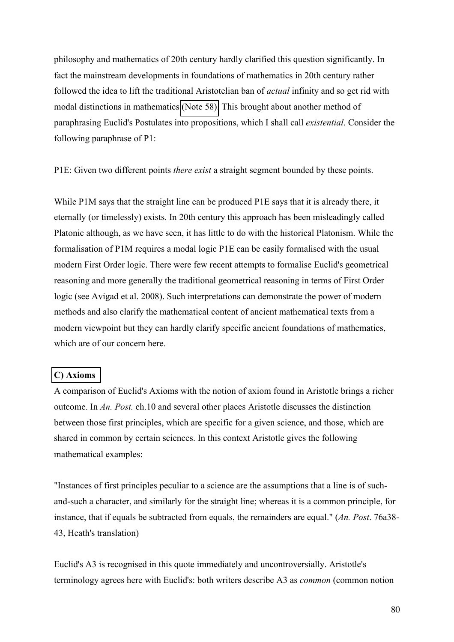philosophy and mathematics of 20th century hardly clarified this question significantly. In fact the mainstream developments in foundations of mathematics in 20th century rather followed the idea to lift the traditional Aristotelian ban of *actual* infinity and so get rid with modal distinctions in mathematics [\(Note 58\).](#page-115-0) This brought about another method of paraphrasing Euclid's Postulates into propositions, which I shall call *existential*. Consider the following paraphrase of P1:

P1E: Given two different points *there exist* a straight segment bounded by these points.

While P1M says that the straight line can be produced P1E says that it is already there, it eternally (or timelessly) exists. In 20th century this approach has been misleadingly called Platonic although, as we have seen, it has little to do with the historical Platonism. While the formalisation of P1M requires a modal logic P1E can be easily formalised with the usual modern First Order logic. There were few recent attempts to formalise Euclid's geometrical reasoning and more generally the traditional geometrical reasoning in terms of First Order logic (see Avigad et al. 2008). Such interpretations can demonstrate the power of modern methods and also clarify the mathematical content of ancient mathematical texts from a modern viewpoint but they can hardly clarify specific ancient foundations of mathematics, which are of our concern here.

#### **[C\) Axioms](#page-2-0)**

A comparison of Euclid's Axioms with the notion of axiom found in Aristotle brings a richer outcome. In *An. Post.* ch.10 and several other places Aristotle discusses the distinction between those first principles, which are specific for a given science, and those, which are shared in common by certain sciences. In this context Aristotle gives the following mathematical examples:

"Instances of first principles peculiar to a science are the assumptions that a line is of suchand-such a character, and similarly for the straight line; whereas it is a common principle, for instance, that if equals be subtracted from equals, the remainders are equal." (*An. Post*. 76a38- 43, Heath's translation)

Euclid's A3 is recognised in this quote immediately and uncontroversially. Aristotle's terminology agrees here with Euclid's: both writers describe A3 as *common* (common notion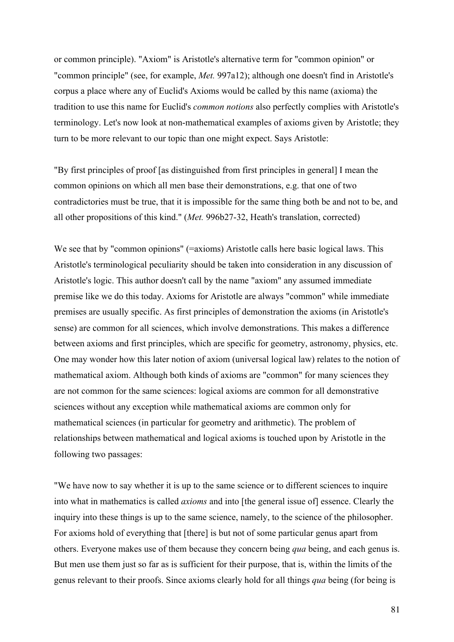or common principle). "Axiom" is Aristotle's alternative term for "common opinion" or "common principle" (see, for example, *Met.* 997a12); although one doesn't find in Aristotle's corpus a place where any of Euclid's Axioms would be called by this name (axioma) the tradition to use this name for Euclid's *common notions* also perfectly complies with Aristotle's terminology. Let's now look at non-mathematical examples of axioms given by Aristotle; they turn to be more relevant to our topic than one might expect. Says Aristotle:

"By first principles of proof [as distinguished from first principles in general] I mean the common opinions on which all men base their demonstrations, e.g. that one of two contradictories must be true, that it is impossible for the same thing both be and not to be, and all other propositions of this kind." (*Met.* 996b27-32, Heath's translation, corrected)

We see that by "common opinions" (=axioms) Aristotle calls here basic logical laws. This Aristotle's terminological peculiarity should be taken into consideration in any discussion of Aristotle's logic. This author doesn't call by the name "axiom" any assumed immediate premise like we do this today. Axioms for Aristotle are always "common" while immediate premises are usually specific. As first principles of demonstration the axioms (in Aristotle's sense) are common for all sciences, which involve demonstrations. This makes a difference between axioms and first principles, which are specific for geometry, astronomy, physics, etc. One may wonder how this later notion of axiom (universal logical law) relates to the notion of mathematical axiom. Although both kinds of axioms are "common" for many sciences they are not common for the same sciences: logical axioms are common for all demonstrative sciences without any exception while mathematical axioms are common only for mathematical sciences (in particular for geometry and arithmetic). The problem of relationships between mathematical and logical axioms is touched upon by Aristotle in the following two passages:

"We have now to say whether it is up to the same science or to different sciences to inquire into what in mathematics is called *axioms* and into [the general issue of] essence. Clearly the inquiry into these things is up to the same science, namely, to the science of the philosopher. For axioms hold of everything that [there] is but not of some particular genus apart from others. Everyone makes use of them because they concern being *qua* being, and each genus is. But men use them just so far as is sufficient for their purpose, that is, within the limits of the genus relevant to their proofs. Since axioms clearly hold for all things *qua* being (for being is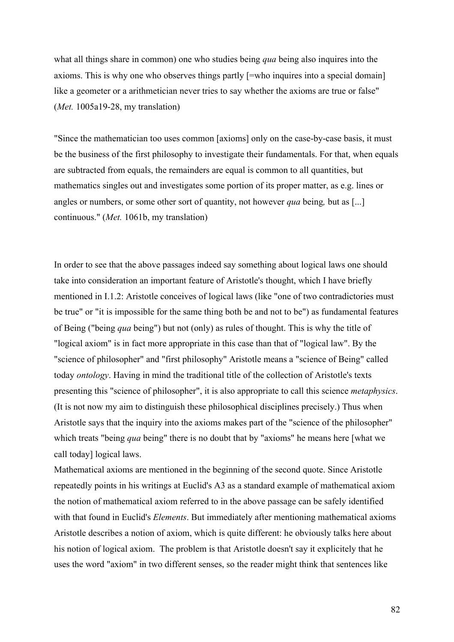what all things share in common) one who studies being *qua* being also inquires into the axioms. This is why one who observes things partly [=who inquires into a special domain] like a geometer or a arithmetician never tries to say whether the axioms are true or false" (*Met.* 1005a19-28, my translation)

"Since the mathematician too uses common [axioms] only on the case-by-case basis, it must be the business of the first philosophy to investigate their fundamentals. For that, when equals are subtracted from equals, the remainders are equal is common to all quantities, but mathematics singles out and investigates some portion of its proper matter, as e.g. lines or angles or numbers, or some other sort of quantity, not however *qua* being*,* but as [...] continuous." (*Met.* 1061b, my translation)

In order to see that the above passages indeed say something about logical laws one should take into consideration an important feature of Aristotle's thought, which I have briefly mentioned in I.1.2: Aristotle conceives of logical laws (like "one of two contradictories must be true" or "it is impossible for the same thing both be and not to be") as fundamental features of Being ("being *qua* being") but not (only) as rules of thought. This is why the title of "logical axiom" is in fact more appropriate in this case than that of "logical law". By the "science of philosopher" and "first philosophy" Aristotle means a "science of Being" called today *ontology*. Having in mind the traditional title of the collection of Aristotle's texts presenting this "science of philosopher", it is also appropriate to call this science *metaphysics*. (It is not now my aim to distinguish these philosophical disciplines precisely.) Thus when Aristotle says that the inquiry into the axioms makes part of the "science of the philosopher" which treats "being *qua* being" there is no doubt that by "axioms" he means here [what we call today] logical laws.

Mathematical axioms are mentioned in the beginning of the second quote. Since Aristotle repeatedly points in his writings at Euclid's A3 as a standard example of mathematical axiom the notion of mathematical axiom referred to in the above passage can be safely identified with that found in Euclid's *Elements*. But immediately after mentioning mathematical axioms Aristotle describes a notion of axiom, which is quite different: he obviously talks here about his notion of logical axiom. The problem is that Aristotle doesn't say it explicitely that he uses the word "axiom" in two different senses, so the reader might think that sentences like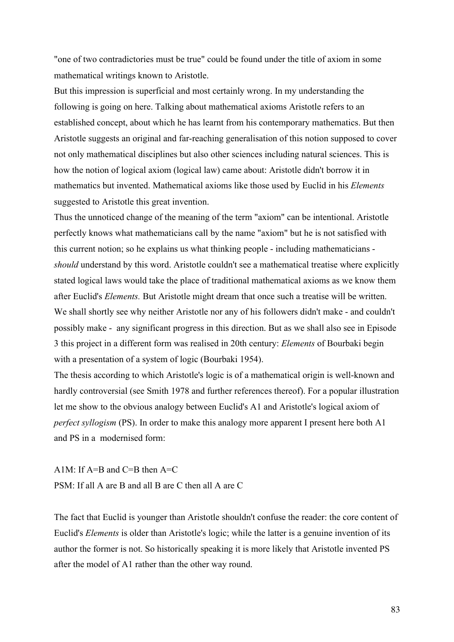"one of two contradictories must be true" could be found under the title of axiom in some mathematical writings known to Aristotle.

But this impression is superficial and most certainly wrong. In my understanding the following is going on here. Talking about mathematical axioms Aristotle refers to an established concept, about which he has learnt from his contemporary mathematics. But then Aristotle suggests an original and far-reaching generalisation of this notion supposed to cover not only mathematical disciplines but also other sciences including natural sciences. This is how the notion of logical axiom (logical law) came about: Aristotle didn't borrow it in mathematics but invented. Mathematical axioms like those used by Euclid in his *Elements* suggested to Aristotle this great invention.

Thus the unnoticed change of the meaning of the term "axiom" can be intentional. Aristotle perfectly knows what mathematicians call by the name "axiom" but he is not satisfied with this current notion; so he explains us what thinking people - including mathematicians *should* understand by this word. Aristotle couldn't see a mathematical treatise where explicitly stated logical laws would take the place of traditional mathematical axioms as we know them after Euclid's *Elements.* But Aristotle might dream that once such a treatise will be written. We shall shortly see why neither Aristotle nor any of his followers didn't make - and couldn't possibly make - any significant progress in this direction. But as we shall also see in Episode 3 this project in a different form was realised in 20th century: *Elements* of Bourbaki begin with a presentation of a system of logic (Bourbaki 1954).

The thesis according to which Aristotle's logic is of a mathematical origin is well-known and hardly controversial (see Smith 1978 and further references thereof). For a popular illustration let me show to the obvious analogy between Euclid's A1 and Aristotle's logical axiom of *perfect syllogism* (PS). In order to make this analogy more apparent I present here both A1 and PS in a modernised form:

A1M: If  $A=B$  and  $C=B$  then  $A=C$ PSM: If all A are B and all B are C then all A are C

The fact that Euclid is younger than Aristotle shouldn't confuse the reader: the core content of Euclid's *Elements* is older than Aristotle's logic; while the latter is a genuine invention of its author the former is not. So historically speaking it is more likely that Aristotle invented PS after the model of A1 rather than the other way round.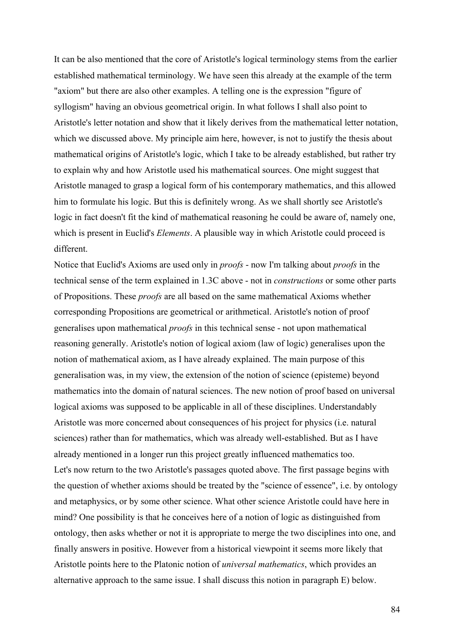It can be also mentioned that the core of Aristotle's logical terminology stems from the earlier established mathematical terminology. We have seen this already at the example of the term "axiom" but there are also other examples. A telling one is the expression "figure of syllogism" having an obvious geometrical origin. In what follows I shall also point to Aristotle's letter notation and show that it likely derives from the mathematical letter notation, which we discussed above. My principle aim here, however, is not to justify the thesis about mathematical origins of Aristotle's logic, which I take to be already established, but rather try to explain why and how Aristotle used his mathematical sources. One might suggest that Aristotle managed to grasp a logical form of his contemporary mathematics, and this allowed him to formulate his logic. But this is definitely wrong. As we shall shortly see Aristotle's logic in fact doesn't fit the kind of mathematical reasoning he could be aware of, namely one, which is present in Euclid's *Elements*. A plausible way in which Aristotle could proceed is different.

Notice that Euclid's Axioms are used only in *proofs* - now I'm talking about *proofs* in the technical sense of the term explained in 1.3C above - not in *constructions* or some other parts of Propositions. These *proofs* are all based on the same mathematical Axioms whether corresponding Propositions are geometrical or arithmetical. Aristotle's notion of proof generalises upon mathematical *proofs* in this technical sense - not upon mathematical reasoning generally. Aristotle's notion of logical axiom (law of logic) generalises upon the notion of mathematical axiom, as I have already explained. The main purpose of this generalisation was, in my view, the extension of the notion of science (episteme) beyond mathematics into the domain of natural sciences. The new notion of proof based on universal logical axioms was supposed to be applicable in all of these disciplines. Understandably Aristotle was more concerned about consequences of his project for physics (i.e. natural sciences) rather than for mathematics, which was already well-established. But as I have already mentioned in a longer run this project greatly influenced mathematics too. Let's now return to the two Aristotle's passages quoted above. The first passage begins with the question of whether axioms should be treated by the "science of essence", i.e. by ontology and metaphysics, or by some other science. What other science Aristotle could have here in mind? One possibility is that he conceives here of a notion of logic as distinguished from ontology, then asks whether or not it is appropriate to merge the two disciplines into one, and finally answers in positive. However from a historical viewpoint it seems more likely that Aristotle points here to the Platonic notion of *universal mathematics*, which provides an alternative approach to the same issue. I shall discuss this notion in paragraph E) below.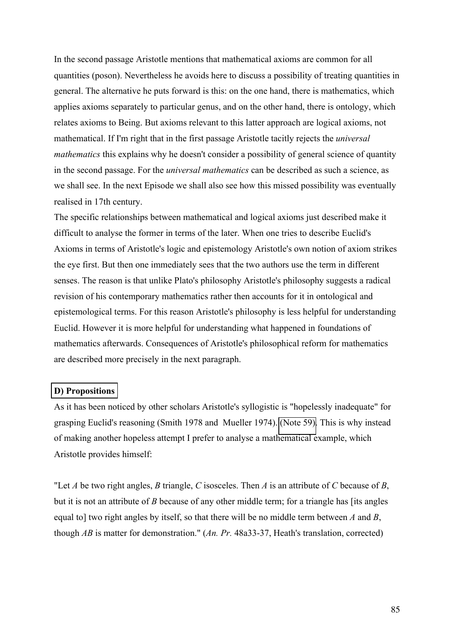In the second passage Aristotle mentions that mathematical axioms are common for all quantities (poson). Nevertheless he avoids here to discuss a possibility of treating quantities in general. The alternative he puts forward is this: on the one hand, there is mathematics, which applies axioms separately to particular genus, and on the other hand, there is ontology, which relates axioms to Being. But axioms relevant to this latter approach are logical axioms, not mathematical. If I'm right that in the first passage Aristotle tacitly rejects the *universal mathematics* this explains why he doesn't consider a possibility of general science of quantity in the second passage. For the *universal mathematics* can be described as such a science, as we shall see. In the next Episode we shall also see how this missed possibility was eventually realised in 17th century.

The specific relationships between mathematical and logical axioms just described make it difficult to analyse the former in terms of the later. When one tries to describe Euclid's Axioms in terms of Aristotle's logic and epistemology Aristotle's own notion of axiom strikes the eye first. But then one immediately sees that the two authors use the term in different senses. The reason is that unlike Plato's philosophy Aristotle's philosophy suggests a radical revision of his contemporary mathematics rather then accounts for it in ontological and epistemological terms. For this reason Aristotle's philosophy is less helpful for understanding Euclid. However it is more helpful for understanding what happened in foundations of mathematics afterwards. Consequences of Aristotle's philosophical reform for mathematics are described more precisely in the next paragraph.

#### **[D\) Propositions](#page-2-0)**

As it has been noticed by other scholars Aristotle's syllogistic is "hopelessly inadequate" for grasping Euclid's reasoning (Smith 1978 and Mueller 1974). [\(Note 59\).](#page-115-0) This is why instead of making another hopeless attempt I prefer to analyse a mathematical example, which Aristotle provides himself:

"Let *A* be two right angles, *B* triangle, *C* isosceles. Then *A* is an attribute of *C* because of *B*, but it is not an attribute of *B* because of any other middle term; for a triangle has [its angles equal to] two right angles by itself, so that there will be no middle term between *A* and *B*, though *AB* is matter for demonstration." (*An. Pr.* 48a33-37, Heath's translation, corrected)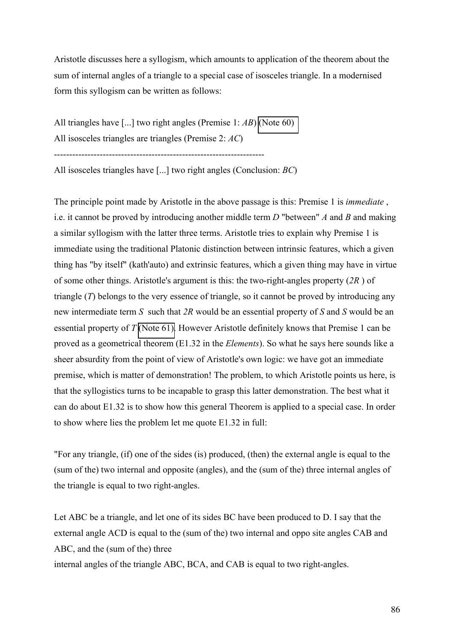Aristotle discusses here a syllogism, which amounts to application of the theorem about the sum of internal angles of a triangle to a special case of isosceles triangle. In a modernised form this syllogism can be written as follows:

All triangles have [...] two right angles (Premise 1: *AB*) [\(Note 60\)](#page-115-0) All isosceles triangles are triangles (Premise 2: *AC*)

---------------------------------------------------------------------

All isosceles triangles have [...] two right angles (Conclusion: *BC*)

The principle point made by Aristotle in the above passage is this: Premise 1 is *immediate* , i.e. it cannot be proved by introducing another middle term *D* "between" *A* and *B* and making a similar syllogism with the latter three terms. Aristotle tries to explain why Premise 1 is immediate using the traditional Platonic distinction between intrinsic features, which a given thing has "by itself" (kath'auto) and extrinsic features, which a given thing may have in virtue of some other things. Aristotle's argument is this: the two-right-angles property (*2R* ) of triangle (*T*) belongs to the very essence of triangle, so it cannot be proved by introducing any new intermediate term *S* such that *2R* would be an essential property of *S* and *S* would be an essential property of *T* [\(Note 61\).](#page-115-0) However Aristotle definitely knows that Premise 1 can be proved as a geometrical theorem (E1.32 in the *Elements*). So what he says here sounds like a sheer absurdity from the point of view of Aristotle's own logic: we have got an immediate premise, which is matter of demonstration! The problem, to which Aristotle points us here, is that the syllogistics turns to be incapable to grasp this latter demonstration. The best what it can do about E1.32 is to show how this general Theorem is applied to a special case. In order to show where lies the problem let me quote E1.32 in full:

"For any triangle, (if) one of the sides (is) produced, (then) the external angle is equal to the (sum of the) two internal and opposite (angles), and the (sum of the) three internal angles of the triangle is equal to two right-angles.

Let ABC be a triangle, and let one of its sides BC have been produced to D. I say that the external angle ACD is equal to the (sum of the) two internal and oppo site angles CAB and ABC, and the (sum of the) three

internal angles of the triangle ABC, BCA, and CAB is equal to two right-angles.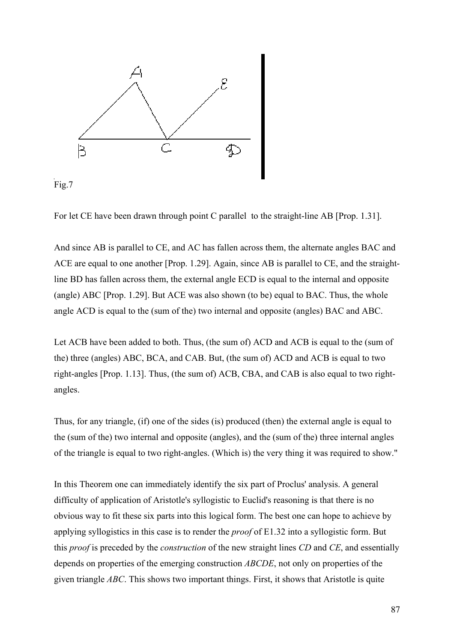

Fig.7

For let CE have been drawn through point C parallel to the straight-line AB [Prop. 1.31].

And since AB is parallel to CE, and AC has fallen across them, the alternate angles BAC and ACE are equal to one another [Prop. 1.29]. Again, since AB is parallel to CE, and the straightline BD has fallen across them, the external angle ECD is equal to the internal and opposite (angle) ABC [Prop. 1.29]. But ACE was also shown (to be) equal to BAC. Thus, the whole angle ACD is equal to the (sum of the) two internal and opposite (angles) BAC and ABC.

Let ACB have been added to both. Thus, (the sum of) ACD and ACB is equal to the (sum of the) three (angles) ABC, BCA, and CAB. But, (the sum of) ACD and ACB is equal to two right-angles [Prop. 1.13]. Thus, (the sum of) ACB, CBA, and CAB is also equal to two rightangles.

Thus, for any triangle, (if) one of the sides (is) produced (then) the external angle is equal to the (sum of the) two internal and opposite (angles), and the (sum of the) three internal angles of the triangle is equal to two right-angles. (Which is) the very thing it was required to show."

In this Theorem one can immediately identify the six part of Proclus' analysis. A general difficulty of application of Aristotle's syllogistic to Euclid's reasoning is that there is no obvious way to fit these six parts into this logical form. The best one can hope to achieve by applying syllogistics in this case is to render the *proof* of E1.32 into a syllogistic form. But this *proof* is preceded by the *construction* of the new straight lines *CD* and *CE*, and essentially depends on properties of the emerging construction *ABCDE*, not only on properties of the given triangle *ABC*. This shows two important things. First, it shows that Aristotle is quite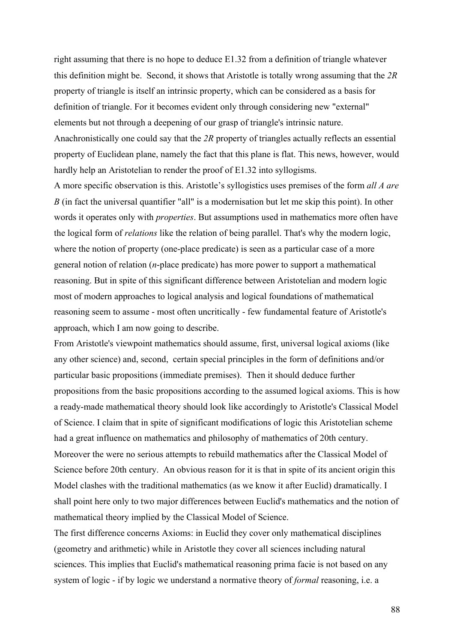right assuming that there is no hope to deduce E1.32 from a definition of triangle whatever this definition might be. Second, it shows that Aristotle is totally wrong assuming that the *2R* property of triangle is itself an intrinsic property, which can be considered as a basis for definition of triangle. For it becomes evident only through considering new "external" elements but not through a deepening of our grasp of triangle's intrinsic nature. Anachronistically one could say that the *2R* property of triangles actually reflects an essential property of Euclidean plane, namely the fact that this plane is flat. This news, however, would hardly help an Aristotelian to render the proof of E1.32 into syllogisms.

A more specific observation is this. Aristotle's syllogistics uses premises of the form *all A are B* (in fact the universal quantifier "all" is a modernisation but let me skip this point). In other words it operates only with *properties*. But assumptions used in mathematics more often have the logical form of *relations* like the relation of being parallel. That's why the modern logic, where the notion of property (one-place predicate) is seen as a particular case of a more general notion of relation (*n*-place predicate) has more power to support a mathematical reasoning. But in spite of this significant difference between Aristotelian and modern logic most of modern approaches to logical analysis and logical foundations of mathematical reasoning seem to assume - most often uncritically - few fundamental feature of Aristotle's approach, which I am now going to describe.

From Aristotle's viewpoint mathematics should assume, first, universal logical axioms (like any other science) and, second, certain special principles in the form of definitions and/or particular basic propositions (immediate premises). Then it should deduce further propositions from the basic propositions according to the assumed logical axioms. This is how a ready-made mathematical theory should look like accordingly to Aristotle's Classical Model of Science. I claim that in spite of significant modifications of logic this Aristotelian scheme had a great influence on mathematics and philosophy of mathematics of 20th century. Moreover the were no serious attempts to rebuild mathematics after the Classical Model of Science before 20th century. An obvious reason for it is that in spite of its ancient origin this Model clashes with the traditional mathematics (as we know it after Euclid) dramatically. I shall point here only to two major differences between Euclid's mathematics and the notion of mathematical theory implied by the Classical Model of Science.

The first difference concerns Axioms: in Euclid they cover only mathematical disciplines (geometry and arithmetic) while in Aristotle they cover all sciences including natural sciences. This implies that Euclid's mathematical reasoning prima facie is not based on any system of logic - if by logic we understand a normative theory of *formal* reasoning, i.e. a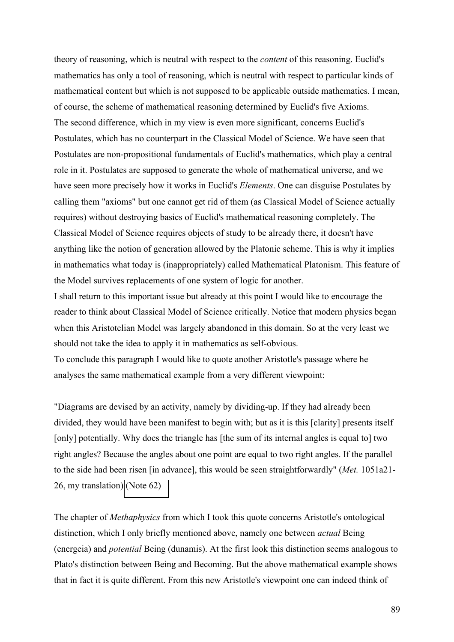theory of reasoning, which is neutral with respect to the *content* of this reasoning. Euclid's mathematics has only a tool of reasoning, which is neutral with respect to particular kinds of mathematical content but which is not supposed to be applicable outside mathematics. I mean, of course, the scheme of mathematical reasoning determined by Euclid's five Axioms. The second difference, which in my view is even more significant, concerns Euclid's Postulates, which has no counterpart in the Classical Model of Science. We have seen that Postulates are non-propositional fundamentals of Euclid's mathematics, which play a central role in it. Postulates are supposed to generate the whole of mathematical universe, and we have seen more precisely how it works in Euclid's *Elements*. One can disguise Postulates by calling them "axioms" but one cannot get rid of them (as Classical Model of Science actually requires) without destroying basics of Euclid's mathematical reasoning completely. The Classical Model of Science requires objects of study to be already there, it doesn't have anything like the notion of generation allowed by the Platonic scheme. This is why it implies in mathematics what today is (inappropriately) called Mathematical Platonism. This feature of the Model survives replacements of one system of logic for another.

I shall return to this important issue but already at this point I would like to encourage the reader to think about Classical Model of Science critically. Notice that modern physics began when this Aristotelian Model was largely abandoned in this domain. So at the very least we should not take the idea to apply it in mathematics as self-obvious.

To conclude this paragraph I would like to quote another Aristotle's passage where he analyses the same mathematical example from a very different viewpoint:

"Diagrams are devised by an activity, namely by dividing-up. If they had already been divided, they would have been manifest to begin with; but as it is this [clarity] presents itself [only] potentially. Why does the triangle has [the sum of its internal angles is equal to] two right angles? Because the angles about one point are equal to two right angles. If the parallel to the side had been risen [in advance], this would be seen straightforwardly" (*Met.* 1051a21- 26, my translation) [\(Note 62\)](#page-115-0)

The chapter of *Methaphysics* from which I took this quote concerns Aristotle's ontological distinction, which I only briefly mentioned above, namely one between *actual* Being (energeia) and *potential* Being (dunamis). At the first look this distinction seems analogous to Plato's distinction between Being and Becoming. But the above mathematical example shows that in fact it is quite different. From this new Aristotle's viewpoint one can indeed think of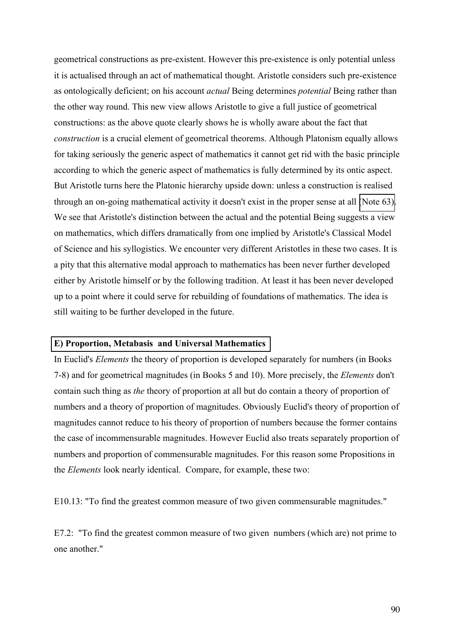geometrical constructions as pre-existent. However this pre-existence is only potential unless it is actualised through an act of mathematical thought. Aristotle considers such pre-existence as ontologically deficient; on his account *actual* Being determines *potential* Being rather than the other way round. This new view allows Aristotle to give a full justice of geometrical constructions: as the above quote clearly shows he is wholly aware about the fact that *construction* is a crucial element of geometrical theorems. Although Platonism equally allows for taking seriously the generic aspect of mathematics it cannot get rid with the basic principle according to which the generic aspect of mathematics is fully determined by its ontic aspect. But Aristotle turns here the Platonic hierarchy upside down: unless a construction is realised through an on-going mathematical activity it doesn't exist in the proper sense at all [\(Note 63\).](#page-117-0) We see that Aristotle's distinction between the actual and the potential Being suggests a view on mathematics, which differs dramatically from one implied by Aristotle's Classical Model of Science and his syllogistics. We encounter very different Aristotles in these two cases. It is a pity that this alternative modal approach to mathematics has been never further developed either by Aristotle himself or by the following tradition. At least it has been never developed up to a point where it could serve for rebuilding of foundations of mathematics. The idea is still waiting to be further developed in the future.

#### **[E\) Proportion, Metabasis and Universal Mathematics](#page-2-0)**

In Euclid's *Elements* the theory of proportion is developed separately for numbers (in Books 7-8) and for geometrical magnitudes (in Books 5 and 10). More precisely, the *Elements* don't contain such thing as *the* theory of proportion at all but do contain a theory of proportion of numbers and a theory of proportion of magnitudes. Obviously Euclid's theory of proportion of magnitudes cannot reduce to his theory of proportion of numbers because the former contains the case of incommensurable magnitudes. However Euclid also treats separately proportion of numbers and proportion of commensurable magnitudes. For this reason some Propositions in the *Elements* look nearly identical. Compare, for example, these two:

E10.13: "To find the greatest common measure of two given commensurable magnitudes."

E7.2: "To find the greatest common measure of two given numbers (which are) not prime to one another."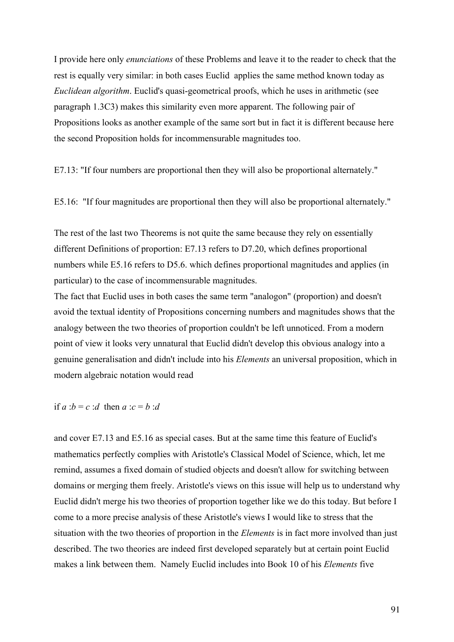I provide here only *enunciations* of these Problems and leave it to the reader to check that the rest is equally very similar: in both cases Euclid applies the same method known today as *Euclidean algorithm*. Euclid's quasi-geometrical proofs, which he uses in arithmetic (see paragraph 1.3C3) makes this similarity even more apparent. The following pair of Propositions looks as another example of the same sort but in fact it is different because here the second Proposition holds for incommensurable magnitudes too.

E7.13: "If four numbers are proportional then they will also be proportional alternately."

E5.16: "If four magnitudes are proportional then they will also be proportional alternately."

The rest of the last two Theorems is not quite the same because they rely on essentially different Definitions of proportion: E7.13 refers to D7.20, which defines proportional numbers while E5.16 refers to D5.6. which defines proportional magnitudes and applies (in particular) to the case of incommensurable magnitudes.

The fact that Euclid uses in both cases the same term "analogon" (proportion) and doesn't avoid the textual identity of Propositions concerning numbers and magnitudes shows that the analogy between the two theories of proportion couldn't be left unnoticed. From a modern point of view it looks very unnatural that Euclid didn't develop this obvious analogy into a genuine generalisation and didn't include into his *Elements* an universal proposition, which in modern algebraic notation would read

## if  $a : b = c : d$  then  $a : c = b : d$

and cover E7.13 and E5.16 as special cases. But at the same time this feature of Euclid's mathematics perfectly complies with Aristotle's Classical Model of Science, which, let me remind, assumes a fixed domain of studied objects and doesn't allow for switching between domains or merging them freely. Aristotle's views on this issue will help us to understand why Euclid didn't merge his two theories of proportion together like we do this today. But before I come to a more precise analysis of these Aristotle's views I would like to stress that the situation with the two theories of proportion in the *Elements* is in fact more involved than just described. The two theories are indeed first developed separately but at certain point Euclid makes a link between them. Namely Euclid includes into Book 10 of his *Elements* five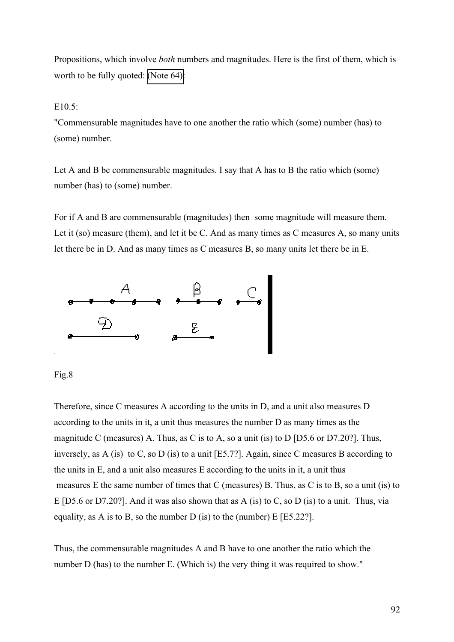Propositions, which involve *both* numbers and magnitudes. Here is the first of them, which is worth to be fully quoted: [\(Note 64\):](#page-117-0)

## E<sub>10.5</sub>:

"Commensurable magnitudes have to one another the ratio which (some) number (has) to (some) number.

Let A and B be commensurable magnitudes. I say that A has to B the ratio which (some) number (has) to (some) number.

For if A and B are commensurable (magnitudes) then some magnitude will measure them. Let it (so) measure (them), and let it be C. And as many times as C measures A, so many units let there be in D. And as many times as C measures B, so many units let there be in E.





Therefore, since C measures A according to the units in D, and a unit also measures D according to the units in it, a unit thus measures the number D as many times as the magnitude C (measures) A. Thus, as C is to A, so a unit (is) to D [D5.6 or D7.20?]. Thus, inversely, as A (is) to C, so D (is) to a unit [E5.7?]. Again, since C measures B according to the units in E, and a unit also measures E according to the units in it, a unit thus measures E the same number of times that C (measures) B. Thus, as C is to B, so a unit (is) to E [D5.6 or D7.20?]. And it was also shown that as A (is) to C, so D (is) to a unit. Thus, via equality, as A is to B, so the number D (is) to the (number) E [E5.22?].

Thus, the commensurable magnitudes A and B have to one another the ratio which the number D (has) to the number E. (Which is) the very thing it was required to show."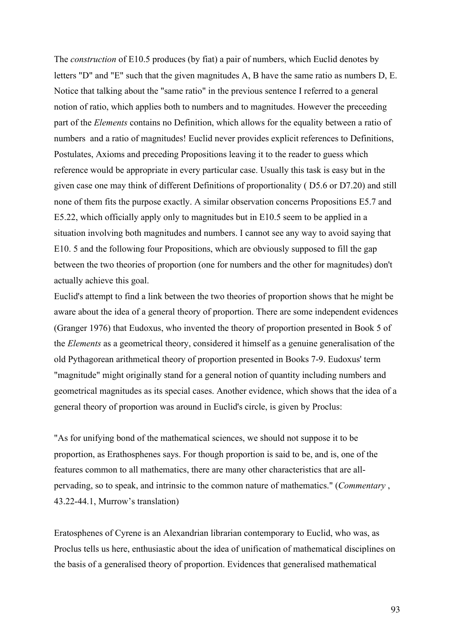The *construction* of E10.5 produces (by fiat) a pair of numbers, which Euclid denotes by letters "D" and "E" such that the given magnitudes A, B have the same ratio as numbers D, E. Notice that talking about the "same ratio" in the previous sentence I referred to a general notion of ratio, which applies both to numbers and to magnitudes. However the preceeding part of the *Elements* contains no Definition, which allows for the equality between a ratio of numbers and a ratio of magnitudes! Euclid never provides explicit references to Definitions, Postulates, Axioms and preceding Propositions leaving it to the reader to guess which reference would be appropriate in every particular case. Usually this task is easy but in the given case one may think of different Definitions of proportionality ( D5.6 or D7.20) and still none of them fits the purpose exactly. A similar observation concerns Propositions E5.7 and E5.22, which officially apply only to magnitudes but in E10.5 seem to be applied in a situation involving both magnitudes and numbers. I cannot see any way to avoid saying that E10. 5 and the following four Propositions, which are obviously supposed to fill the gap between the two theories of proportion (one for numbers and the other for magnitudes) don't actually achieve this goal.

Euclid's attempt to find a link between the two theories of proportion shows that he might be aware about the idea of a general theory of proportion. There are some independent evidences (Granger 1976) that Eudoxus, who invented the theory of proportion presented in Book 5 of the *Elements* as a geometrical theory, considered it himself as a genuine generalisation of the old Pythagorean arithmetical theory of proportion presented in Books 7-9. Eudoxus' term "magnitude" might originally stand for a general notion of quantity including numbers and geometrical magnitudes as its special cases. Another evidence, which shows that the idea of a general theory of proportion was around in Euclid's circle, is given by Proclus:

"As for unifying bond of the mathematical sciences, we should not suppose it to be proportion, as Erathosphenes says. For though proportion is said to be, and is, one of the features common to all mathematics, there are many other characteristics that are allpervading, so to speak, and intrinsic to the common nature of mathematics." (*Commentary* , 43.22-44.1, Murrow's translation)

Eratosphenes of Cyrene is an Alexandrian librarian contemporary to Euclid, who was, as Proclus tells us here, enthusiastic about the idea of unification of mathematical disciplines on the basis of a generalised theory of proportion. Evidences that generalised mathematical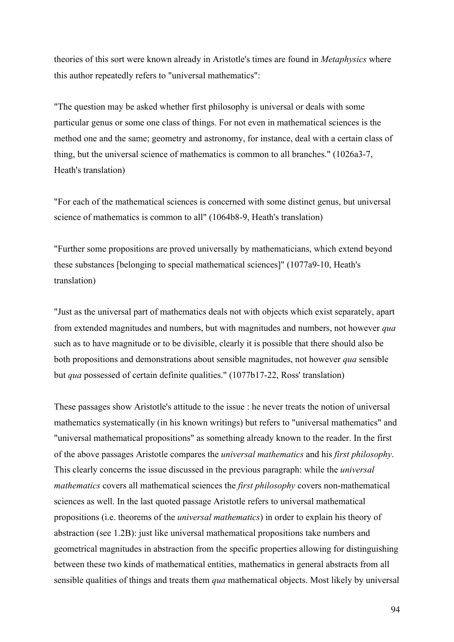theories of this sort were known already in Aristotle's times are found in *Metaphysics* where this author repeatedly refers to "universal mathematics":

"The question may be asked whether first philosophy is universal or deals with some particular genus or some one class of things. For not even in mathematical sciences is the method one and the same; geometry and astronomy, for instance, deal with a certain class of thing, but the universal science of mathematics is common to all branches." (1026a3-7, Heath's translation)

"For each of the mathematical sciences is concerned with some distinct genus, but universal science of mathematics is common to all" (1064b8-9, Heath's translation)

"Further some propositions are proved universally by mathematicians, which extend beyond these substances [belonging to special mathematical sciences]" (1077a9-10, Heath's translation)

"Just as the universal part of mathematics deals not with objects which exist separately, apart from extended magnitudes and numbers, but with magnitudes and numbers, not however *qua* such as to have magnitude or to be divisible, clearly it is possible that there should also be both propositions and demonstrations about sensible magnitudes, not however *qua* sensible but *qua* possessed of certain definite qualities." (1077b17-22, Ross' translation)

These passages show Aristotle's attitude to the issue : he never treats the notion of universal mathematics systematically (in his known writings) but refers to "universal mathematics" and "universal mathematical propositions" as something already known to the reader. In the first of the above passages Aristotle compares the *universal mathematics* and his *first philosophy*. This clearly concerns the issue discussed in the previous paragraph: while the *universal mathematics* covers all mathematical sciences the *first philosophy* covers non-mathematical sciences as well. In the last quoted passage Aristotle refers to universal mathematical propositions (i.e. theorems of the *universal mathematics*) in order to explain his theory of abstraction (see 1.2B): just like universal mathematical propositions take numbers and geometrical magnitudes in abstraction from the specific properties allowing for distinguishing between these two kinds of mathematical entities, mathematics in general abstracts from all sensible qualities of things and treats them *qua* mathematical objects. Most likely by universal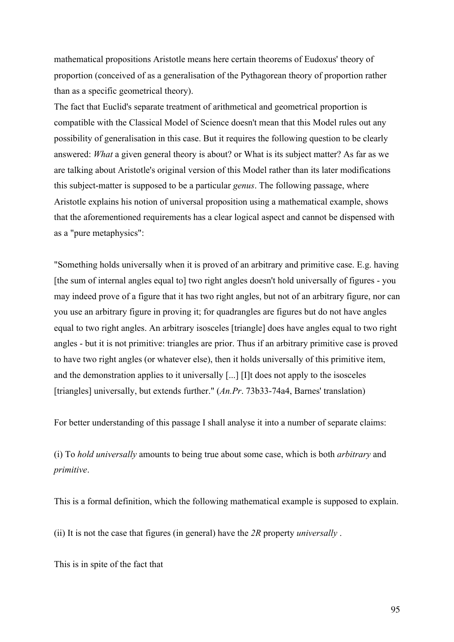mathematical propositions Aristotle means here certain theorems of Eudoxus' theory of proportion (conceived of as a generalisation of the Pythagorean theory of proportion rather than as a specific geometrical theory).

The fact that Euclid's separate treatment of arithmetical and geometrical proportion is compatible with the Classical Model of Science doesn't mean that this Model rules out any possibility of generalisation in this case. But it requires the following question to be clearly answered: *What* a given general theory is about? or What is its subject matter? As far as we are talking about Aristotle's original version of this Model rather than its later modifications this subject-matter is supposed to be a particular *genus*. The following passage, where Aristotle explains his notion of universal proposition using a mathematical example, shows that the aforementioned requirements has a clear logical aspect and cannot be dispensed with as a "pure metaphysics":

"Something holds universally when it is proved of an arbitrary and primitive case. E.g. having [the sum of internal angles equal to] two right angles doesn't hold universally of figures - you may indeed prove of a figure that it has two right angles, but not of an arbitrary figure, nor can you use an arbitrary figure in proving it; for quadrangles are figures but do not have angles equal to two right angles. An arbitrary isosceles [triangle] does have angles equal to two right angles - but it is not primitive: triangles are prior. Thus if an arbitrary primitive case is proved to have two right angles (or whatever else), then it holds universally of this primitive item, and the demonstration applies to it universally [...] [I]t does not apply to the isosceles [triangles] universally, but extends further." (*An.Pr*. 73b33-74a4, Barnes' translation)

For better understanding of this passage I shall analyse it into a number of separate claims:

(i) To *hold universally* amounts to being true about some case, which is both *arbitrary* and *primitive*.

This is a formal definition, which the following mathematical example is supposed to explain.

(ii) It is not the case that figures (in general) have the *2R* property *universally* .

This is in spite of the fact that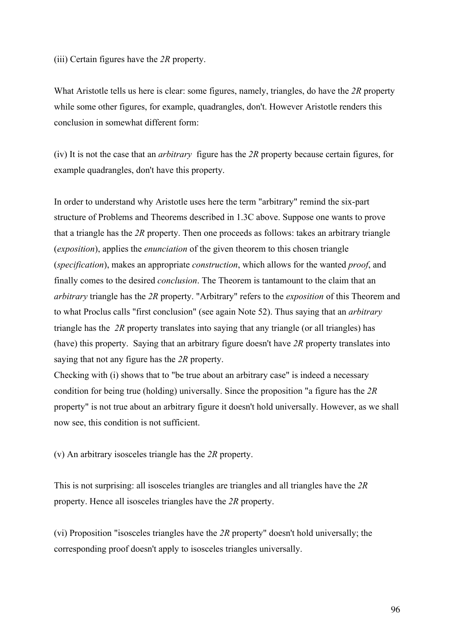(iii) Certain figures have the *2R* property.

What Aristotle tells us here is clear: some figures, namely, triangles, do have the *2R* property while some other figures, for example, quadrangles, don't. However Aristotle renders this conclusion in somewhat different form:

(iv) It is not the case that an *arbitrary* figure has the *2R* property because certain figures, for example quadrangles, don't have this property.

In order to understand why Aristotle uses here the term "arbitrary" remind the six-part structure of Problems and Theorems described in 1.3C above. Suppose one wants to prove that a triangle has the *2R* property. Then one proceeds as follows: takes an arbitrary triangle (*exposition*), applies the *enunciation* of the given theorem to this chosen triangle (*specification*), makes an appropriate *construction*, which allows for the wanted *proof*, and finally comes to the desired *conclusion*. The Theorem is tantamount to the claim that an *arbitrary* triangle has the *2R* property. "Arbitrary" refers to the *exposition* of this Theorem and to what Proclus calls "first conclusion" (see again Note 52). Thus saying that an *arbitrary* triangle has the *2R* property translates into saying that any triangle (or all triangles) has (have) this property. Saying that an arbitrary figure doesn't have *2R* property translates into saying that not any figure has the *2R* property.

Checking with (i) shows that to "be true about an arbitrary case" is indeed a necessary condition for being true (holding) universally. Since the proposition "a figure has the *2R* property" is not true about an arbitrary figure it doesn't hold universally. However, as we shall now see, this condition is not sufficient.

(v) An arbitrary isosceles triangle has the *2R* property.

This is not surprising: all isosceles triangles are triangles and all triangles have the *2R* property. Hence all isosceles triangles have the *2R* property.

(vi) Proposition "isosceles triangles have the *2R* property" doesn't hold universally; the corresponding proof doesn't apply to isosceles triangles universally.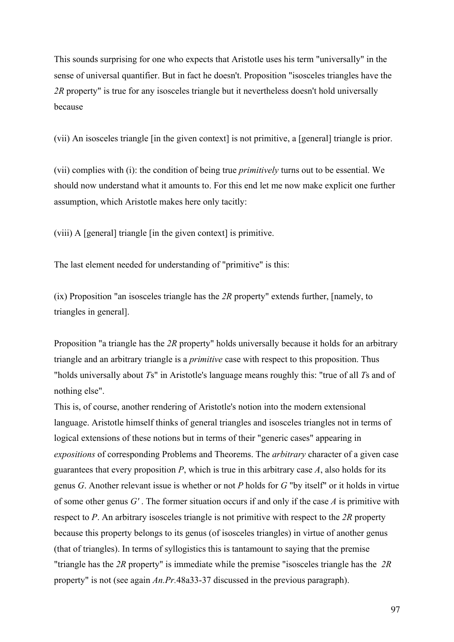This sounds surprising for one who expects that Aristotle uses his term "universally" in the sense of universal quantifier. But in fact he doesn't. Proposition "isosceles triangles have the 2R property" is true for any isosceles triangle but it nevertheless doesn't hold universally because

(vii) An isosceles triangle [in the given context] is not primitive, a [general] triangle is prior.

(vii) complies with (i): the condition of being true *primitively* turns out to be essential. We should now understand what it amounts to. For this end let me now make explicit one further assumption, which Aristotle makes here only tacitly:

(viii) A [general] triangle [in the given context] is primitive.

The last element needed for understanding of "primitive" is this:

(ix) Proposition "an isosceles triangle has the *2R* property" extends further, [namely, to triangles in general].

Proposition "a triangle has the *2R* property" holds universally because it holds for an arbitrary triangle and an arbitrary triangle is a *primitive* case with respect to this proposition. Thus "holds universally about *T*s" in Aristotle's language means roughly this: "true of all *T*s and of nothing else".

This is, of course, another rendering of Aristotle's notion into the modern extensional language. Aristotle himself thinks of general triangles and isosceles triangles not in terms of logical extensions of these notions but in terms of their "generic cases" appearing in *expositions* of corresponding Problems and Theorems. The *arbitrary* character of a given case guarantees that every proposition *P*, which is true in this arbitrary case *A*, also holds for its genus *G*. Another relevant issue is whether or not *P* holds for *G* "by itself" or it holds in virtue of some other genus *G'* . The former situation occurs if and only if the case *A* is primitive with respect to *P*. An arbitrary isosceles triangle is not primitive with respect to the *2R* property because this property belongs to its genus (of isosceles triangles) in virtue of another genus (that of triangles). In terms of syllogistics this is tantamount to saying that the premise "triangle has the *2R* property" is immediate while the premise "isosceles triangle has the *2R* property" is not (see again *An.Pr.*48a33-37 discussed in the previous paragraph).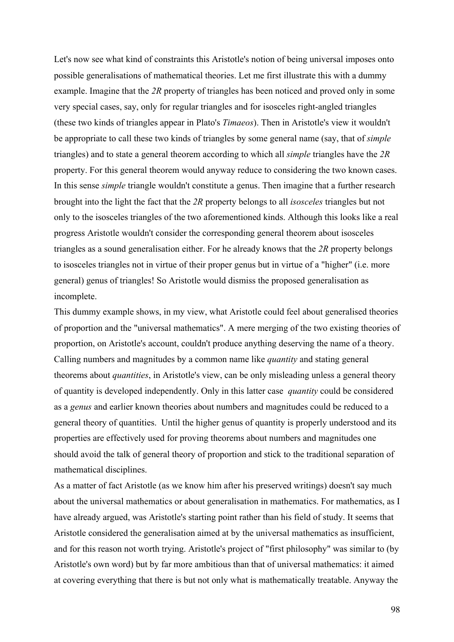Let's now see what kind of constraints this Aristotle's notion of being universal imposes onto possible generalisations of mathematical theories. Let me first illustrate this with a dummy example. Imagine that the *2R* property of triangles has been noticed and proved only in some very special cases, say, only for regular triangles and for isosceles right-angled triangles (these two kinds of triangles appear in Plato's *Timaeos*). Then in Aristotle's view it wouldn't be appropriate to call these two kinds of triangles by some general name (say, that of *simple* triangles) and to state a general theorem according to which all *simple* triangles have the *2R* property. For this general theorem would anyway reduce to considering the two known cases. In this sense *simple* triangle wouldn't constitute a genus. Then imagine that a further research brought into the light the fact that the *2R* property belongs to all *isosceles* triangles but not only to the isosceles triangles of the two aforementioned kinds. Although this looks like a real progress Aristotle wouldn't consider the corresponding general theorem about isosceles triangles as a sound generalisation either. For he already knows that the *2R* property belongs to isosceles triangles not in virtue of their proper genus but in virtue of a "higher" (i.e. more general) genus of triangles! So Aristotle would dismiss the proposed generalisation as incomplete.

This dummy example shows, in my view, what Aristotle could feel about generalised theories of proportion and the "universal mathematics". A mere merging of the two existing theories of proportion, on Aristotle's account, couldn't produce anything deserving the name of a theory. Calling numbers and magnitudes by a common name like *quantity* and stating general theorems about *quantities*, in Aristotle's view, can be only misleading unless a general theory of quantity is developed independently. Only in this latter case *quantity* could be considered as a *genus* and earlier known theories about numbers and magnitudes could be reduced to a general theory of quantities. Until the higher genus of quantity is properly understood and its properties are effectively used for proving theorems about numbers and magnitudes one should avoid the talk of general theory of proportion and stick to the traditional separation of mathematical disciplines.

As a matter of fact Aristotle (as we know him after his preserved writings) doesn't say much about the universal mathematics or about generalisation in mathematics. For mathematics, as I have already argued, was Aristotle's starting point rather than his field of study. It seems that Aristotle considered the generalisation aimed at by the universal mathematics as insufficient, and for this reason not worth trying. Aristotle's project of "first philosophy" was similar to (by Aristotle's own word) but by far more ambitious than that of universal mathematics: it aimed at covering everything that there is but not only what is mathematically treatable. Anyway the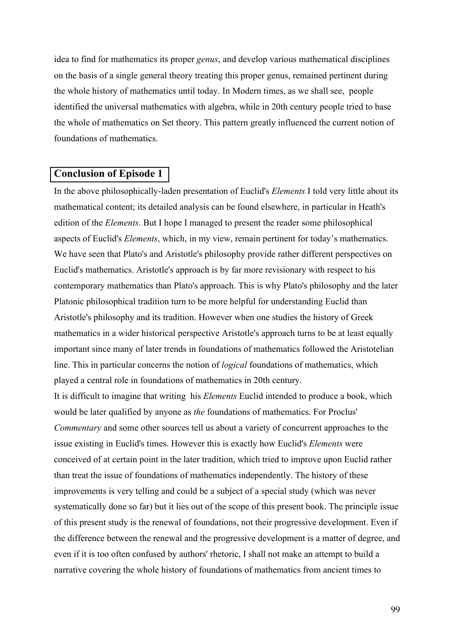idea to find for mathematics its proper *genus*, and develop various mathematical disciplines on the basis of a single general theory treating this proper genus, remained pertinent during the whole history of mathematics until today. In Modern times, as we shall see, people identified the universal mathematics with algebra, while in 20th century people tried to base the whole of mathematics on Set theory. This pattern greatly influenced the current notion of foundations of mathematics.

## **[Conclusion of Episode 1](#page-2-0)**

In the above philosophically-laden presentation of Euclid's *Elements* I told very little about its mathematical content; its detailed analysis can be found elsewhere, in particular in Heath's edition of the *Elements*. But I hope I managed to present the reader some philosophical aspects of Euclid's *Elements*, which, in my view, remain pertinent for today's mathematics. We have seen that Plato's and Aristotle's philosophy provide rather different perspectives on Euclid's mathematics. Aristotle's approach is by far more revisionary with respect to his contemporary mathematics than Plato's approach. This is why Plato's philosophy and the later Platonic philosophical tradition turn to be more helpful for understanding Euclid than Aristotle's philosophy and its tradition. However when one studies the history of Greek mathematics in a wider historical perspective Aristotle's approach turns to be at least equally important since many of later trends in foundations of mathematics followed the Aristotelian line. This in particular concerns the notion of *logical* foundations of mathematics, which played a central role in foundations of mathematics in 20th century.

It is difficult to imagine that writing his *Elements* Euclid intended to produce a book, which would be later qualified by anyone as *the* foundations of mathematics. For Proclus' *Commentary* and some other sources tell us about a variety of concurrent approaches to the issue existing in Euclid's times. However this is exactly how Euclid's *Elements* were conceived of at certain point in the later tradition, which tried to improve upon Euclid rather than treat the issue of foundations of mathematics independently. The history of these improvements is very telling and could be a subject of a special study (which was never systematically done so far) but it lies out of the scope of this present book. The principle issue of this present study is the renewal of foundations, not their progressive development. Even if the difference between the renewal and the progressive development is a matter of degree, and even if it is too often confused by authors' rhetoric, I shall not make an attempt to build a narrative covering the whole history of foundations of mathematics from ancient times to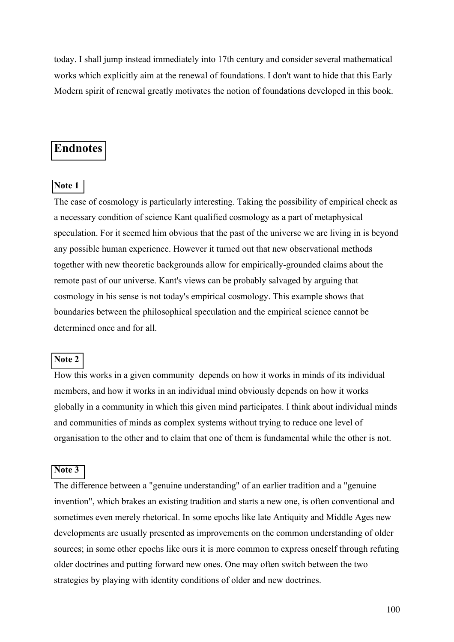today. I shall jump instead immediately into 17th century and consider several mathematical works which explicitly aim at the renewal of foundations. I don't want to hide that this Early Modern spirit of renewal greatly motivates the notion of foundations developed in this book.

# **[Endnotes](#page-2-0)**

#### **[Note 1](#page-3-0)**

The case of cosmology is particularly interesting. Taking the possibility of empirical check as a necessary condition of science Kant qualified cosmology as a part of metaphysical speculation. For it seemed him obvious that the past of the universe we are living in is beyond any possible human experience. However it turned out that new observational methods together with new theoretic backgrounds allow for empirically-grounded claims about the remote past of our universe. Kant's views can be probably salvaged by arguing that cosmology in his sense is not today's empirical cosmology. This example shows that boundaries between the philosophical speculation and the empirical science cannot be determined once and for all.

## **[Note 2](#page-5-0)**

How this works in a given community depends on how it works in minds of its individual members, and how it works in an individual mind obviously depends on how it works globally in a community in which this given mind participates. I think about individual minds and communities of minds as complex systems without trying to reduce one level of organisation to the other and to claim that one of them is fundamental while the other is not.

#### **[Note 3](#page-5-0)**

The difference between a "genuine understanding" of an earlier tradition and a "genuine invention", which brakes an existing tradition and starts a new one, is often conventional and sometimes even merely rhetorical. In some epochs like late Antiquity and Middle Ages new developments are usually presented as improvements on the common understanding of older sources; in some other epochs like ours it is more common to express oneself through refuting older doctrines and putting forward new ones. One may often switch between the two strategies by playing with identity conditions of older and new doctrines.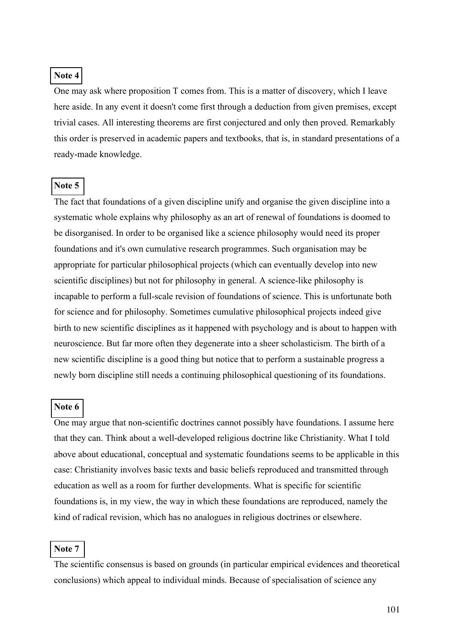#### **[Note 4](#page-6-0)**

One may ask where proposition T comes from. This is a matter of discovery, which I leave here aside. In any event it doesn't come first through a deduction from given premises, except trivial cases. All interesting theorems are first conjectured and only then proved. Remarkably this order is preserved in academic papers and textbooks, that is, in standard presentations of a ready-made knowledge.

#### **[Note 5](#page-8-0)**

The fact that foundations of a given discipline unify and organise the given discipline into a systematic whole explains why philosophy as an art of renewal of foundations is doomed to be disorganised. In order to be organised like a science philosophy would need its proper foundations and it's own cumulative research programmes. Such organisation may be appropriate for particular philosophical projects (which can eventually develop into new scientific disciplines) but not for philosophy in general. A science-like philosophy is incapable to perform a full-scale revision of foundations of science. This is unfortunate both for science and for philosophy. Sometimes cumulative philosophical projects indeed give birth to new scientific disciplines as it happened with psychology and is about to happen with neuroscience. But far more often they degenerate into a sheer scholasticism. The birth of a new scientific discipline is a good thing but notice that to perform a sustainable progress a newly born discipline still needs a continuing philosophical questioning of its foundations.

#### **[Note 6](#page-10-0)**

One may argue that non-scientific doctrines cannot possibly have foundations. I assume here that they can. Think about a well-developed religious doctrine like Christianity. What I told above about educational, conceptual and systematic foundations seems to be applicable in this case: Christianity involves basic texts and basic beliefs reproduced and transmitted through education as well as a room for further developments. What is specific for scientific foundations is, in my view, the way in which these foundations are reproduced, namely the kind of radical revision, which has no analogues in religious doctrines or elsewhere.

#### **[Note 7](#page-11-0)**

The scientific consensus is based on grounds (in particular empirical evidences and theoretical conclusions) which appeal to individual minds. Because of specialisation of science any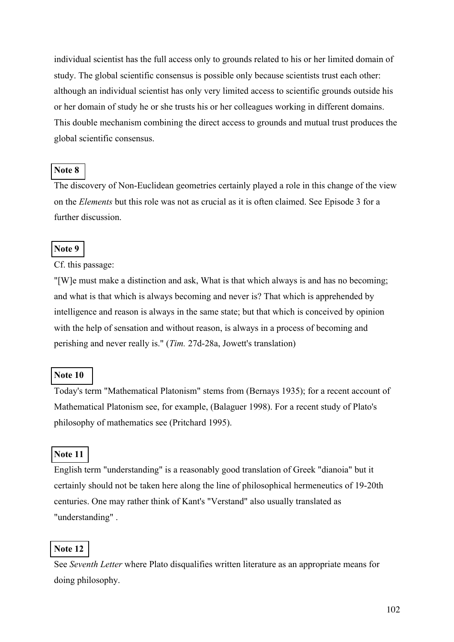individual scientist has the full access only to grounds related to his or her limited domain of study. The global scientific consensus is possible only because scientists trust each other: although an individual scientist has only very limited access to scientific grounds outside his or her domain of study he or she trusts his or her colleagues working in different domains. This double mechanism combining the direct access to grounds and mutual trust produces the global scientific consensus.

## **[Note 8](#page-20-0)**

The discovery of Non-Euclidean geometries certainly played a role in this change of the view on the *Elements* but this role was not as crucial as it is often claimed. See Episode 3 for a further discussion.

#### **[Note 9](#page-21-0)**

Cf. this passage:

"[W]e must make a distinction and ask, What is that which always is and has no becoming; and what is that which is always becoming and never is? That which is apprehended by intelligence and reason is always in the same state; but that which is conceived by opinion with the help of sensation and without reason, is always in a process of becoming and perishing and never really is." (*Tim.* 27d-28a, Jowett's translation)

## **[Note 10](#page-22-0)**

Today's term "Mathematical Platonism" stems from (Bernays 1935); for a recent account of Mathematical Platonism see, for example, (Balaguer 1998). For a recent study of Plato's philosophy of mathematics see (Pritchard 1995).

## **[Note 11](#page-25-0)**

English term "understanding" is a reasonably good translation of Greek "dianoia" but it certainly should not be taken here along the line of philosophical hermeneutics of 19-20th centuries. One may rather think of Kant's "Verstand" also usually translated as "understanding" .

## **[Note 12](#page-25-0)**

See *Seventh Letter* where Plato disqualifies written literature as an appropriate means for doing philosophy.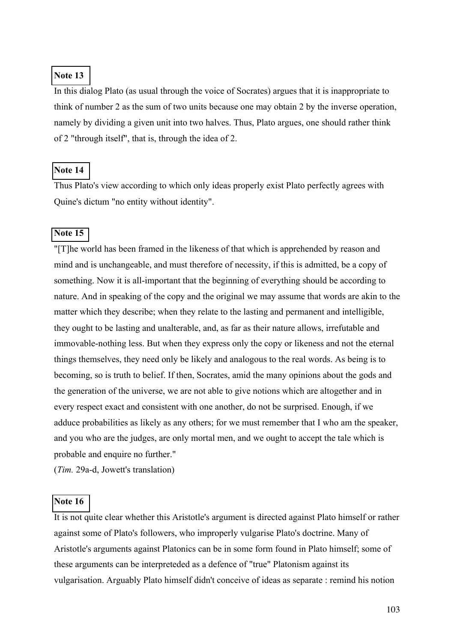## **[Note 13](#page-26-0)**

In this dialog Plato (as usual through the voice of Socrates) argues that it is inappropriate to think of number 2 as the sum of two units because one may obtain 2 by the inverse operation, namely by dividing a given unit into two halves. Thus, Plato argues, one should rather think of 2 "through itself", that is, through the idea of 2.

#### **[Note 14](#page-26-0)**

Thus Plato's view according to which only ideas properly exist Plato perfectly agrees with Quine's dictum "no entity without identity".

## **[Note 15](#page-28-0)**

"[T]he world has been framed in the likeness of that which is apprehended by reason and mind and is unchangeable, and must therefore of necessity, if this is admitted, be a copy of something. Now it is all-important that the beginning of everything should be according to nature. And in speaking of the copy and the original we may assume that words are akin to the matter which they describe; when they relate to the lasting and permanent and intelligible, they ought to be lasting and unalterable, and, as far as their nature allows, irrefutable and immovable-nothing less. But when they express only the copy or likeness and not the eternal things themselves, they need only be likely and analogous to the real words. As being is to becoming, so is truth to belief. If then, Socrates, amid the many opinions about the gods and the generation of the universe, we are not able to give notions which are altogether and in every respect exact and consistent with one another, do not be surprised. Enough, if we adduce probabilities as likely as any others; for we must remember that I who am the speaker, and you who are the judges, are only mortal men, and we ought to accept the tale which is probable and enquire no further."

(*Tim.* 29a-d, Jowett's translation)

#### **[Note 16](#page-31-0)**

It is not quite clear whether this Aristotle's argument is directed against Plato himself or rather against some of Plato's followers, who improperly vulgarise Plato's doctrine. Many of Aristotle's arguments against Platonics can be in some form found in Plato himself; some of these arguments can be interpreteded as a defence of "true" Platonism against its vulgarisation. Arguably Plato himself didn't conceive of ideas as separate : remind his notion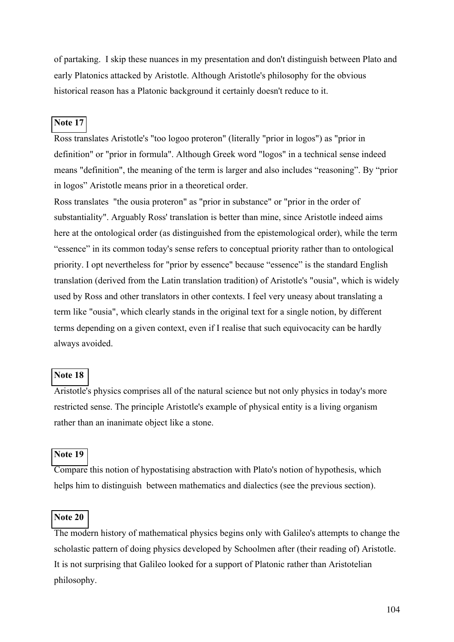of partaking. I skip these nuances in my presentation and don't distinguish between Plato and early Platonics attacked by Aristotle. Although Aristotle's philosophy for the obvious historical reason has a Platonic background it certainly doesn't reduce to it.

## **[Note 17](#page-32-0)**

Ross translates Aristotle's "too logoo proteron" (literally "prior in logos") as "prior in definition" or "prior in formula". Although Greek word "logos" in a technical sense indeed means "definition", the meaning of the term is larger and also includes "reasoning". By "prior in logos" Aristotle means prior in a theoretical order.

Ross translates "the ousia proteron" as "prior in substance" or "prior in the order of substantiality". Arguably Ross' translation is better than mine, since Aristotle indeed aims here at the ontological order (as distinguished from the epistemological order), while the term "essence" in its common today's sense refers to conceptual priority rather than to ontological priority. I opt nevertheless for "prior by essence" because "essence" is the standard English translation (derived from the Latin translation tradition) of Aristotle's "ousia", which is widely used by Ross and other translators in other contexts. I feel very uneasy about translating a term like "ousia", which clearly stands in the original text for a single notion, by different terms depending on a given context, even if I realise that such equivocacity can be hardly always avoided.

#### **[Note 18](#page-32-0)**

Aristotle's physics comprises all of the natural science but not only physics in today's more restricted sense. The principle Aristotle's example of physical entity is a living organism rather than an inanimate object like a stone.

## **[Note 19](#page-33-0)**

Compare this notion of hypostatising abstraction with Plato's notion of hypothesis, which helps him to distinguish between mathematics and dialectics (see the previous section).

#### **[Note 20](#page-36-0)**

The modern history of mathematical physics begins only with Galileo's attempts to change the scholastic pattern of doing physics developed by Schoolmen after (their reading of) Aristotle. It is not surprising that Galileo looked for a support of Platonic rather than Aristotelian philosophy.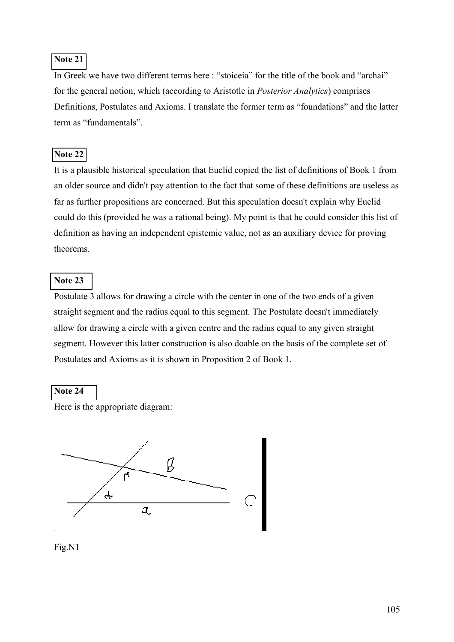# **[Note 21](#page-38-0)**

In Greek we have two different terms here : "stoiceia" for the title of the book and "archai" for the general notion, which (according to Aristotle in *Posterior Analytics*) comprises Definitions, Postulates and Axioms. I translate the former term as "foundations" and the latter term as "fundamentals".

## **[Note 22](#page-42-0)**

It is a plausible historical speculation that Euclid copied the list of definitions of Book 1 from an older source and didn't pay attention to the fact that some of these definitions are useless as far as further propositions are concerned. But this speculation doesn't explain why Euclid could do this (provided he was a rational being). My point is that he could consider this list of definition as having an independent epistemic value, not as an auxiliary device for proving theorems.

# **[Note 23](#page-43-0)**

Postulate 3 allows for drawing a circle with the center in one of the two ends of a given straight segment and the radius equal to this segment. The Postulate doesn't immediately allow for drawing a circle with a given centre and the radius equal to any given straight segment. However this latter construction is also doable on the basis of the complete set of Postulates and Axioms as it is shown in Proposition 2 of Book 1.

## **[Note 24](#page-44-0)**

Here is the appropriate diagram:



Fig.N1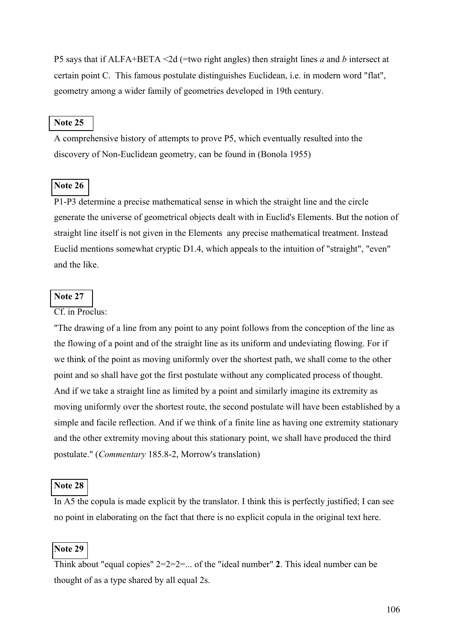P5 says that if ALFA+BETA <2d (=two right angles) then straight lines *a* and *b* intersect at certain point C. This famous postulate distinguishes Euclidean, i.e. in modern word "flat", geometry among a wider family of geometries developed in 19th century.

## **[Note 25](#page-44-0)**

A comprehensive history of attempts to prove P5, which eventually resulted into the discovery of Non-Euclidean geometry, can be found in (Bonola 1955)

## **[Note 26](#page-45-0)**

P1-P3 determine a precise mathematical sense in which the straight line and the circle generate the universe of geometrical objects dealt with in Euclid's Elements. But the notion of straight line itself is not given in the Elements any precise mathematical treatment. Instead Euclid mentions somewhat cryptic D1.4, which appeals to the intuition of "straight", "even" and the like.

## **[Note 27](#page-45-0)**

#### Cf. in Proclus:

"The drawing of a line from any point to any point follows from the conception of the line as the flowing of a point and of the straight line as its uniform and undeviating flowing. For if we think of the point as moving uniformly over the shortest path, we shall come to the other point and so shall have got the first postulate without any complicated process of thought. And if we take a straight line as limited by a point and similarly imagine its extremity as moving uniformly over the shortest route, the second postulate will have been established by a simple and facile reflection. And if we think of a finite line as having one extremity stationary and the other extremity moving about this stationary point, we shall have produced the third postulate." (*Commentary* 185.8-2, Morrow's translation)

#### **[Note 28](#page-46-0)**

In A5 the copula is made explicit by the translator. I think this is perfectly justified; I can see no point in elaborating on the fact that there is no explicit copula in the original text here.

## **[Note 29](#page-47-0)**

Think about "equal copies" 2=2=2=... of the "ideal number" **2**. This ideal number can be thought of as a type shared by all equal 2s.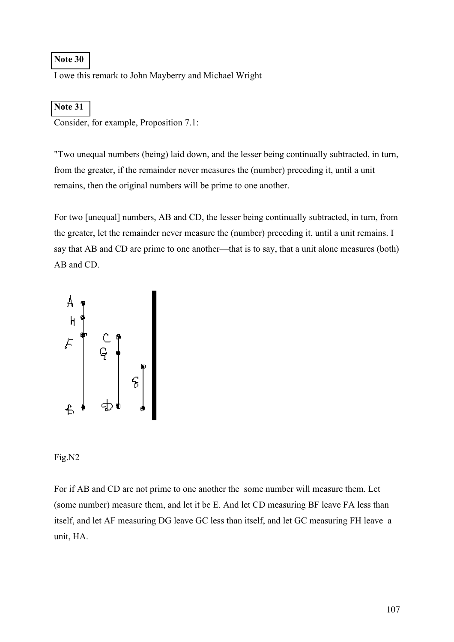# **[Note 30](#page-48-0)** I owe this remark to John Mayberry and Michael Wright

# **[Note 31](#page-49-0)**

Consider, for example, Proposition 7.1:

"Two unequal numbers (being) laid down, and the lesser being continually subtracted, in turn, from the greater, if the remainder never measures the (number) preceding it, until a unit remains, then the original numbers will be prime to one another.

For two [unequal] numbers, AB and CD, the lesser being continually subtracted, in turn, from the greater, let the remainder never measure the (number) preceding it, until a unit remains. I say that AB and CD are prime to one another—that is to say, that a unit alone measures (both) AB and CD.



# Fig.N2

For if AB and CD are not prime to one another the some number will measure them. Let (some number) measure them, and let it be E. And let CD measuring BF leave FA less than itself, and let AF measuring DG leave GC less than itself, and let GC measuring FH leave a unit, HA.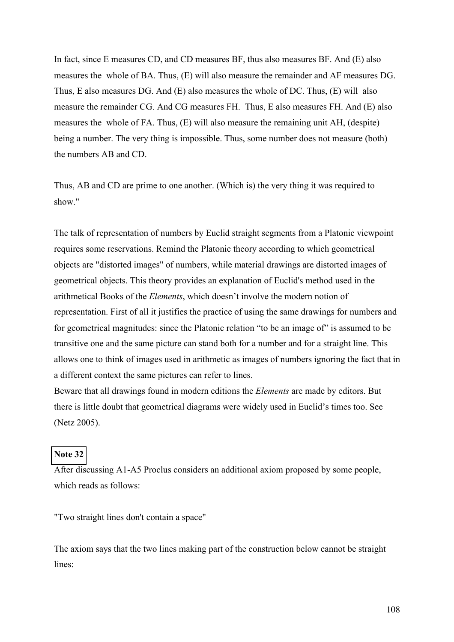In fact, since E measures CD, and CD measures BF, thus also measures BF. And (E) also measures the whole of BA. Thus, (E) will also measure the remainder and AF measures DG. Thus, E also measures DG. And (E) also measures the whole of DC. Thus, (E) will also measure the remainder CG. And CG measures FH. Thus, E also measures FH. And (E) also measures the whole of FA. Thus, (E) will also measure the remaining unit AH, (despite) being a number. The very thing is impossible. Thus, some number does not measure (both) the numbers AB and CD.

Thus, AB and CD are prime to one another. (Which is) the very thing it was required to show."

The talk of representation of numbers by Euclid straight segments from a Platonic viewpoint requires some reservations. Remind the Platonic theory according to which geometrical objects are "distorted images" of numbers, while material drawings are distorted images of geometrical objects. This theory provides an explanation of Euclid's method used in the arithmetical Books of the *Elements*, which doesn't involve the modern notion of representation. First of all it justifies the practice of using the same drawings for numbers and for geometrical magnitudes: since the Platonic relation "to be an image of" is assumed to be transitive one and the same picture can stand both for a number and for a straight line. This allows one to think of images used in arithmetic as images of numbers ignoring the fact that in a different context the same pictures can refer to lines.

Beware that all drawings found in modern editions the *Elements* are made by editors. But there is little doubt that geometrical diagrams were widely used in Euclid's times too. See (Netz 2005).

# **[Note 32](#page-49-0)**

After discussing A1-A5 Proclus considers an additional axiom proposed by some people, which reads as follows:

"Two straight lines don't contain a space"

The axiom says that the two lines making part of the construction below cannot be straight lines: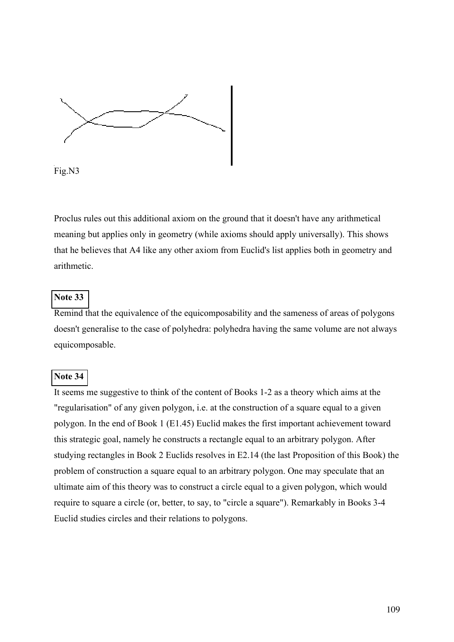

Fig.N3

Proclus rules out this additional axiom on the ground that it doesn't have any arithmetical meaning but applies only in geometry (while axioms should apply universally). This shows that he believes that A4 like any other axiom from Euclid's list applies both in geometry and arithmetic.

# **[Note 33](#page-49-0)**

Remind that the equivalence of the equicomposability and the sameness of areas of polygons doesn't generalise to the case of polyhedra: polyhedra having the same volume are not always equicomposable.

### **[Note 34](#page-50-0)**

It seems me suggestive to think of the content of Books 1-2 as a theory which aims at the "regularisation" of any given polygon, i.e. at the construction of a square equal to a given polygon. In the end of Book 1 (E1.45) Euclid makes the first important achievement toward this strategic goal, namely he constructs a rectangle equal to an arbitrary polygon. After studying rectangles in Book 2 Euclids resolves in E2.14 (the last Proposition of this Book) the problem of construction a square equal to an arbitrary polygon. One may speculate that an ultimate aim of this theory was to construct a circle equal to a given polygon, which would require to square a circle (or, better, to say, to "circle a square"). Remarkably in Books 3-4 Euclid studies circles and their relations to polygons.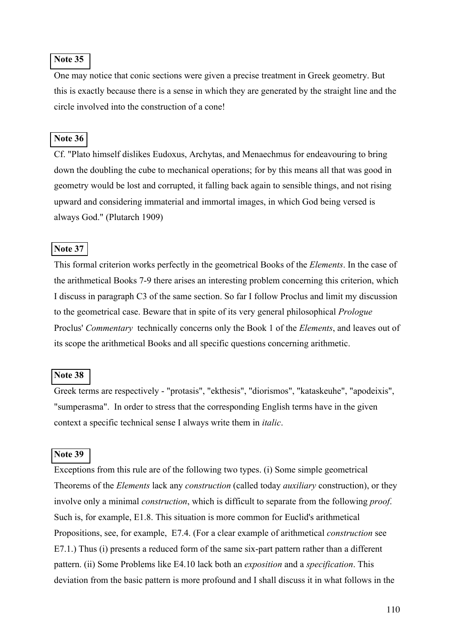One may notice that conic sections were given a precise treatment in Greek geometry. But this is exactly because there is a sense in which they are generated by the straight line and the circle involved into the construction of a cone!

### **[Note 36](#page-51-0)**

Cf. "Plato himself dislikes Eudoxus, Archytas, and Menaechmus for endeavouring to bring down the doubling the cube to mechanical operations; for by this means all that was good in geometry would be lost and corrupted, it falling back again to sensible things, and not rising upward and considering immaterial and immortal images, in which God being versed is always God." (Plutarch 1909)

#### **[Note 37](#page-53-0)**

This formal criterion works perfectly in the geometrical Books of the *Elements*. In the case of the arithmetical Books 7-9 there arises an interesting problem concerning this criterion, which I discuss in paragraph C3 of the same section. So far I follow Proclus and limit my discussion to the geometrical case. Beware that in spite of its very general philosophical *Prologue* Proclus' *Commentary* technically concerns only the Book 1 of the *Elements*, and leaves out of its scope the arithmetical Books and all specific questions concerning arithmetic.

#### **[Note 38](#page-55-0)**

Greek terms are respectively - "protasis", "ekthesis", "diorismos", "kataskeuhe", "apodeixis", "sumperasma". In order to stress that the corresponding English terms have in the given context a specific technical sense I always write them in *italic*.

#### **[Note 39](#page-58-0)**

Exceptions from this rule are of the following two types. (i) Some simple geometrical Theorems of the *Elements* lack any *construction* (called today *auxiliary* construction), or they involve only a minimal *construction*, which is difficult to separate from the following *proof*. Such is, for example, E1.8. This situation is more common for Euclid's arithmetical Propositions, see, for example, E7.4. (For a clear example of arithmetical *construction* see E7.1.) Thus (i) presents a reduced form of the same six-part pattern rather than a different pattern. (ii) Some Problems like E4.10 lack both an *exposition* and a *specification*. This deviation from the basic pattern is more profound and I shall discuss it in what follows in the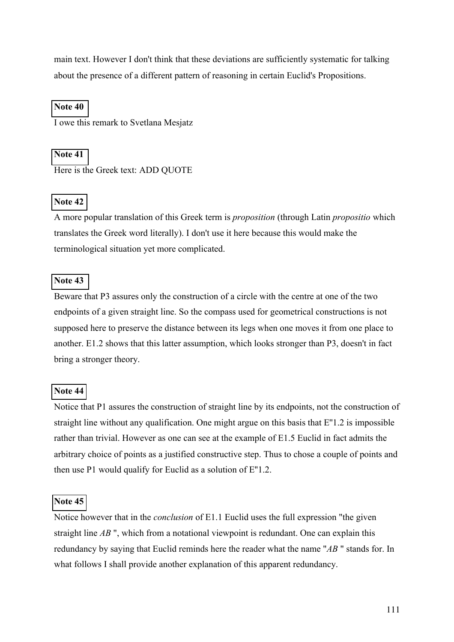main text. However I don't think that these deviations are sufficiently systematic for talking about the presence of a different pattern of reasoning in certain Euclid's Propositions.

### **[Note 40](#page-58-0)**

I owe this remark to Svetlana Mesjatz

# **[Note 41](#page-59-0)**

Here is the Greek text: ADD QUOTE

# **[Note 42](#page-59-0)**

A more popular translation of this Greek term is *proposition* (through Latin *propositio* which translates the Greek word literally). I don't use it here because this would make the terminological situation yet more complicated.

# **[Note 43](#page-61-0)**

Beware that P3 assures only the construction of a circle with the centre at one of the two endpoints of a given straight line. So the compass used for geometrical constructions is not supposed here to preserve the distance between its legs when one moves it from one place to another. E1.2 shows that this latter assumption, which looks stronger than P3, doesn't in fact bring a stronger theory.

### **[Note 44](#page-61-0)**

Notice that P1 assures the construction of straight line by its endpoints, not the construction of straight line without any qualification. One might argue on this basis that E''1.2 is impossible rather than trivial. However as one can see at the example of E1.5 Euclid in fact admits the arbitrary choice of points as a justified constructive step. Thus to chose a couple of points and then use P1 would qualify for Euclid as a solution of E''1.2.

# **[Note 45](#page-62-0)**

Notice however that in the *conclusion* of E1.1 Euclid uses the full expression "the given straight line *AB* ", which from a notational viewpoint is redundant. One can explain this redundancy by saying that Euclid reminds here the reader what the name "*AB* " stands for. In what follows I shall provide another explanation of this apparent redundancy.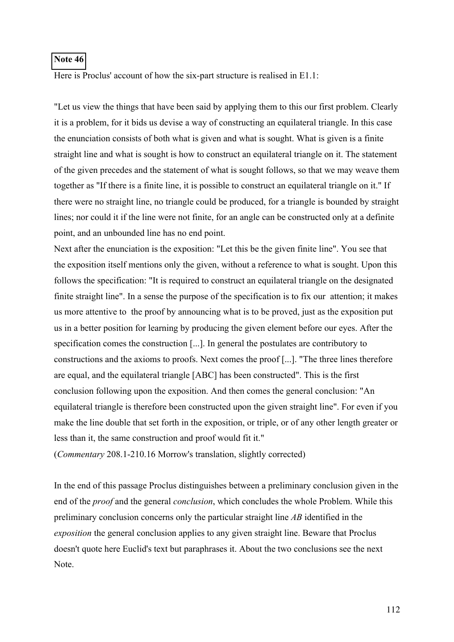Here is Proclus' account of how the six-part structure is realised in E1.1:

"Let us view the things that have been said by applying them to this our first problem. Clearly it is a problem, for it bids us devise a way of constructing an equilateral triangle. In this case the enunciation consists of both what is given and what is sought. What is given is a finite straight line and what is sought is how to construct an equilateral triangle on it. The statement of the given precedes and the statement of what is sought follows, so that we may weave them together as "If there is a finite line, it is possible to construct an equilateral triangle on it." If there were no straight line, no triangle could be produced, for a triangle is bounded by straight lines; nor could it if the line were not finite, for an angle can be constructed only at a definite point, and an unbounded line has no end point.

Next after the enunciation is the exposition: "Let this be the given finite line". You see that the exposition itself mentions only the given, without a reference to what is sought. Upon this follows the specification: "It is required to construct an equilateral triangle on the designated finite straight line". In a sense the purpose of the specification is to fix our attention; it makes us more attentive to the proof by announcing what is to be proved, just as the exposition put us in a better position for learning by producing the given element before our eyes. After the specification comes the construction [...]. In general the postulates are contributory to constructions and the axioms to proofs. Next comes the proof [...]. "The three lines therefore are equal, and the equilateral triangle [ABC] has been constructed". This is the first conclusion following upon the exposition. And then comes the general conclusion: "An equilateral triangle is therefore been constructed upon the given straight line". For even if you make the line double that set forth in the exposition, or triple, or of any other length greater or less than it, the same construction and proof would fit it."

(*Commentary* 208.1-210.16 Morrow's translation, slightly corrected)

In the end of this passage Proclus distinguishes between a preliminary conclusion given in the end of the *proof* and the general *conclusion*, which concludes the whole Problem. While this preliminary conclusion concerns only the particular straight line *AB* identified in the *exposition* the general conclusion applies to any given straight line. Beware that Proclus doesn't quote here Euclid's text but paraphrases it. About the two conclusions see the next Note.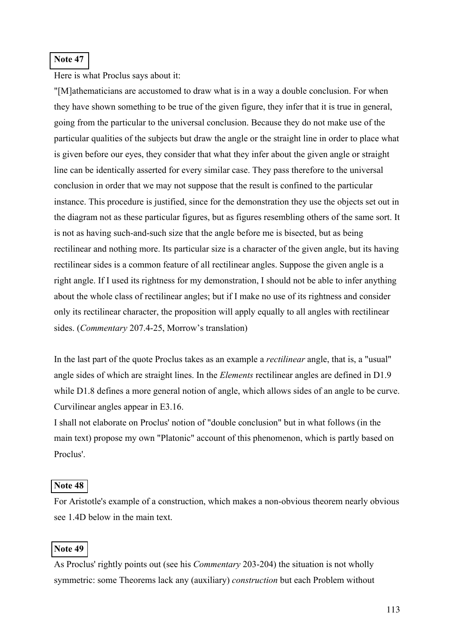Here is what Proclus says about it:

"[M]athematicians are accustomed to draw what is in a way a double conclusion. For when they have shown something to be true of the given figure, they infer that it is true in general, going from the particular to the universal conclusion. Because they do not make use of the particular qualities of the subjects but draw the angle or the straight line in order to place what is given before our eyes, they consider that what they infer about the given angle or straight line can be identically asserted for every similar case. They pass therefore to the universal conclusion in order that we may not suppose that the result is confined to the particular instance. This procedure is justified, since for the demonstration they use the objects set out in the diagram not as these particular figures, but as figures resembling others of the same sort. It is not as having such-and-such size that the angle before me is bisected, but as being rectilinear and nothing more. Its particular size is a character of the given angle, but its having rectilinear sides is a common feature of all rectilinear angles. Suppose the given angle is a right angle. If I used its rightness for my demonstration, I should not be able to infer anything about the whole class of rectilinear angles; but if I make no use of its rightness and consider only its rectilinear character, the proposition will apply equally to all angles with rectilinear sides. (*Commentary* 207.4-25, Morrow's translation)

In the last part of the quote Proclus takes as an example a *rectilinear* angle, that is, a "usual" angle sides of which are straight lines. In the *Elements* rectilinear angles are defined in D1.9 while D1.8 defines a more general notion of angle, which allows sides of an angle to be curve. Curvilinear angles appear in E3.16.

I shall not elaborate on Proclus' notion of "double conclusion" but in what follows (in the main text) propose my own "Platonic" account of this phenomenon, which is partly based on Proclus'.

#### **[Note 48](#page-68-0)**

For Aristotle's example of a construction, which makes a non-obvious theorem nearly obvious see 1.4D below in the main text.

### **[Note 49](#page-69-0)**

As Proclus' rightly points out (see his *Commentary* 203-204) the situation is not wholly symmetric: some Theorems lack any (auxiliary) *construction* but each Problem without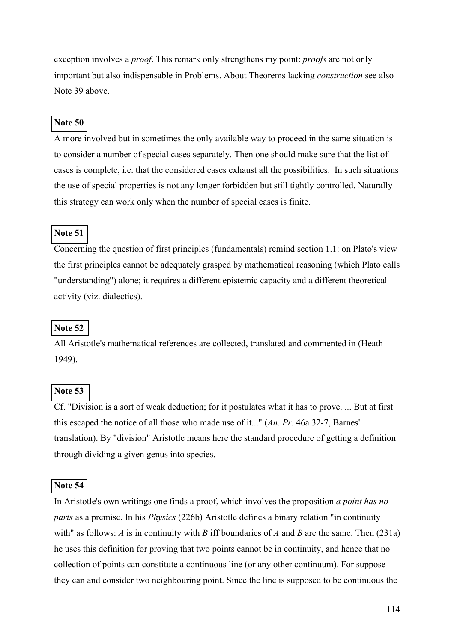exception involves a *proof*. This remark only strengthens my point: *proofs* are not only important but also indispensable in Problems. About Theorems lacking *construction* see also Note 39 above.

### **[Note 50](#page-70-0)**

A more involved but in sometimes the only available way to proceed in the same situation is to consider a number of special cases separately. Then one should make sure that the list of cases is complete, i.e. that the considered cases exhaust all the possibilities. In such situations the use of special properties is not any longer forbidden but still tightly controlled. Naturally this strategy can work only when the number of special cases is finite.

### **[Note 51](#page-72-0)**

Concerning the question of first principles (fundamentals) remind section 1.1: on Plato's view the first principles cannot be adequately grasped by mathematical reasoning (which Plato calls "understanding") alone; it requires a different epistemic capacity and a different theoretical activity (viz. dialectics).

#### **[Note 52](#page-74-0)**

All Aristotle's mathematical references are collected, translated and commented in (Heath 1949).

# **[Note 53](#page-75-0)**

Cf. "Division is a sort of weak deduction; for it postulates what it has to prove. ... But at first this escaped the notice of all those who made use of it..." (*An. Pr.* 46a 32-7, Barnes' translation). By "division" Aristotle means here the standard procedure of getting a definition through dividing a given genus into species.

#### **[Note 54](#page-75-0)**

In Aristotle's own writings one finds a proof, which involves the proposition *a point has no parts* as a premise. In his *Physics* (226b) Aristotle defines a binary relation "in continuity with" as follows: *A* is in continuity with *B* iff boundaries of *A* and *B* are the same. Then (231a) he uses this definition for proving that two points cannot be in continuity, and hence that no collection of points can constitute a continuous line (or any other continuum). For suppose they can and consider two neighbouring point. Since the line is supposed to be continuous the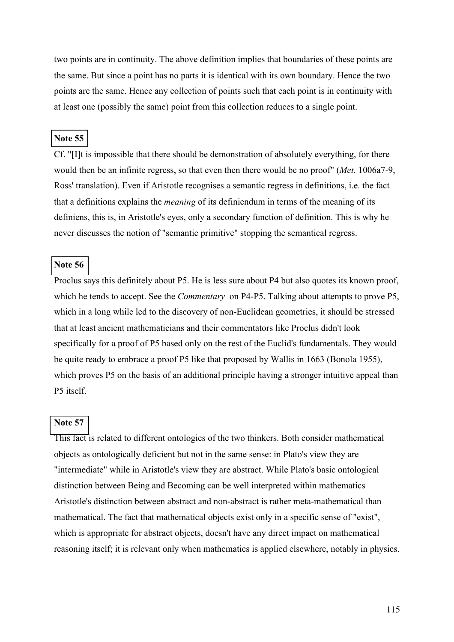two points are in continuity. The above definition implies that boundaries of these points are the same. But since a point has no parts it is identical with its own boundary. Hence the two points are the same. Hence any collection of points such that each point is in continuity with at least one (possibly the same) point from this collection reduces to a single point.

### **[Note 55](#page-76-0)**

Cf. "[I]t is impossible that there should be demonstration of absolutely everything, for there would then be an infinite regress, so that even then there would be no proof" (*Met.* 1006a7-9, Ross' translation). Even if Aristotle recognises a semantic regress in definitions, i.e. the fact that a definitions explains the *meaning* of its definiendum in terms of the meaning of its definiens, this is, in Aristotle's eyes, only a secondary function of definition. This is why he never discusses the notion of "semantic primitive" stopping the semantical regress.

### **[Note 56](#page-77-0)**

Proclus says this definitely about P5. He is less sure about P4 but also quotes its known proof, which he tends to accept. See the *Commentary* on P4-P5. Talking about attempts to prove P5, which in a long while led to the discovery of non-Euclidean geometries, it should be stressed that at least ancient mathematicians and their commentators like Proclus didn't look specifically for a proof of P5 based only on the rest of the Euclid's fundamentals. They would be quite ready to embrace a proof P5 like that proposed by Wallis in 1663 (Bonola 1955), which proves P5 on the basis of an additional principle having a stronger intuitive appeal than P5 itself.

### **[Note 57](#page-77-0)**

This fact is related to different ontologies of the two thinkers. Both consider mathematical objects as ontologically deficient but not in the same sense: in Plato's view they are "intermediate" while in Aristotle's view they are abstract. While Plato's basic ontological distinction between Being and Becoming can be well interpreted within mathematics Aristotle's distinction between abstract and non-abstract is rather meta-mathematical than mathematical. The fact that mathematical objects exist only in a specific sense of "exist", which is appropriate for abstract objects, doesn't have any direct impact on mathematical reasoning itself; it is relevant only when mathematics is applied elsewhere, notably in physics.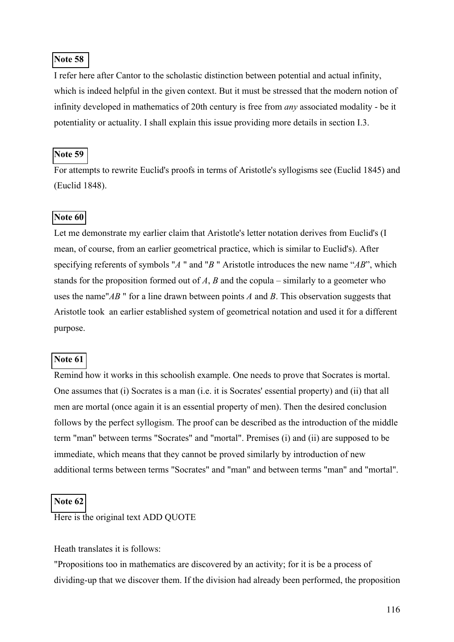I refer here after Cantor to the scholastic distinction between potential and actual infinity, which is indeed helpful in the given context. But it must be stressed that the modern notion of infinity developed in mathematics of 20th century is free from *any* associated modality - be it potentiality or actuality. I shall explain this issue providing more details in section I.3.

### **[Note 59](#page-84-0)**

For attempts to rewrite Euclid's proofs in terms of Aristotle's syllogisms see (Euclid 1845) and (Euclid 1848).

### **[Note 60](#page-85-0)**

Let me demonstrate my earlier claim that Aristotle's letter notation derives from Euclid's (I mean, of course, from an earlier geometrical practice, which is similar to Euclid's). After specifying referents of symbols "*A* " and "*B* " Aristotle introduces the new name "*AB*", which stands for the proposition formed out of *A*, *B* and the copula – similarly to a geometer who uses the name"*AB* " for a line drawn between points *A* and *B*. This observation suggests that Aristotle took an earlier established system of geometrical notation and used it for a different purpose.

#### **[Note 61](#page-85-0)**

Remind how it works in this schoolish example. One needs to prove that Socrates is mortal. One assumes that (i) Socrates is a man (i.e. it is Socrates' essential property) and (ii) that all men are mortal (once again it is an essential property of men). Then the desired conclusion follows by the perfect syllogism. The proof can be described as the introduction of the middle term "man" between terms "Socrates" and "mortal". Premises (i) and (ii) are supposed to be immediate, which means that they cannot be proved similarly by introduction of new additional terms between terms "Socrates" and "man" and between terms "man" and "mortal".

#### **[Note 62](#page-88-0)**

Here is the original text ADD QUOTE

Heath translates it is follows:

"Propositions too in mathematics are discovered by an activity; for it is be a process of dividing-up that we discover them. If the division had already been performed, the proposition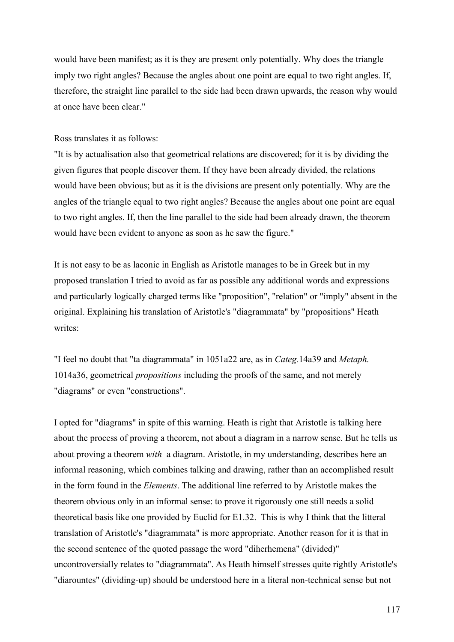would have been manifest; as it is they are present only potentially. Why does the triangle imply two right angles? Because the angles about one point are equal to two right angles. If, therefore, the straight line parallel to the side had been drawn upwards, the reason why would at once have been clear."

### Ross translates it as follows:

"It is by actualisation also that geometrical relations are discovered; for it is by dividing the given figures that people discover them. If they have been already divided, the relations would have been obvious; but as it is the divisions are present only potentially. Why are the angles of the triangle equal to two right angles? Because the angles about one point are equal to two right angles. If, then the line parallel to the side had been already drawn, the theorem would have been evident to anyone as soon as he saw the figure."

It is not easy to be as laconic in English as Aristotle manages to be in Greek but in my proposed translation I tried to avoid as far as possible any additional words and expressions and particularly logically charged terms like "proposition", "relation" or "imply" absent in the original. Explaining his translation of Aristotle's "diagrammata" by "propositions" Heath writes<sup>.</sup>

"I feel no doubt that "ta diagrammata" in 1051a22 are, as in *Categ.*14a39 and *Metaph.* 1014a36, geometrical *propositions* including the proofs of the same, and not merely "diagrams" or even "constructions".

I opted for "diagrams" in spite of this warning. Heath is right that Aristotle is talking here about the process of proving a theorem, not about a diagram in a narrow sense. But he tells us about proving a theorem *with* a diagram. Aristotle, in my understanding, describes here an informal reasoning, which combines talking and drawing, rather than an accomplished result in the form found in the *Elements*. The additional line referred to by Aristotle makes the theorem obvious only in an informal sense: to prove it rigorously one still needs a solid theoretical basis like one provided by Euclid for E1.32. This is why I think that the litteral translation of Aristotle's "diagrammata" is more appropriate. Another reason for it is that in the second sentence of the quoted passage the word "diherhemena" (divided)" uncontroversially relates to "diagrammata". As Heath himself stresses quite rightly Aristotle's "diarountes" (dividing-up) should be understood here in a literal non-technical sense but not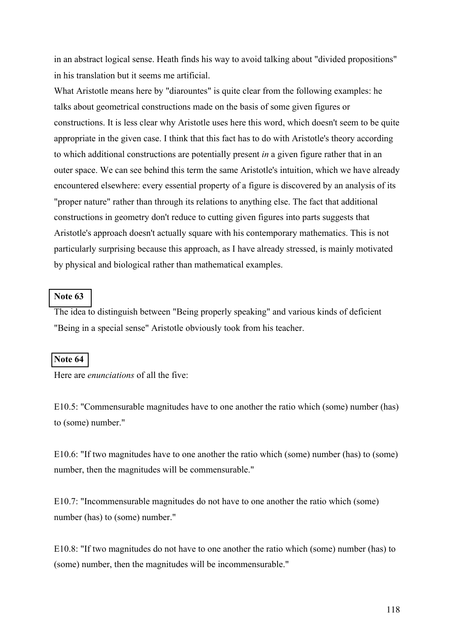in an abstract logical sense. Heath finds his way to avoid talking about "divided propositions" in his translation but it seems me artificial.

What Aristotle means here by "diarountes" is quite clear from the following examples: he talks about geometrical constructions made on the basis of some given figures or constructions. It is less clear why Aristotle uses here this word, which doesn't seem to be quite appropriate in the given case. I think that this fact has to do with Aristotle's theory according to which additional constructions are potentially present *in* a given figure rather that in an outer space. We can see behind this term the same Aristotle's intuition, which we have already encountered elsewhere: every essential property of a figure is discovered by an analysis of its "proper nature" rather than through its relations to anything else. The fact that additional constructions in geometry don't reduce to cutting given figures into parts suggests that Aristotle's approach doesn't actually square with his contemporary mathematics. This is not particularly surprising because this approach, as I have already stressed, is mainly motivated by physical and biological rather than mathematical examples.

### **[Note 63](#page-89-0)**

The idea to distinguish between "Being properly speaking" and various kinds of deficient "Being in a special sense" Aristotle obviously took from his teacher.

### **[Note 64](#page-91-0)**

Here are *enunciations* of all the five:

E10.5: "Commensurable magnitudes have to one another the ratio which (some) number (has) to (some) number."

E10.6: "If two magnitudes have to one another the ratio which (some) number (has) to (some) number, then the magnitudes will be commensurable."

E10.7: "Incommensurable magnitudes do not have to one another the ratio which (some) number (has) to (some) number."

E10.8: "If two magnitudes do not have to one another the ratio which (some) number (has) to (some) number, then the magnitudes will be incommensurable."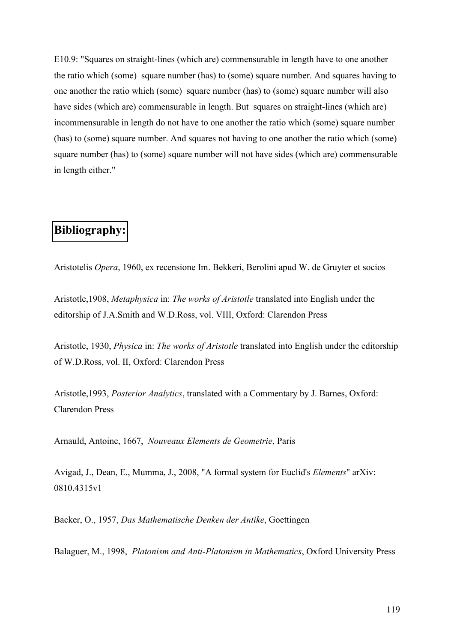E10.9: "Squares on straight-lines (which are) commensurable in length have to one another the ratio which (some) square number (has) to (some) square number. And squares having to one another the ratio which (some) square number (has) to (some) square number will also have sides (which are) commensurable in length. But squares on straight-lines (which are) incommensurable in length do not have to one another the ratio which (some) square number (has) to (some) square number. And squares not having to one another the ratio which (some) square number (has) to (some) square number will not have sides (which are) commensurable in length either."

# **[Bibliography:](#page-2-0)**

Aristotelis *Opera*, 1960, ex recensione Im. Bekkeri, Berolini apud W. de Gruyter et socios

Aristotle,1908, *Metaphysica* in: *The works of Aristotle* translated into English under the editorship of J.A.Smith and W.D.Ross, vol. VIII, Oxford: Clarendon Press

Aristotle, 1930, *Physica* in: *The works of Aristotle* translated into English under the editorship of W.D.Ross, vol. II, Oxford: Clarendon Press

Aristotle,1993, *Posterior Analytics*, translated with a Commentary by J. Barnes, Oxford: Clarendon Press

Arnauld, Antoine, 1667, *Nouveaux Elements de Geometrie*, Paris

Avigad, J., Dean, E., Mumma, J., 2008, "A formal system for Euclid's *Elements*" arXiv: 0810.4315v1

Backer, O., 1957, *Das Mathematische Denken der Antike*, Goettingen

Balaguer, M., 1998, *Platonism and Anti-Platonism in Mathematics*, Oxford University Press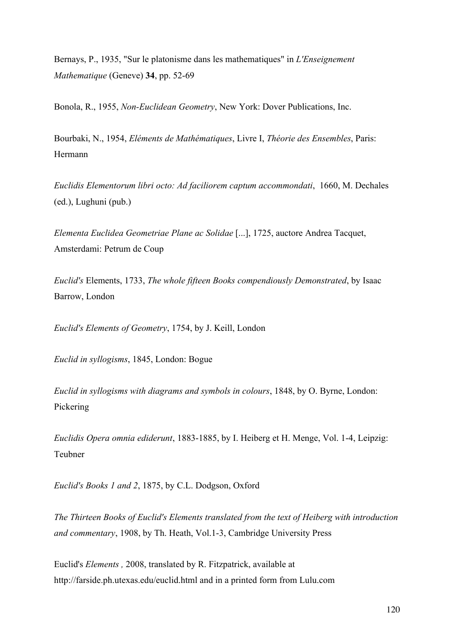Bernays, P., 1935, "Sur le platonisme dans les mathematiques" in *L'Enseignement Mathematique* (Geneve) **34**, pp. 52-69

Bonola, R., 1955, *Non-Euclidean Geometry*, New York: Dover Publications, Inc.

Bourbaki, N., 1954, *Eléments de Mathématiques*, Livre I, *Théorie des Ensembles*, Paris: Hermann

*Euclidis Elementorum libri octo: Ad faciliorem captum accommondati*, 1660, M. Dechales (ed.), Lughuni (pub.)

*Elementa Euclidea Geometriae Plane ac Solidae* [...], 1725, auctore Andrea Tacquet, Amsterdami: Petrum de Coup

*Euclid's* Elements, 1733, *The whole fifteen Books compendiously Demonstrated*, by Isaac Barrow, London

*Euclid's Elements of Geometry*, 1754, by J. Keill, London

*Euclid in syllogisms*, 1845, London: Bogue

*Euclid in syllogisms with diagrams and symbols in colours*, 1848, by O. Byrne, London: Pickering

*Euclidis Opera omnia ediderunt*, 1883-1885, by I. Heiberg et H. Menge, Vol. 1-4, Leipzig: Teubner

*Euclid's Books 1 and 2*, 1875, by C.L. Dodgson, Oxford

*The Thirteen Books of Euclid's Elements translated from the text of Heiberg with introduction and commentary*, 1908, by Th. Heath, Vol.1-3, Cambridge University Press

Euclid's *Elements ,* 2008, translated by R. Fitzpatrick, available at http://farside.ph.utexas.edu/euclid.html and in a printed form from Lulu.com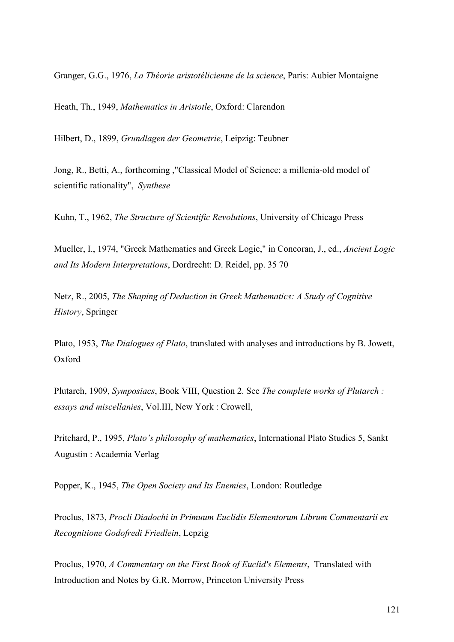Granger, G.G., 1976, *La Théorie aristotélicienne de la science*, Paris: Aubier Montaigne

Heath, Th., 1949, *Mathematics in Aristotle*, Oxford: Clarendon

Hilbert, D., 1899, *Grundlagen der Geometrie*, Leipzig: Teubner

Jong, R., Betti, A., forthcoming ,"Classical Model of Science: a millenia-old model of scientific rationality", *Synthese*

Kuhn, T., 1962, *The Structure of Scientific Revolutions*, University of Chicago Press

Mueller, I., 1974, "Greek Mathematics and Greek Logic," in Concoran, J., ed., *Ancient Logic and Its Modern Interpretations*, Dordrecht: D. Reidel, pp. 35 70

Netz, R., 2005, *The Shaping of Deduction in Greek Mathematics: A Study of Cognitive History*, Springer

Plato, 1953, *The Dialogues of Plato*, translated with analyses and introductions by B. Jowett, Oxford

Plutarch, 1909, *Symposiacs*, Book VIII, Question 2. See *The complete works of Plutarch : essays and miscellanies*, Vol.III, New York : Crowell,

Pritchard, P., 1995, *Plato's philosophy of mathematics*, International Plato Studies 5, Sankt Augustin : Academia Verlag

Popper, K., 1945, *The Open Society and Its Enemies*, London: Routledge

Proclus, 1873, *Procli Diadochi in Primuum Euclidis Elementorum Librum Commentarii ex Recognitione Godofredi Friedlein*, Lepzig

Proclus, 1970, *A Commentary on the First Book of Euclid's Elements*, Translated with Introduction and Notes by G.R. Morrow, Princeton University Press